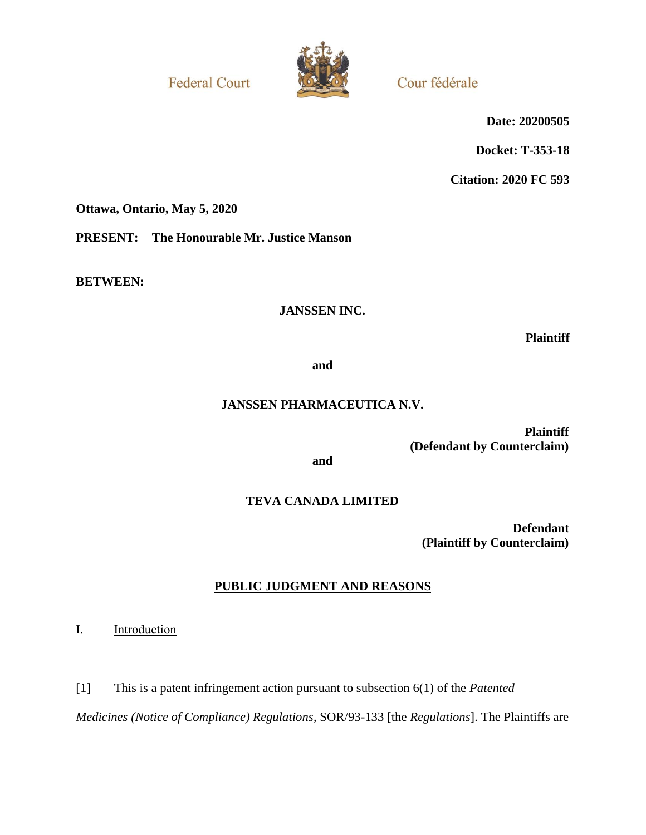**Federal Court** 



Cour fédérale

**Date: 20200505**

**Docket: T-353-18**

**Citation: 2020 FC 593**

**Ottawa, Ontario, May 5, 2020**

**PRESENT: The Honourable Mr. Justice Manson**

**BETWEEN:**

# **JANSSEN INC.**

**Plaintiff**

**and**

# **JANSSEN PHARMACEUTICA N.V.**

**Plaintiff (Defendant by Counterclaim)**

**and**

# **TEVA CANADA LIMITED**

**Defendant (Plaintiff by Counterclaim)**

# **PUBLIC JUDGMENT AND REASONS**

I. Introduction

[1] This is a patent infringement action pursuant to subsection 6(1) of the *Patented* 

*Medicines (Notice of Compliance) Regulations*, SOR/93-133 [the *Regulations*]. The Plaintiffs are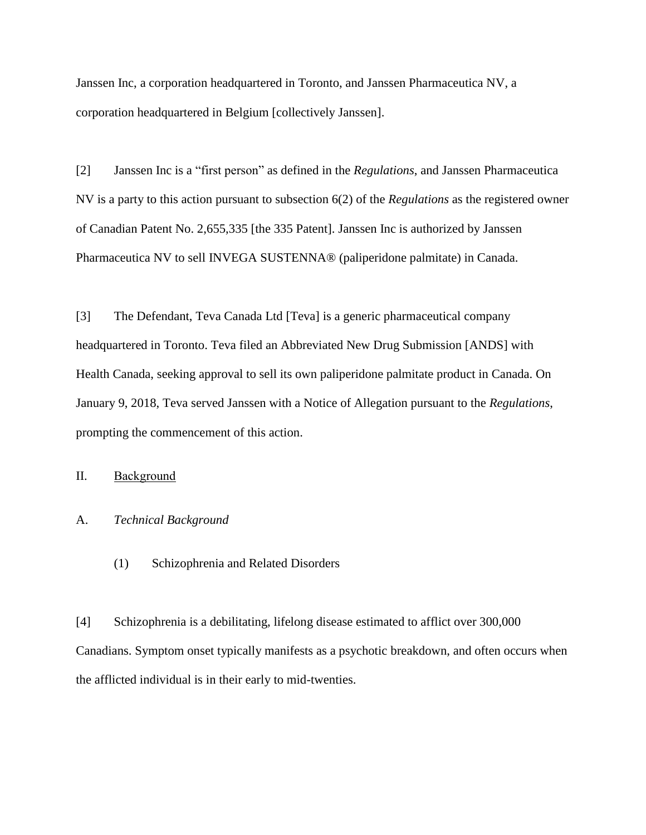Janssen Inc, a corporation headquartered in Toronto, and Janssen Pharmaceutica NV, a corporation headquartered in Belgium [collectively Janssen].

[2] Janssen Inc is a "first person" as defined in the *Regulations*, and Janssen Pharmaceutica NV is a party to this action pursuant to subsection 6(2) of the *Regulations* as the registered owner of Canadian Patent No. 2,655,335 [the 335 Patent]. Janssen Inc is authorized by Janssen Pharmaceutica NV to sell INVEGA SUSTENNA® (paliperidone palmitate) in Canada.

[3] The Defendant, Teva Canada Ltd [Teva] is a generic pharmaceutical company headquartered in Toronto. Teva filed an Abbreviated New Drug Submission [ANDS] with Health Canada, seeking approval to sell its own paliperidone palmitate product in Canada. On January 9, 2018, Teva served Janssen with a Notice of Allegation pursuant to the *Regulations*, prompting the commencement of this action.

II. Background

## A. *Technical Background*

(1) Schizophrenia and Related Disorders

[4] Schizophrenia is a debilitating, lifelong disease estimated to afflict over 300,000 Canadians. Symptom onset typically manifests as a psychotic breakdown, and often occurs when the afflicted individual is in their early to mid-twenties.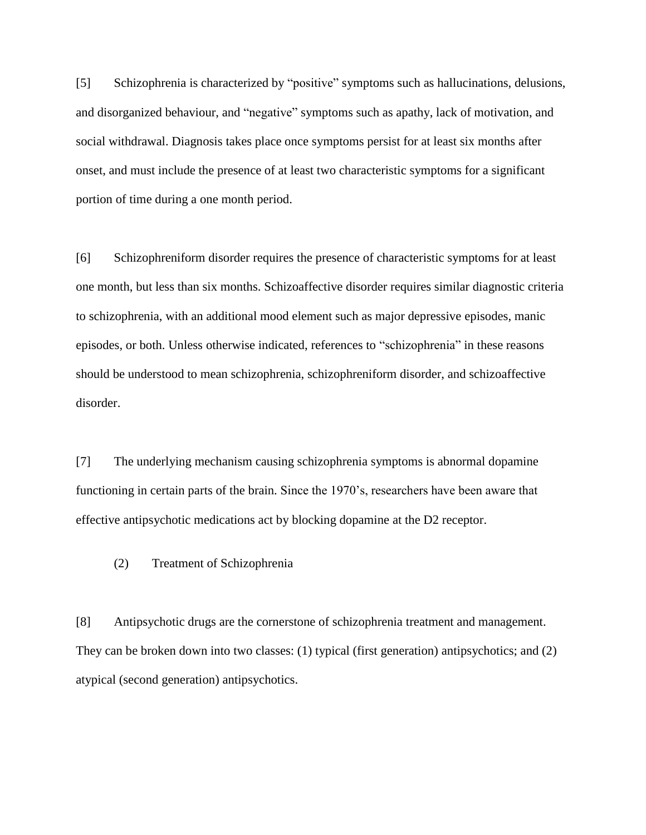[5] Schizophrenia is characterized by "positive" symptoms such as hallucinations, delusions, and disorganized behaviour, and "negative" symptoms such as apathy, lack of motivation, and social withdrawal. Diagnosis takes place once symptoms persist for at least six months after onset, and must include the presence of at least two characteristic symptoms for a significant portion of time during a one month period.

[6] Schizophreniform disorder requires the presence of characteristic symptoms for at least one month, but less than six months. Schizoaffective disorder requires similar diagnostic criteria to schizophrenia, with an additional mood element such as major depressive episodes, manic episodes, or both. Unless otherwise indicated, references to "schizophrenia" in these reasons should be understood to mean schizophrenia, schizophreniform disorder, and schizoaffective disorder.

[7] The underlying mechanism causing schizophrenia symptoms is abnormal dopamine functioning in certain parts of the brain. Since the 1970's, researchers have been aware that effective antipsychotic medications act by blocking dopamine at the D2 receptor.

(2) Treatment of Schizophrenia

[8] Antipsychotic drugs are the cornerstone of schizophrenia treatment and management. They can be broken down into two classes: (1) typical (first generation) antipsychotics; and (2) atypical (second generation) antipsychotics.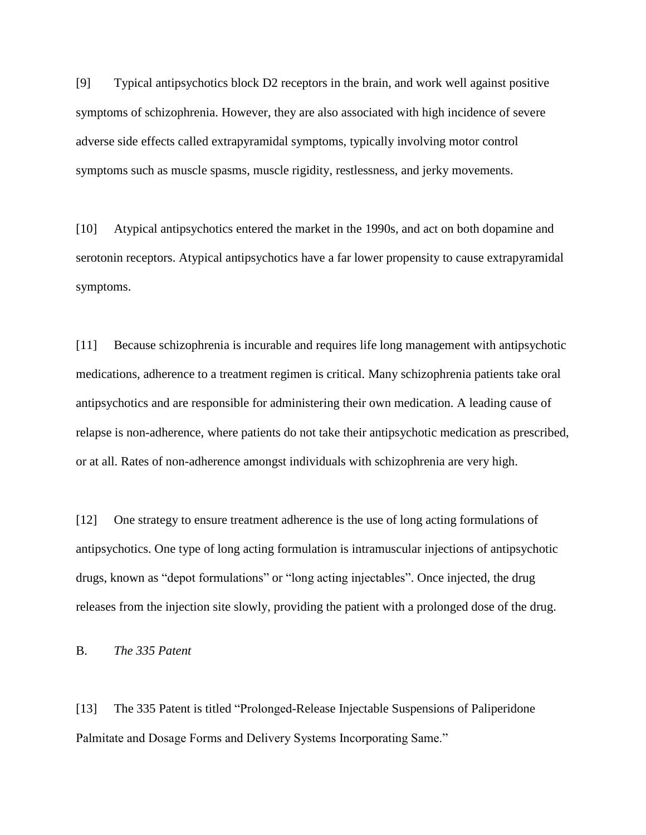[9] Typical antipsychotics block D2 receptors in the brain, and work well against positive symptoms of schizophrenia. However, they are also associated with high incidence of severe adverse side effects called extrapyramidal symptoms, typically involving motor control symptoms such as muscle spasms, muscle rigidity, restlessness, and jerky movements.

[10] Atypical antipsychotics entered the market in the 1990s, and act on both dopamine and serotonin receptors. Atypical antipsychotics have a far lower propensity to cause extrapyramidal symptoms.

[11] Because schizophrenia is incurable and requires life long management with antipsychotic medications, adherence to a treatment regimen is critical. Many schizophrenia patients take oral antipsychotics and are responsible for administering their own medication. A leading cause of relapse is non-adherence, where patients do not take their antipsychotic medication as prescribed, or at all. Rates of non-adherence amongst individuals with schizophrenia are very high.

[12] One strategy to ensure treatment adherence is the use of long acting formulations of antipsychotics. One type of long acting formulation is intramuscular injections of antipsychotic drugs, known as "depot formulations" or "long acting injectables". Once injected, the drug releases from the injection site slowly, providing the patient with a prolonged dose of the drug.

B. *The 335 Patent*

[13] The 335 Patent is titled "Prolonged-Release Injectable Suspensions of Paliperidone Palmitate and Dosage Forms and Delivery Systems Incorporating Same."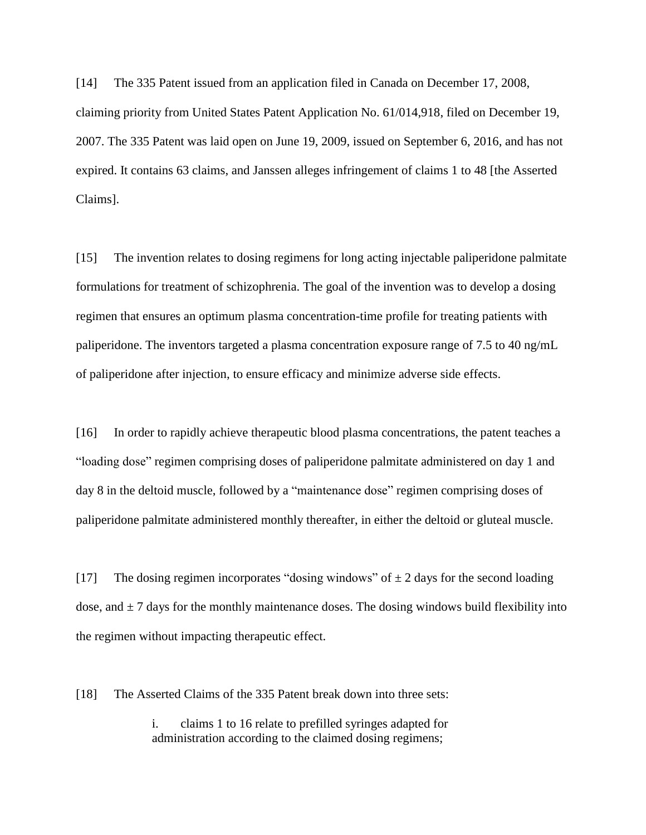[14] The 335 Patent issued from an application filed in Canada on December 17, 2008, claiming priority from United States Patent Application No. 61/014,918, filed on December 19, 2007. The 335 Patent was laid open on June 19, 2009, issued on September 6, 2016, and has not expired. It contains 63 claims, and Janssen alleges infringement of claims 1 to 48 [the Asserted Claims].

[15] The invention relates to dosing regimens for long acting injectable paliperidone palmitate formulations for treatment of schizophrenia. The goal of the invention was to develop a dosing regimen that ensures an optimum plasma concentration-time profile for treating patients with paliperidone. The inventors targeted a plasma concentration exposure range of 7.5 to 40 ng/mL of paliperidone after injection, to ensure efficacy and minimize adverse side effects.

[16] In order to rapidly achieve therapeutic blood plasma concentrations, the patent teaches a "loading dose" regimen comprising doses of paliperidone palmitate administered on day 1 and day 8 in the deltoid muscle, followed by a "maintenance dose" regimen comprising doses of paliperidone palmitate administered monthly thereafter, in either the deltoid or gluteal muscle.

[17] The dosing regimen incorporates "dosing windows" of  $\pm 2$  days for the second loading dose, and  $\pm$  7 days for the monthly maintenance doses. The dosing windows build flexibility into the regimen without impacting therapeutic effect.

[18] The Asserted Claims of the 335 Patent break down into three sets:

i. claims 1 to 16 relate to prefilled syringes adapted for administration according to the claimed dosing regimens;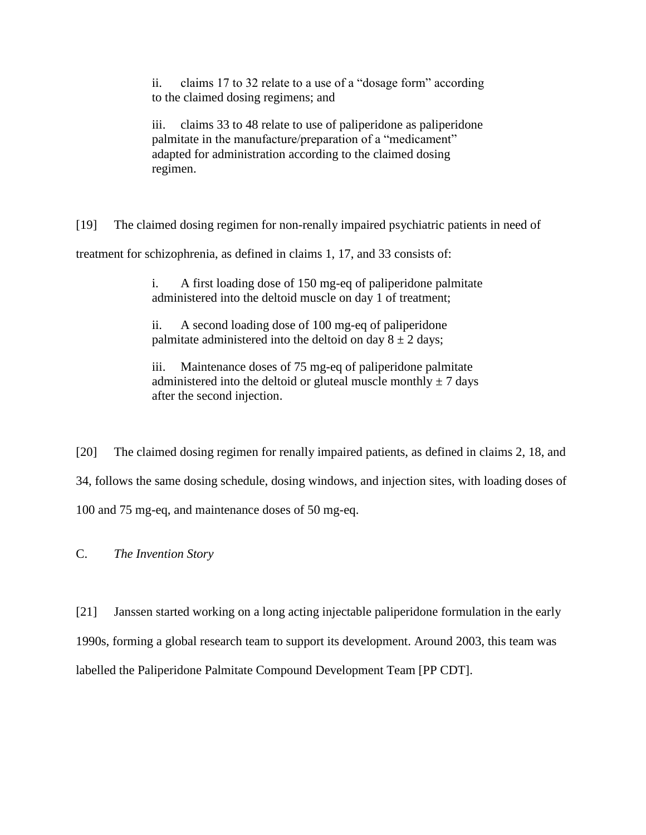ii. claims 17 to 32 relate to a use of a "dosage form" according to the claimed dosing regimens; and

iii. claims 33 to 48 relate to use of paliperidone as paliperidone palmitate in the manufacture/preparation of a "medicament" adapted for administration according to the claimed dosing regimen.

[19] The claimed dosing regimen for non-renally impaired psychiatric patients in need of treatment for schizophrenia, as defined in claims 1, 17, and 33 consists of:

> i. A first loading dose of 150 mg-eq of paliperidone palmitate administered into the deltoid muscle on day 1 of treatment;

ii. A second loading dose of 100 mg-eq of paliperidone palmitate administered into the deltoid on day  $8 \pm 2$  days;

iii. Maintenance doses of 75 mg-eq of paliperidone palmitate administered into the deltoid or gluteal muscle monthly  $\pm$  7 days after the second injection.

[20] The claimed dosing regimen for renally impaired patients, as defined in claims 2, 18, and 34, follows the same dosing schedule, dosing windows, and injection sites, with loading doses of 100 and 75 mg-eq, and maintenance doses of 50 mg-eq.

C. *The Invention Story*

[21] Janssen started working on a long acting injectable paliperidone formulation in the early 1990s, forming a global research team to support its development. Around 2003, this team was labelled the Paliperidone Palmitate Compound Development Team [PP CDT].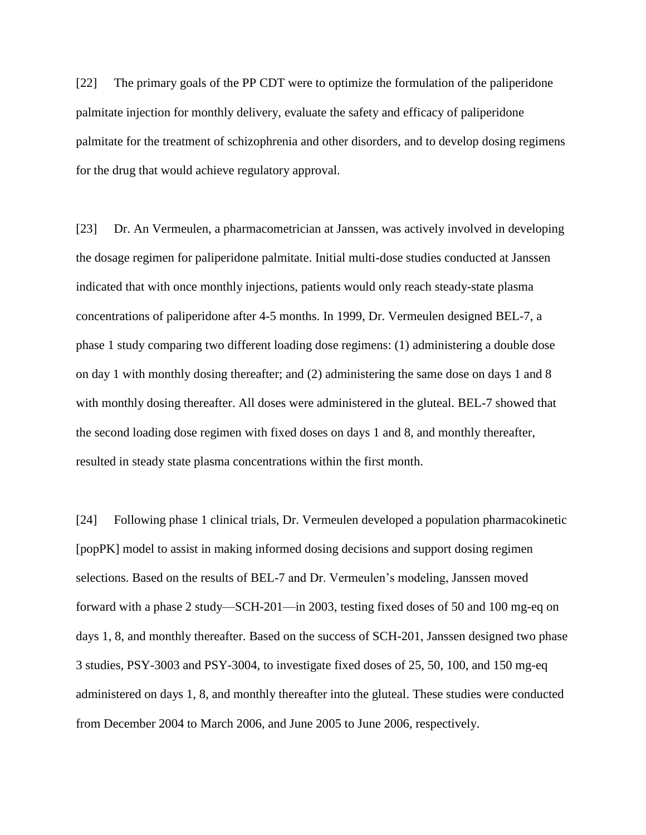[22] The primary goals of the PP CDT were to optimize the formulation of the paliperidone palmitate injection for monthly delivery, evaluate the safety and efficacy of paliperidone palmitate for the treatment of schizophrenia and other disorders, and to develop dosing regimens for the drug that would achieve regulatory approval.

[23] Dr. An Vermeulen, a pharmacometrician at Janssen, was actively involved in developing the dosage regimen for paliperidone palmitate. Initial multi-dose studies conducted at Janssen indicated that with once monthly injections, patients would only reach steady-state plasma concentrations of paliperidone after 4-5 months. In 1999, Dr. Vermeulen designed BEL-7, a phase 1 study comparing two different loading dose regimens: (1) administering a double dose on day 1 with monthly dosing thereafter; and (2) administering the same dose on days 1 and 8 with monthly dosing thereafter. All doses were administered in the gluteal. BEL-7 showed that the second loading dose regimen with fixed doses on days 1 and 8, and monthly thereafter, resulted in steady state plasma concentrations within the first month.

[24] Following phase 1 clinical trials, Dr. Vermeulen developed a population pharmacokinetic [popPK] model to assist in making informed dosing decisions and support dosing regimen selections. Based on the results of BEL-7 and Dr. Vermeulen's modeling, Janssen moved forward with a phase 2 study—SCH-201—in 2003, testing fixed doses of 50 and 100 mg-eq on days 1, 8, and monthly thereafter. Based on the success of SCH-201, Janssen designed two phase 3 studies, PSY-3003 and PSY-3004, to investigate fixed doses of 25, 50, 100, and 150 mg-eq administered on days 1, 8, and monthly thereafter into the gluteal. These studies were conducted from December 2004 to March 2006, and June 2005 to June 2006, respectively.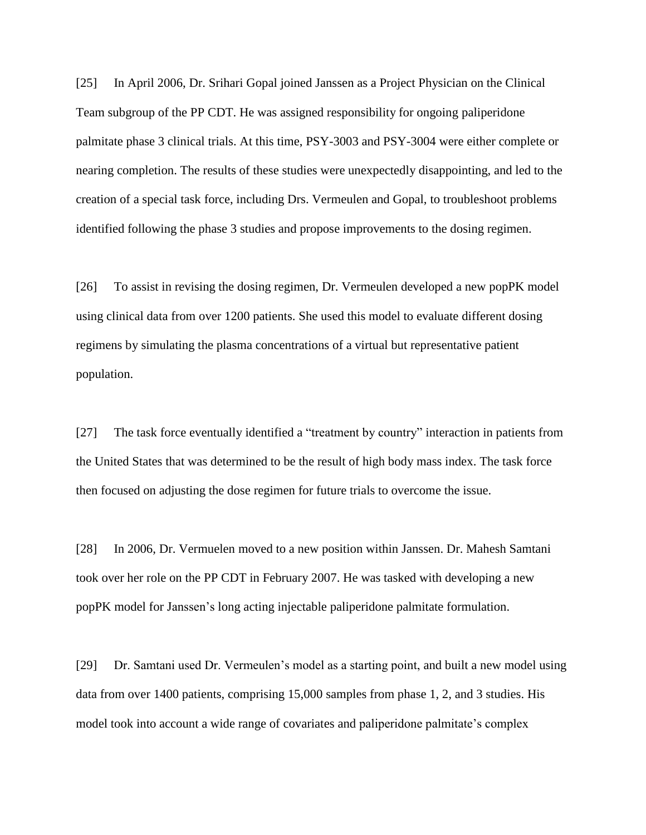[25] In April 2006, Dr. Srihari Gopal joined Janssen as a Project Physician on the Clinical Team subgroup of the PP CDT. He was assigned responsibility for ongoing paliperidone palmitate phase 3 clinical trials. At this time, PSY-3003 and PSY-3004 were either complete or nearing completion. The results of these studies were unexpectedly disappointing, and led to the creation of a special task force, including Drs. Vermeulen and Gopal, to troubleshoot problems identified following the phase 3 studies and propose improvements to the dosing regimen.

[26] To assist in revising the dosing regimen, Dr. Vermeulen developed a new popPK model using clinical data from over 1200 patients. She used this model to evaluate different dosing regimens by simulating the plasma concentrations of a virtual but representative patient population.

[27] The task force eventually identified a "treatment by country" interaction in patients from the United States that was determined to be the result of high body mass index. The task force then focused on adjusting the dose regimen for future trials to overcome the issue.

[28] In 2006, Dr. Vermuelen moved to a new position within Janssen. Dr. Mahesh Samtani took over her role on the PP CDT in February 2007. He was tasked with developing a new popPK model for Janssen's long acting injectable paliperidone palmitate formulation.

[29] Dr. Samtani used Dr. Vermeulen's model as a starting point, and built a new model using data from over 1400 patients, comprising 15,000 samples from phase 1, 2, and 3 studies. His model took into account a wide range of covariates and paliperidone palmitate's complex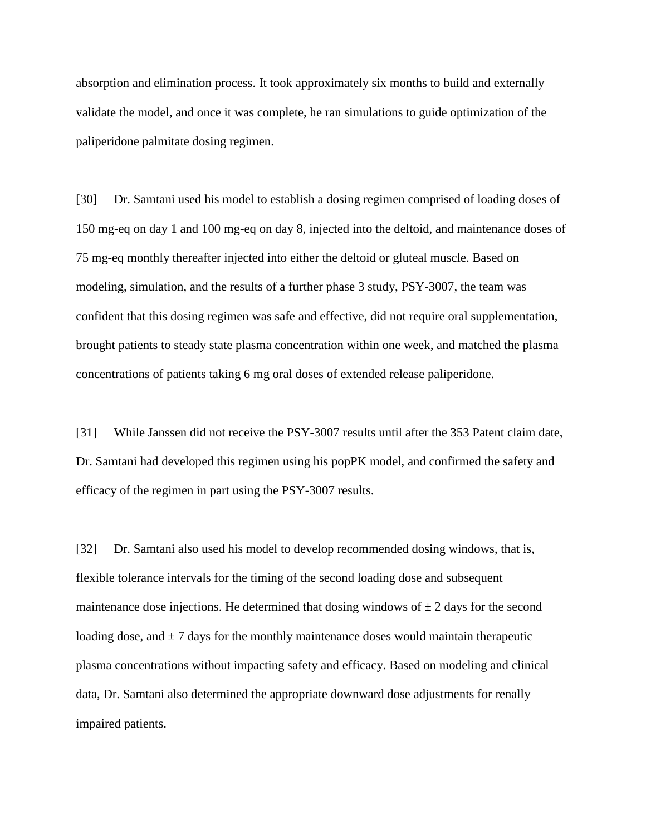absorption and elimination process. It took approximately six months to build and externally validate the model, and once it was complete, he ran simulations to guide optimization of the paliperidone palmitate dosing regimen.

[30] Dr. Samtani used his model to establish a dosing regimen comprised of loading doses of 150 mg-eq on day 1 and 100 mg-eq on day 8, injected into the deltoid, and maintenance doses of 75 mg-eq monthly thereafter injected into either the deltoid or gluteal muscle. Based on modeling, simulation, and the results of a further phase 3 study, PSY-3007, the team was confident that this dosing regimen was safe and effective, did not require oral supplementation, brought patients to steady state plasma concentration within one week, and matched the plasma concentrations of patients taking 6 mg oral doses of extended release paliperidone.

[31] While Janssen did not receive the PSY-3007 results until after the 353 Patent claim date, Dr. Samtani had developed this regimen using his popPK model, and confirmed the safety and efficacy of the regimen in part using the PSY-3007 results.

[32] Dr. Samtani also used his model to develop recommended dosing windows, that is, flexible tolerance intervals for the timing of the second loading dose and subsequent maintenance dose injections. He determined that dosing windows of  $\pm$  2 days for the second loading dose, and  $\pm$  7 days for the monthly maintenance doses would maintain therapeutic plasma concentrations without impacting safety and efficacy. Based on modeling and clinical data, Dr. Samtani also determined the appropriate downward dose adjustments for renally impaired patients.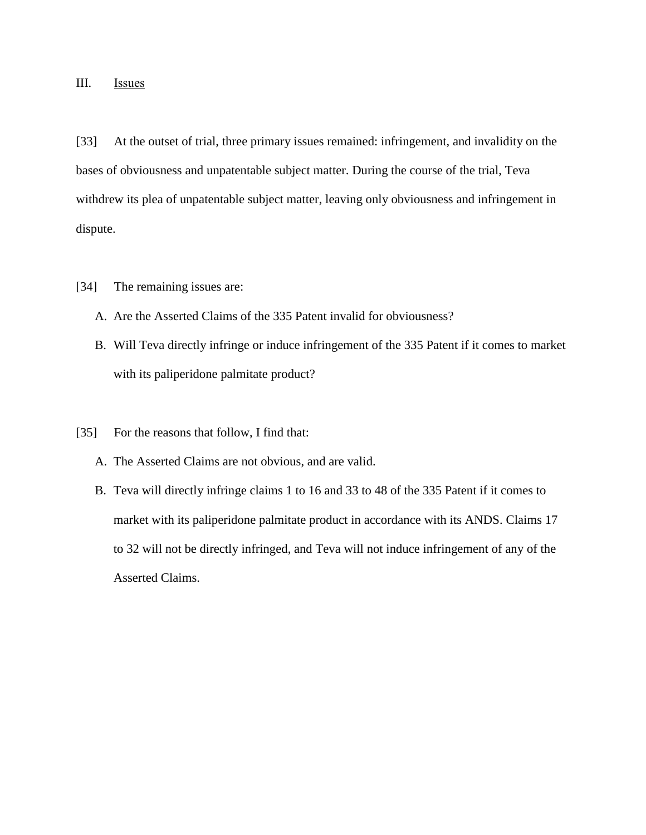## III. Issues

[33] At the outset of trial, three primary issues remained: infringement, and invalidity on the bases of obviousness and unpatentable subject matter. During the course of the trial, Teva withdrew its plea of unpatentable subject matter, leaving only obviousness and infringement in dispute.

- [34] The remaining issues are:
	- A. Are the Asserted Claims of the 335 Patent invalid for obviousness?
	- B. Will Teva directly infringe or induce infringement of the 335 Patent if it comes to market with its paliperidone palmitate product?
- [35] For the reasons that follow, I find that:
	- A. The Asserted Claims are not obvious, and are valid.
	- B. Teva will directly infringe claims 1 to 16 and 33 to 48 of the 335 Patent if it comes to market with its paliperidone palmitate product in accordance with its ANDS. Claims 17 to 32 will not be directly infringed, and Teva will not induce infringement of any of the Asserted Claims.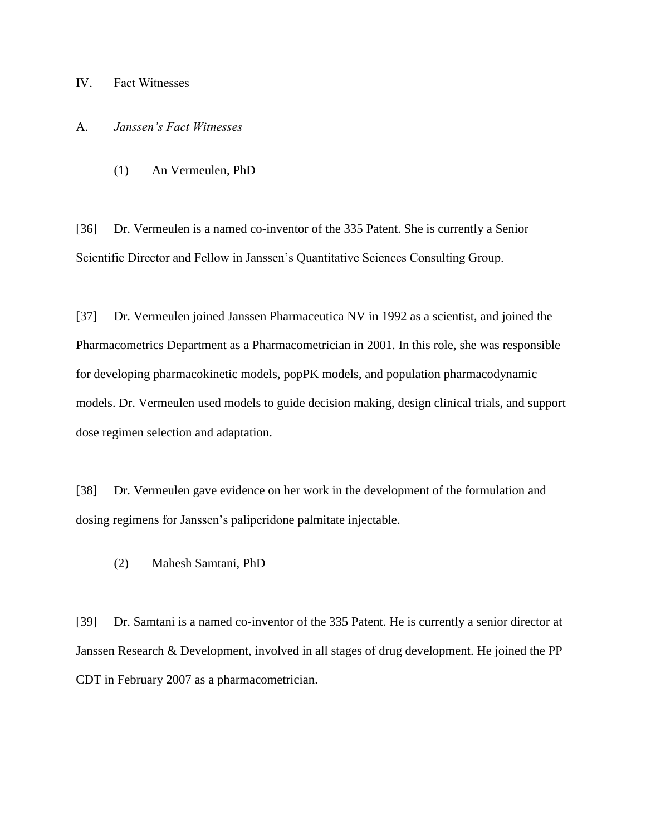## IV. Fact Witnesses

## A. *Janssen's Fact Witnesses*

(1) An Vermeulen, PhD

[36] Dr. Vermeulen is a named co-inventor of the 335 Patent. She is currently a Senior Scientific Director and Fellow in Janssen's Quantitative Sciences Consulting Group.

[37] Dr. Vermeulen joined Janssen Pharmaceutica NV in 1992 as a scientist, and joined the Pharmacometrics Department as a Pharmacometrician in 2001. In this role, she was responsible for developing pharmacokinetic models, popPK models, and population pharmacodynamic models. Dr. Vermeulen used models to guide decision making, design clinical trials, and support dose regimen selection and adaptation.

[38] Dr. Vermeulen gave evidence on her work in the development of the formulation and dosing regimens for Janssen's paliperidone palmitate injectable.

(2) Mahesh Samtani, PhD

[39] Dr. Samtani is a named co-inventor of the 335 Patent. He is currently a senior director at Janssen Research & Development, involved in all stages of drug development. He joined the PP CDT in February 2007 as a pharmacometrician.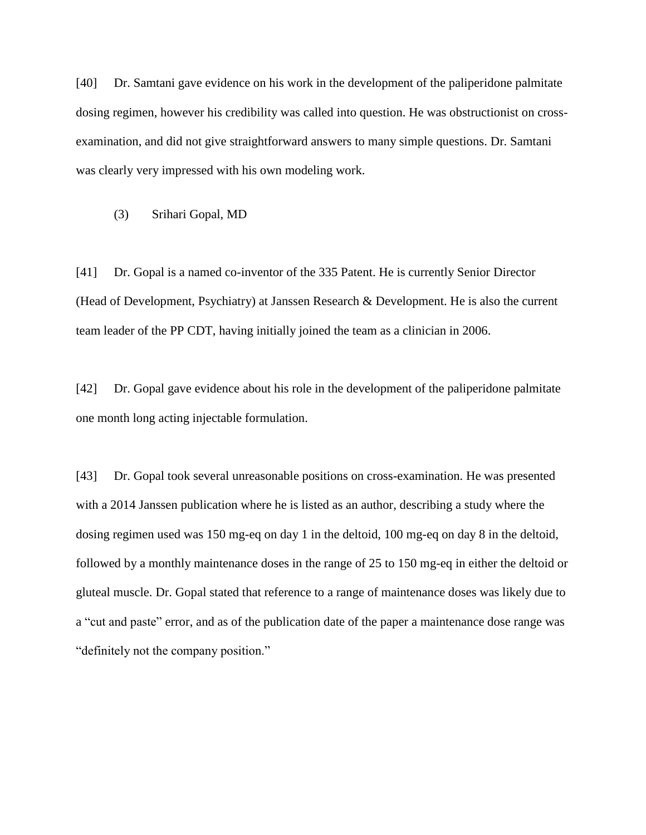[40] Dr. Samtani gave evidence on his work in the development of the paliperidone palmitate dosing regimen, however his credibility was called into question. He was obstructionist on crossexamination, and did not give straightforward answers to many simple questions. Dr. Samtani was clearly very impressed with his own modeling work.

(3) Srihari Gopal, MD

[41] Dr. Gopal is a named co-inventor of the 335 Patent. He is currently Senior Director (Head of Development, Psychiatry) at Janssen Research & Development. He is also the current team leader of the PP CDT, having initially joined the team as a clinician in 2006.

[42] Dr. Gopal gave evidence about his role in the development of the paliperidone palmitate one month long acting injectable formulation.

[43] Dr. Gopal took several unreasonable positions on cross-examination. He was presented with a 2014 Janssen publication where he is listed as an author, describing a study where the dosing regimen used was 150 mg-eq on day 1 in the deltoid, 100 mg-eq on day 8 in the deltoid, followed by a monthly maintenance doses in the range of 25 to 150 mg-eq in either the deltoid or gluteal muscle. Dr. Gopal stated that reference to a range of maintenance doses was likely due to a "cut and paste" error, and as of the publication date of the paper a maintenance dose range was "definitely not the company position."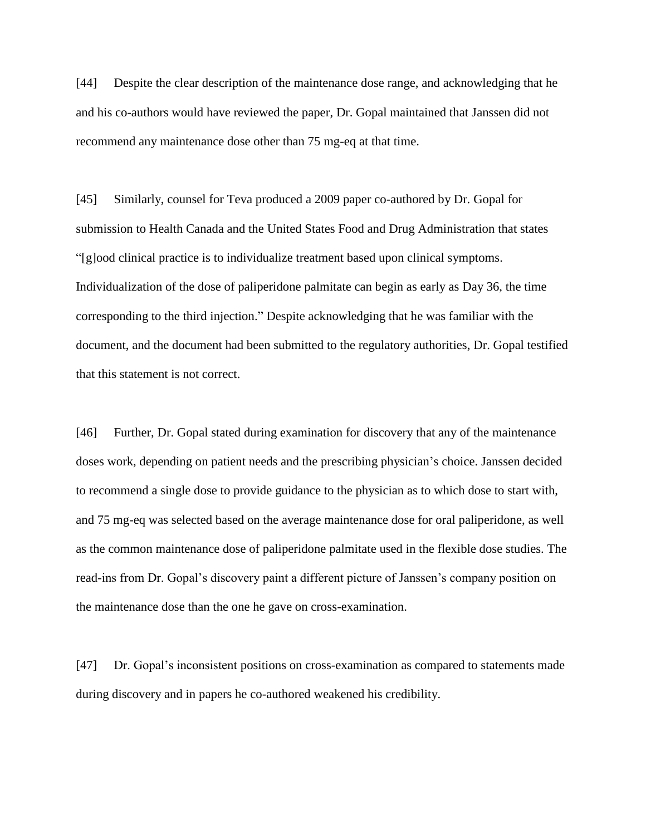[44] Despite the clear description of the maintenance dose range, and acknowledging that he and his co-authors would have reviewed the paper, Dr. Gopal maintained that Janssen did not recommend any maintenance dose other than 75 mg-eq at that time.

[45] Similarly, counsel for Teva produced a 2009 paper co-authored by Dr. Gopal for submission to Health Canada and the United States Food and Drug Administration that states "[g]ood clinical practice is to individualize treatment based upon clinical symptoms. Individualization of the dose of paliperidone palmitate can begin as early as Day 36, the time corresponding to the third injection." Despite acknowledging that he was familiar with the document, and the document had been submitted to the regulatory authorities, Dr. Gopal testified that this statement is not correct.

[46] Further, Dr. Gopal stated during examination for discovery that any of the maintenance doses work, depending on patient needs and the prescribing physician's choice. Janssen decided to recommend a single dose to provide guidance to the physician as to which dose to start with, and 75 mg-eq was selected based on the average maintenance dose for oral paliperidone, as well as the common maintenance dose of paliperidone palmitate used in the flexible dose studies. The read-ins from Dr. Gopal's discovery paint a different picture of Janssen's company position on the maintenance dose than the one he gave on cross-examination.

[47] Dr. Gopal's inconsistent positions on cross-examination as compared to statements made during discovery and in papers he co-authored weakened his credibility.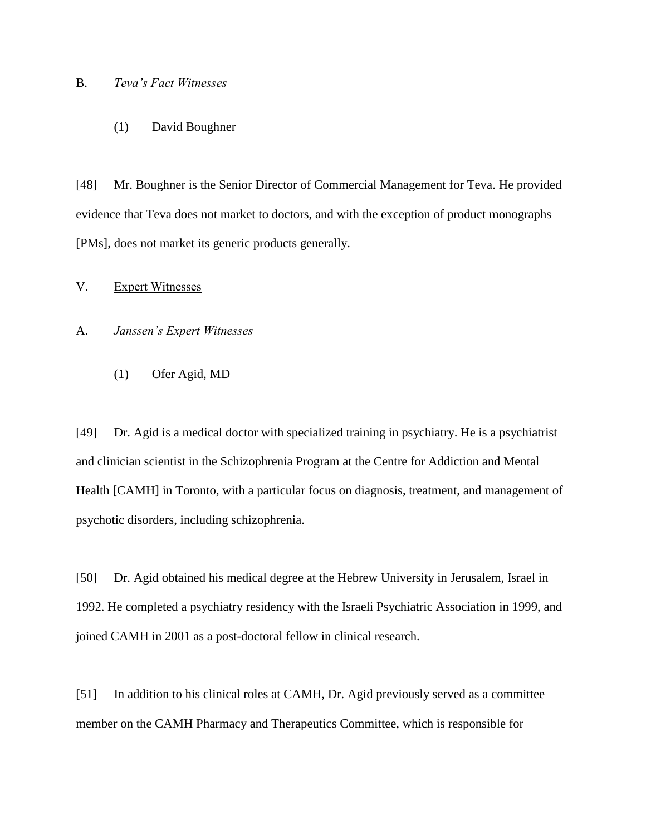### B. *Teva's Fact Witnesses*

#### (1) David Boughner

[48] Mr. Boughner is the Senior Director of Commercial Management for Teva. He provided evidence that Teva does not market to doctors, and with the exception of product monographs [PMs], does not market its generic products generally.

## V. Expert Witnesses

#### A. *Janssen's Expert Witnesses*

(1) Ofer Agid, MD

[49] Dr. Agid is a medical doctor with specialized training in psychiatry. He is a psychiatrist and clinician scientist in the Schizophrenia Program at the Centre for Addiction and Mental Health [CAMH] in Toronto, with a particular focus on diagnosis, treatment, and management of psychotic disorders, including schizophrenia.

[50] Dr. Agid obtained his medical degree at the Hebrew University in Jerusalem, Israel in 1992. He completed a psychiatry residency with the Israeli Psychiatric Association in 1999, and joined CAMH in 2001 as a post-doctoral fellow in clinical research.

[51] In addition to his clinical roles at CAMH, Dr. Agid previously served as a committee member on the CAMH Pharmacy and Therapeutics Committee, which is responsible for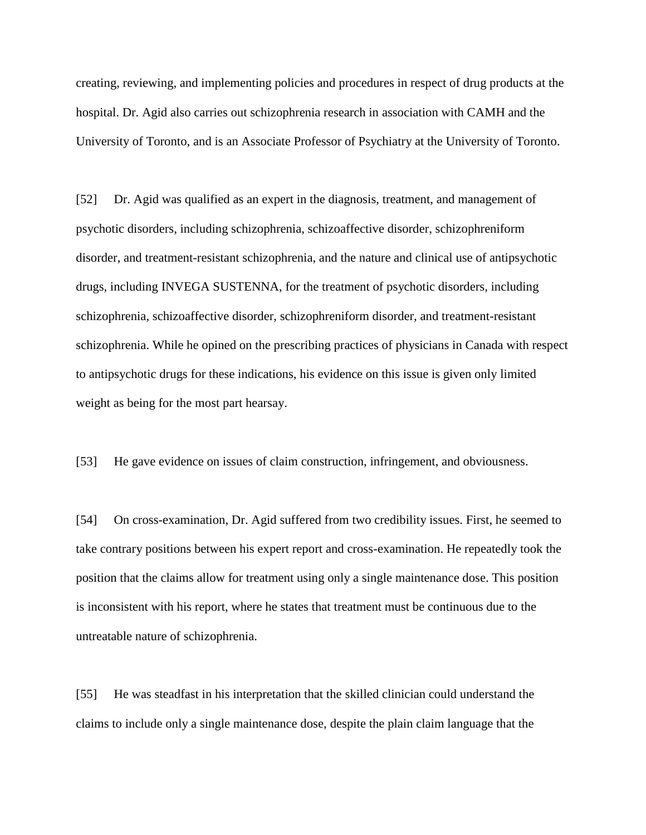creating, reviewing, and implementing policies and procedures in respect of drug products at the hospital. Dr. Agid also carries out schizophrenia research in association with CAMH and the University of Toronto, and is an Associate Professor of Psychiatry at the University of Toronto.

[52] Dr. Agid was qualified as an expert in the diagnosis, treatment, and management of psychotic disorders, including schizophrenia, schizoaffective disorder, schizophreniform disorder, and treatment-resistant schizophrenia, and the nature and clinical use of antipsychotic drugs, including INVEGA SUSTENNA, for the treatment of psychotic disorders, including schizophrenia, schizoaffective disorder, schizophreniform disorder, and treatment-resistant schizophrenia. While he opined on the prescribing practices of physicians in Canada with respect to antipsychotic drugs for these indications, his evidence on this issue is given only limited weight as being for the most part hearsay.

[53] He gave evidence on issues of claim construction, infringement, and obviousness.

[54] On cross-examination, Dr. Agid suffered from two credibility issues. First, he seemed to take contrary positions between his expert report and cross-examination. He repeatedly took the position that the claims allow for treatment using only a single maintenance dose. This position is inconsistent with his report, where he states that treatment must be continuous due to the untreatable nature of schizophrenia.

[55] He was steadfast in his interpretation that the skilled clinician could understand the claims to include only a single maintenance dose, despite the plain claim language that the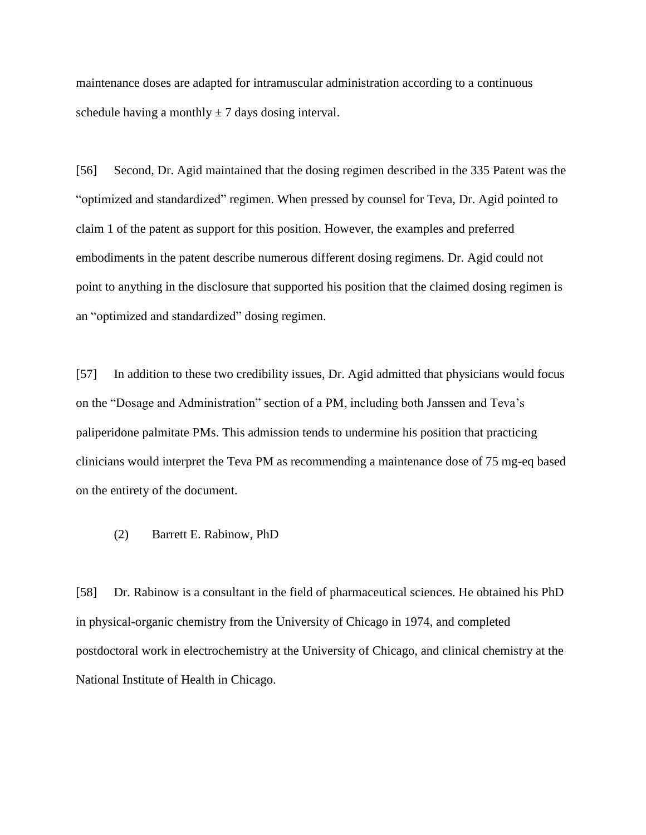maintenance doses are adapted for intramuscular administration according to a continuous schedule having a monthly  $\pm$  7 days dosing interval.

[56] Second, Dr. Agid maintained that the dosing regimen described in the 335 Patent was the "optimized and standardized" regimen. When pressed by counsel for Teva, Dr. Agid pointed to claim 1 of the patent as support for this position. However, the examples and preferred embodiments in the patent describe numerous different dosing regimens. Dr. Agid could not point to anything in the disclosure that supported his position that the claimed dosing regimen is an "optimized and standardized" dosing regimen.

[57] In addition to these two credibility issues, Dr. Agid admitted that physicians would focus on the "Dosage and Administration" section of a PM, including both Janssen and Teva's paliperidone palmitate PMs. This admission tends to undermine his position that practicing clinicians would interpret the Teva PM as recommending a maintenance dose of 75 mg-eq based on the entirety of the document.

(2) Barrett E. Rabinow, PhD

[58] Dr. Rabinow is a consultant in the field of pharmaceutical sciences. He obtained his PhD in physical-organic chemistry from the University of Chicago in 1974, and completed postdoctoral work in electrochemistry at the University of Chicago, and clinical chemistry at the National Institute of Health in Chicago.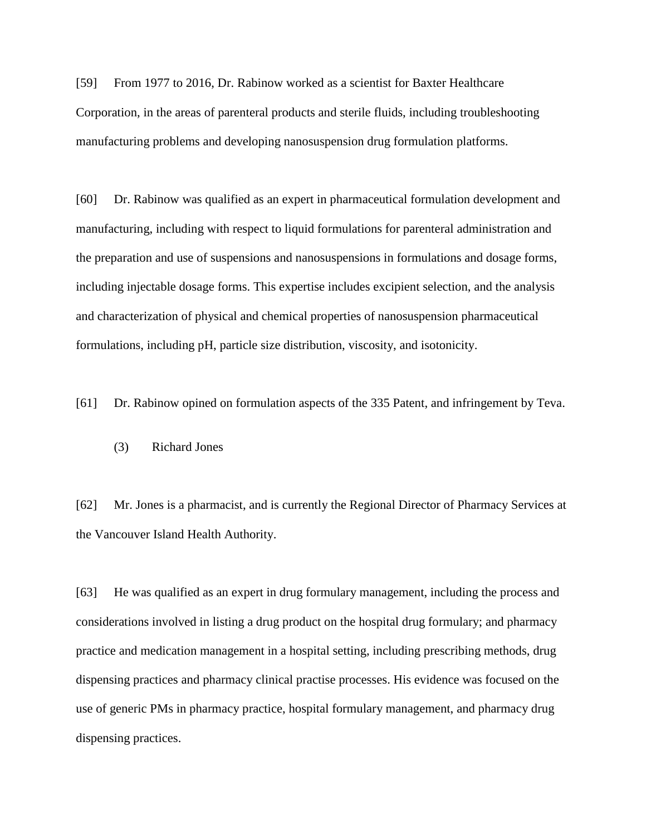[59] From 1977 to 2016, Dr. Rabinow worked as a scientist for Baxter Healthcare Corporation, in the areas of parenteral products and sterile fluids, including troubleshooting manufacturing problems and developing nanosuspension drug formulation platforms.

[60] Dr. Rabinow was qualified as an expert in pharmaceutical formulation development and manufacturing, including with respect to liquid formulations for parenteral administration and the preparation and use of suspensions and nanosuspensions in formulations and dosage forms, including injectable dosage forms. This expertise includes excipient selection, and the analysis and characterization of physical and chemical properties of nanosuspension pharmaceutical formulations, including pH, particle size distribution, viscosity, and isotonicity.

[61] Dr. Rabinow opined on formulation aspects of the 335 Patent, and infringement by Teva.

(3) Richard Jones

[62] Mr. Jones is a pharmacist, and is currently the Regional Director of Pharmacy Services at the Vancouver Island Health Authority.

[63] He was qualified as an expert in drug formulary management, including the process and considerations involved in listing a drug product on the hospital drug formulary; and pharmacy practice and medication management in a hospital setting, including prescribing methods, drug dispensing practices and pharmacy clinical practise processes. His evidence was focused on the use of generic PMs in pharmacy practice, hospital formulary management, and pharmacy drug dispensing practices.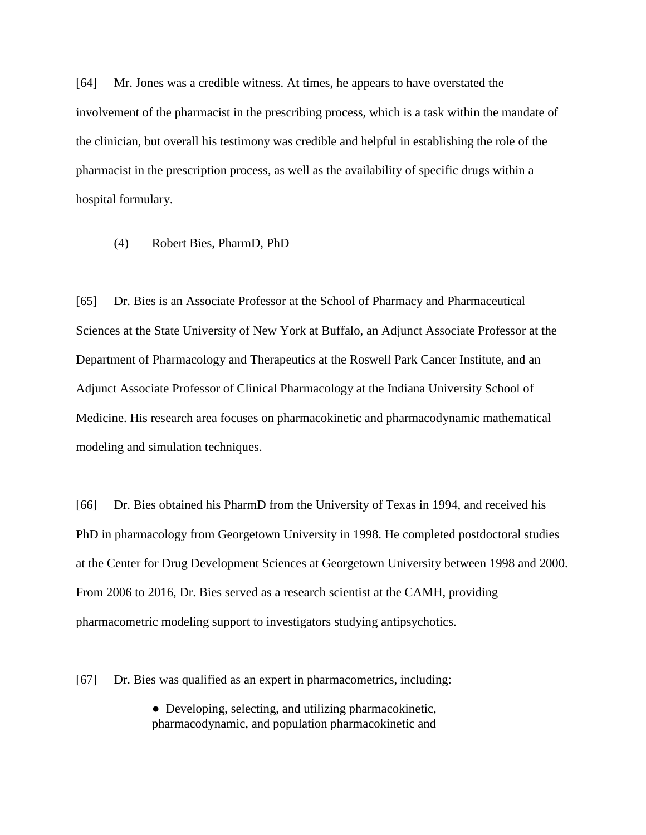[64] Mr. Jones was a credible witness. At times, he appears to have overstated the involvement of the pharmacist in the prescribing process, which is a task within the mandate of the clinician, but overall his testimony was credible and helpful in establishing the role of the pharmacist in the prescription process, as well as the availability of specific drugs within a hospital formulary.

(4) Robert Bies, PharmD, PhD

[65] Dr. Bies is an Associate Professor at the School of Pharmacy and Pharmaceutical Sciences at the State University of New York at Buffalo, an Adjunct Associate Professor at the Department of Pharmacology and Therapeutics at the Roswell Park Cancer Institute, and an Adjunct Associate Professor of Clinical Pharmacology at the Indiana University School of Medicine. His research area focuses on pharmacokinetic and pharmacodynamic mathematical modeling and simulation techniques.

[66] Dr. Bies obtained his PharmD from the University of Texas in 1994, and received his PhD in pharmacology from Georgetown University in 1998. He completed postdoctoral studies at the Center for Drug Development Sciences at Georgetown University between 1998 and 2000. From 2006 to 2016, Dr. Bies served as a research scientist at the CAMH, providing pharmacometric modeling support to investigators studying antipsychotics.

[67] Dr. Bies was qualified as an expert in pharmacometrics, including:

• Developing, selecting, and utilizing pharmacokinetic, pharmacodynamic, and population pharmacokinetic and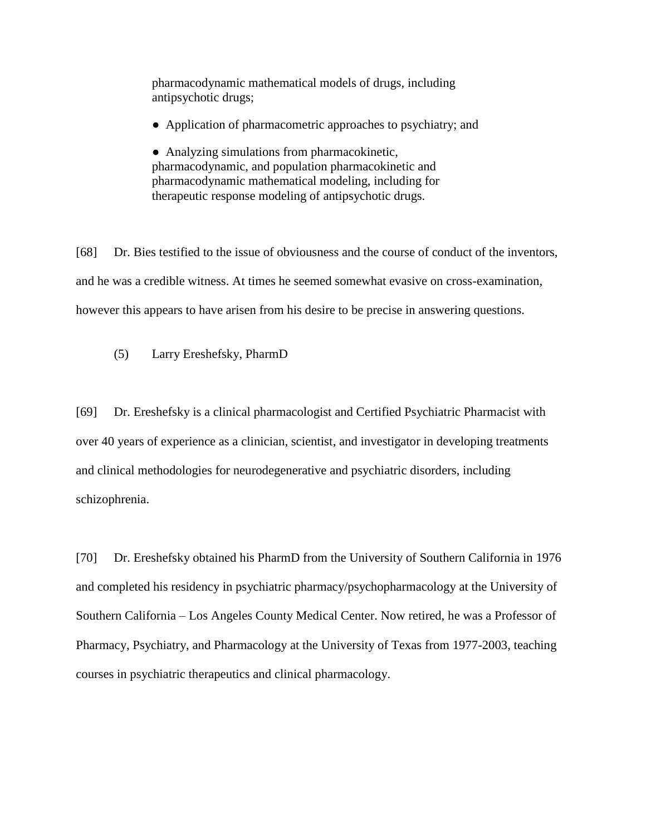pharmacodynamic mathematical models of drugs, including antipsychotic drugs;

• Application of pharmacometric approaches to psychiatry; and

• Analyzing simulations from pharmacokinetic, pharmacodynamic, and population pharmacokinetic and pharmacodynamic mathematical modeling, including for therapeutic response modeling of antipsychotic drugs.

[68] Dr. Bies testified to the issue of obviousness and the course of conduct of the inventors, and he was a credible witness. At times he seemed somewhat evasive on cross-examination, however this appears to have arisen from his desire to be precise in answering questions.

(5) Larry Ereshefsky, PharmD

[69] Dr. Ereshefsky is a clinical pharmacologist and Certified Psychiatric Pharmacist with over 40 years of experience as a clinician, scientist, and investigator in developing treatments and clinical methodologies for neurodegenerative and psychiatric disorders, including schizophrenia.

[70] Dr. Ereshefsky obtained his PharmD from the University of Southern California in 1976 and completed his residency in psychiatric pharmacy/psychopharmacology at the University of Southern California – Los Angeles County Medical Center. Now retired, he was a Professor of Pharmacy, Psychiatry, and Pharmacology at the University of Texas from 1977-2003, teaching courses in psychiatric therapeutics and clinical pharmacology.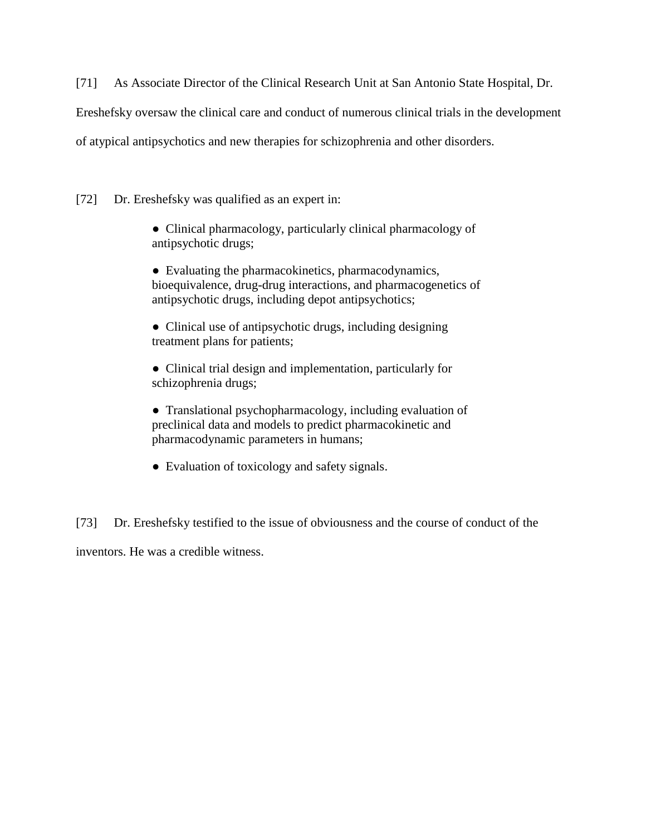[71] As Associate Director of the Clinical Research Unit at San Antonio State Hospital, Dr.

Ereshefsky oversaw the clinical care and conduct of numerous clinical trials in the development

of atypical antipsychotics and new therapies for schizophrenia and other disorders.

[72] Dr. Ereshefsky was qualified as an expert in:

● Clinical pharmacology, particularly clinical pharmacology of antipsychotic drugs;

• Evaluating the pharmacokinetics, pharmacodynamics, bioequivalence, drug-drug interactions, and pharmacogenetics of antipsychotic drugs, including depot antipsychotics;

• Clinical use of antipsychotic drugs, including designing treatment plans for patients;

• Clinical trial design and implementation, particularly for schizophrenia drugs;

● Translational psychopharmacology, including evaluation of preclinical data and models to predict pharmacokinetic and pharmacodynamic parameters in humans;

• Evaluation of toxicology and safety signals.

[73] Dr. Ereshefsky testified to the issue of obviousness and the course of conduct of the inventors. He was a credible witness.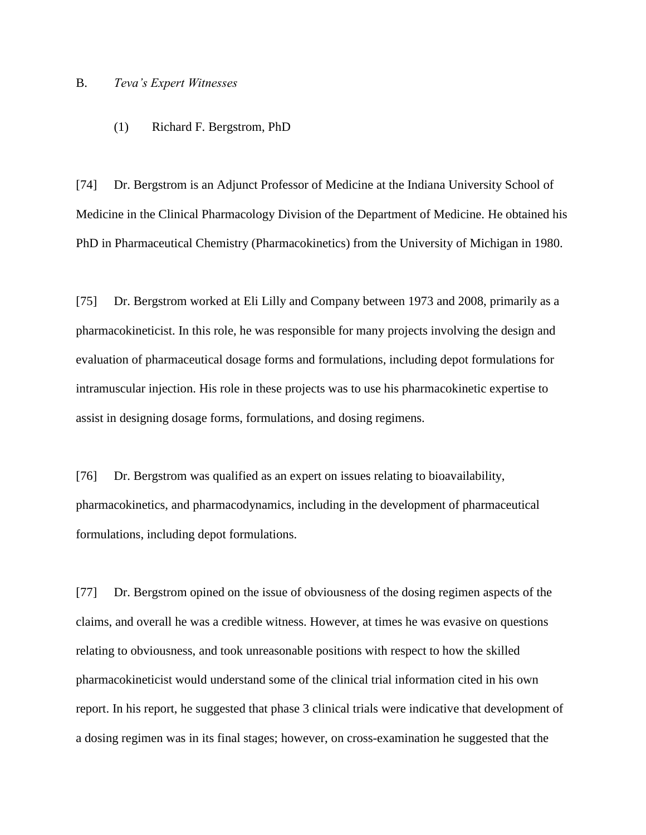## B. *Teva's Expert Witnesses*

#### (1) Richard F. Bergstrom, PhD

[74] Dr. Bergstrom is an Adjunct Professor of Medicine at the Indiana University School of Medicine in the Clinical Pharmacology Division of the Department of Medicine. He obtained his PhD in Pharmaceutical Chemistry (Pharmacokinetics) from the University of Michigan in 1980.

[75] Dr. Bergstrom worked at Eli Lilly and Company between 1973 and 2008, primarily as a pharmacokineticist. In this role, he was responsible for many projects involving the design and evaluation of pharmaceutical dosage forms and formulations, including depot formulations for intramuscular injection. His role in these projects was to use his pharmacokinetic expertise to assist in designing dosage forms, formulations, and dosing regimens.

[76] Dr. Bergstrom was qualified as an expert on issues relating to bioavailability, pharmacokinetics, and pharmacodynamics, including in the development of pharmaceutical formulations, including depot formulations.

[77] Dr. Bergstrom opined on the issue of obviousness of the dosing regimen aspects of the claims, and overall he was a credible witness. However, at times he was evasive on questions relating to obviousness, and took unreasonable positions with respect to how the skilled pharmacokineticist would understand some of the clinical trial information cited in his own report. In his report, he suggested that phase 3 clinical trials were indicative that development of a dosing regimen was in its final stages; however, on cross-examination he suggested that the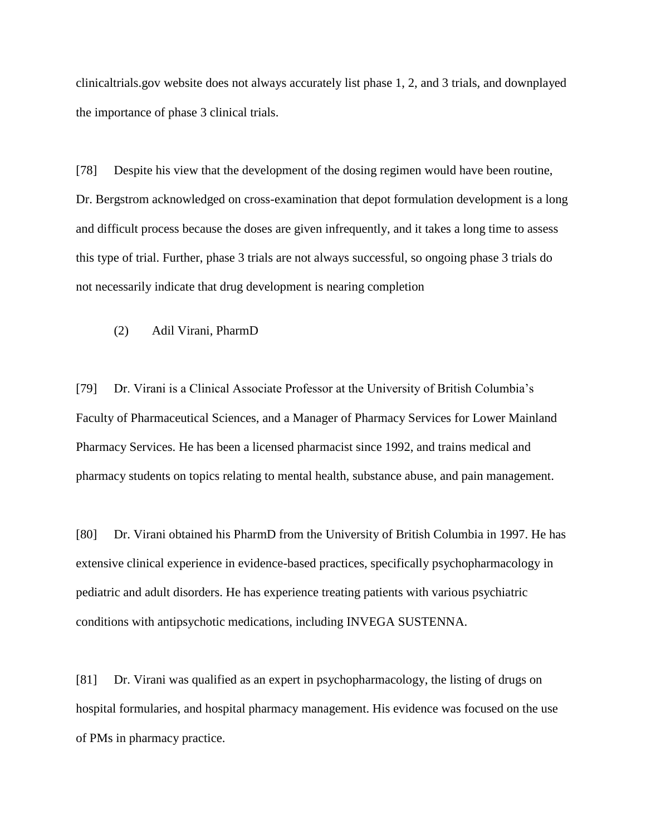clinicaltrials.gov website does not always accurately list phase 1, 2, and 3 trials, and downplayed the importance of phase 3 clinical trials.

[78] Despite his view that the development of the dosing regimen would have been routine, Dr. Bergstrom acknowledged on cross-examination that depot formulation development is a long and difficult process because the doses are given infrequently, and it takes a long time to assess this type of trial. Further, phase 3 trials are not always successful, so ongoing phase 3 trials do not necessarily indicate that drug development is nearing completion

(2) Adil Virani, PharmD

[79] Dr. Virani is a Clinical Associate Professor at the University of British Columbia's Faculty of Pharmaceutical Sciences, and a Manager of Pharmacy Services for Lower Mainland Pharmacy Services. He has been a licensed pharmacist since 1992, and trains medical and pharmacy students on topics relating to mental health, substance abuse, and pain management.

[80] Dr. Virani obtained his PharmD from the University of British Columbia in 1997. He has extensive clinical experience in evidence-based practices, specifically psychopharmacology in pediatric and adult disorders. He has experience treating patients with various psychiatric conditions with antipsychotic medications, including INVEGA SUSTENNA.

[81] Dr. Virani was qualified as an expert in psychopharmacology, the listing of drugs on hospital formularies, and hospital pharmacy management. His evidence was focused on the use of PMs in pharmacy practice.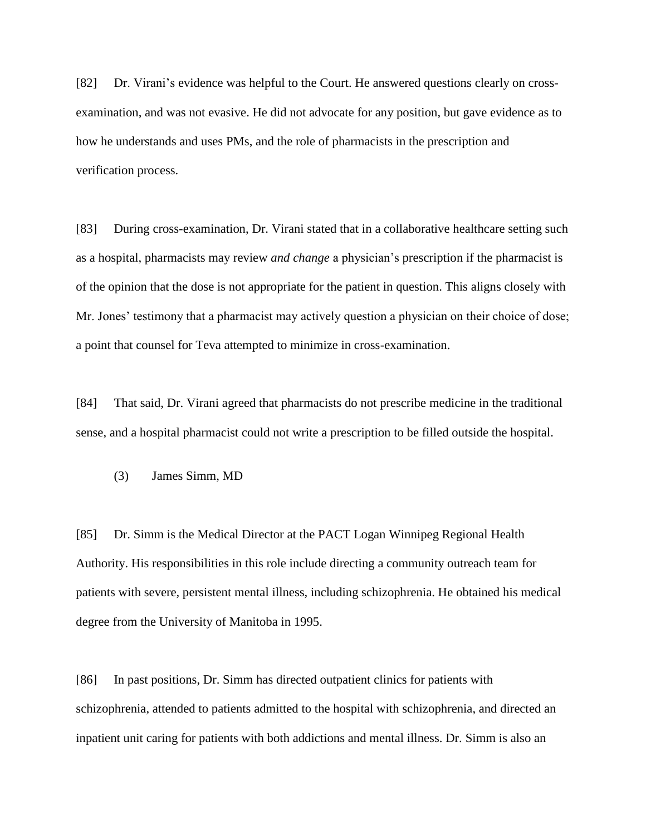[82] Dr. Virani's evidence was helpful to the Court. He answered questions clearly on crossexamination, and was not evasive. He did not advocate for any position, but gave evidence as to how he understands and uses PMs, and the role of pharmacists in the prescription and verification process.

[83] During cross-examination, Dr. Virani stated that in a collaborative healthcare setting such as a hospital, pharmacists may review *and change* a physician's prescription if the pharmacist is of the opinion that the dose is not appropriate for the patient in question. This aligns closely with Mr. Jones' testimony that a pharmacist may actively question a physician on their choice of dose; a point that counsel for Teva attempted to minimize in cross-examination.

[84] That said, Dr. Virani agreed that pharmacists do not prescribe medicine in the traditional sense, and a hospital pharmacist could not write a prescription to be filled outside the hospital.

(3) James Simm, MD

[85] Dr. Simm is the Medical Director at the PACT Logan Winnipeg Regional Health Authority. His responsibilities in this role include directing a community outreach team for patients with severe, persistent mental illness, including schizophrenia. He obtained his medical degree from the University of Manitoba in 1995.

[86] In past positions, Dr. Simm has directed outpatient clinics for patients with schizophrenia, attended to patients admitted to the hospital with schizophrenia, and directed an inpatient unit caring for patients with both addictions and mental illness. Dr. Simm is also an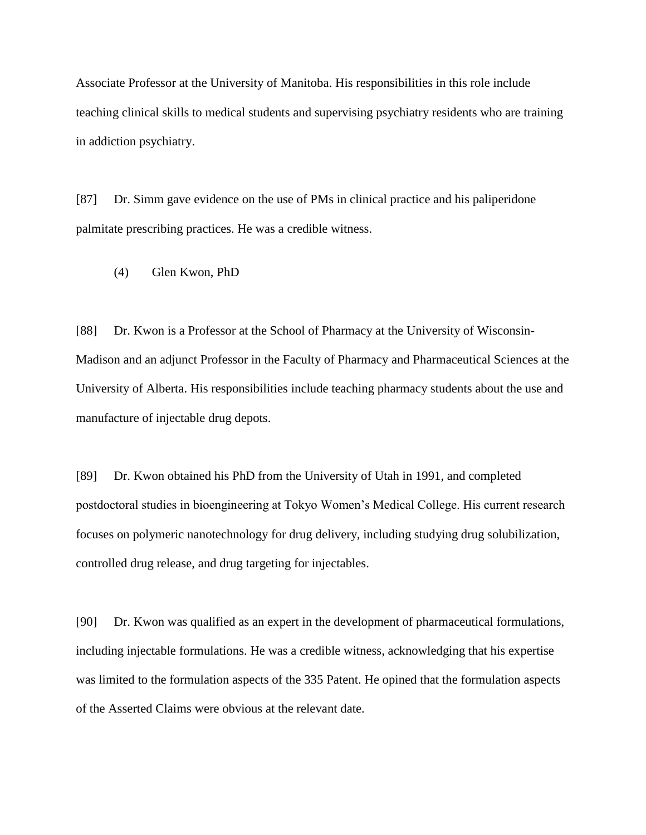Associate Professor at the University of Manitoba. His responsibilities in this role include teaching clinical skills to medical students and supervising psychiatry residents who are training in addiction psychiatry.

[87] Dr. Simm gave evidence on the use of PMs in clinical practice and his paliperidone palmitate prescribing practices. He was a credible witness.

(4) Glen Kwon, PhD

[88] Dr. Kwon is a Professor at the School of Pharmacy at the University of Wisconsin-Madison and an adjunct Professor in the Faculty of Pharmacy and Pharmaceutical Sciences at the University of Alberta. His responsibilities include teaching pharmacy students about the use and manufacture of injectable drug depots.

[89] Dr. Kwon obtained his PhD from the University of Utah in 1991, and completed postdoctoral studies in bioengineering at Tokyo Women's Medical College. His current research focuses on polymeric nanotechnology for drug delivery, including studying drug solubilization, controlled drug release, and drug targeting for injectables.

[90] Dr. Kwon was qualified as an expert in the development of pharmaceutical formulations, including injectable formulations. He was a credible witness, acknowledging that his expertise was limited to the formulation aspects of the 335 Patent. He opined that the formulation aspects of the Asserted Claims were obvious at the relevant date.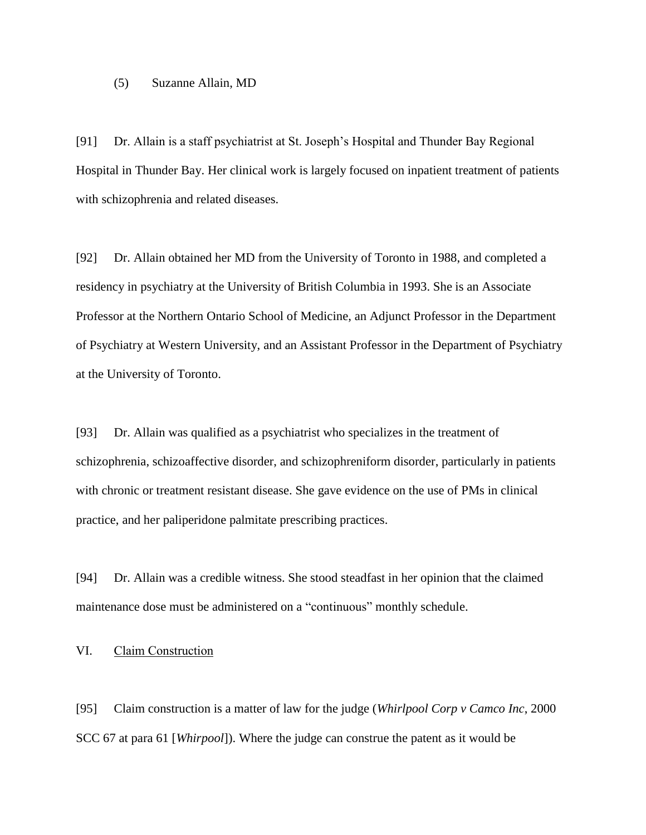#### (5) Suzanne Allain, MD

[91] Dr. Allain is a staff psychiatrist at St. Joseph's Hospital and Thunder Bay Regional Hospital in Thunder Bay. Her clinical work is largely focused on inpatient treatment of patients with schizophrenia and related diseases.

[92] Dr. Allain obtained her MD from the University of Toronto in 1988, and completed a residency in psychiatry at the University of British Columbia in 1993. She is an Associate Professor at the Northern Ontario School of Medicine, an Adjunct Professor in the Department of Psychiatry at Western University, and an Assistant Professor in the Department of Psychiatry at the University of Toronto.

[93] Dr. Allain was qualified as a psychiatrist who specializes in the treatment of schizophrenia, schizoaffective disorder, and schizophreniform disorder, particularly in patients with chronic or treatment resistant disease. She gave evidence on the use of PMs in clinical practice, and her paliperidone palmitate prescribing practices.

[94] Dr. Allain was a credible witness. She stood steadfast in her opinion that the claimed maintenance dose must be administered on a "continuous" monthly schedule.

# VI. Claim Construction

[95] Claim construction is a matter of law for the judge (*Whirlpool Corp v Camco Inc*, 2000 SCC 67 at para 61 [*Whirpool*]). Where the judge can construe the patent as it would be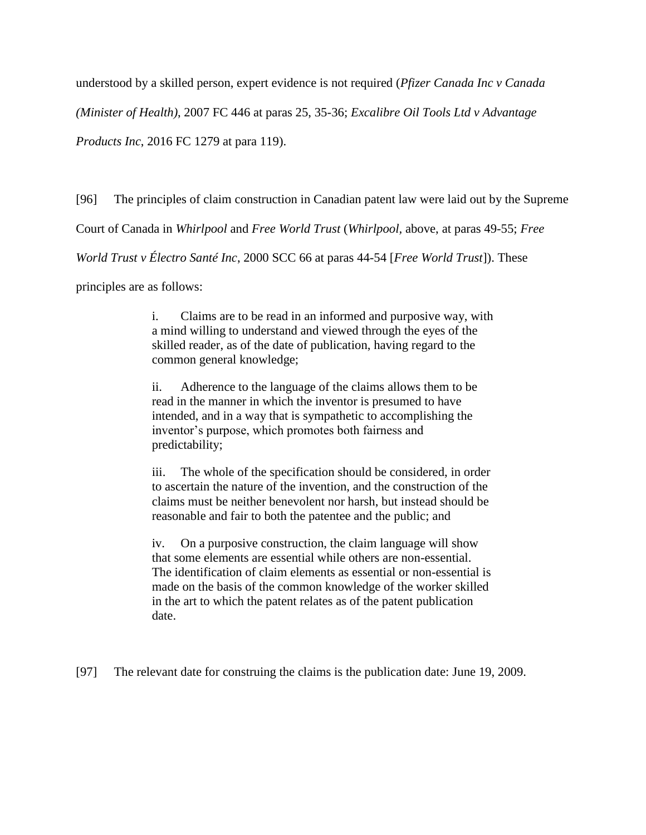understood by a skilled person, expert evidence is not required (*Pfizer Canada Inc v Canada* 

*(Minister of Health)*, 2007 FC 446 at paras 25, 35-36; *Excalibre Oil Tools Ltd v Advantage* 

*Products Inc*, 2016 FC 1279 at para 119).

[96] The principles of claim construction in Canadian patent law were laid out by the Supreme

Court of Canada in *Whirlpool* and *Free World Trust* (*Whirlpool,* above, at paras 49-55; *Free* 

*World Trust v Électro Santé Inc*, 2000 SCC 66 at paras 44-54 [*Free World Trust*]). These

principles are as follows:

i. Claims are to be read in an informed and purposive way, with a mind willing to understand and viewed through the eyes of the skilled reader, as of the date of publication, having regard to the common general knowledge;

ii. Adherence to the language of the claims allows them to be read in the manner in which the inventor is presumed to have intended, and in a way that is sympathetic to accomplishing the inventor's purpose, which promotes both fairness and predictability;

iii. The whole of the specification should be considered, in order to ascertain the nature of the invention, and the construction of the claims must be neither benevolent nor harsh, but instead should be reasonable and fair to both the patentee and the public; and

iv. On a purposive construction, the claim language will show that some elements are essential while others are non-essential. The identification of claim elements as essential or non-essential is made on the basis of the common knowledge of the worker skilled in the art to which the patent relates as of the patent publication date.

[97] The relevant date for construing the claims is the publication date: June 19, 2009.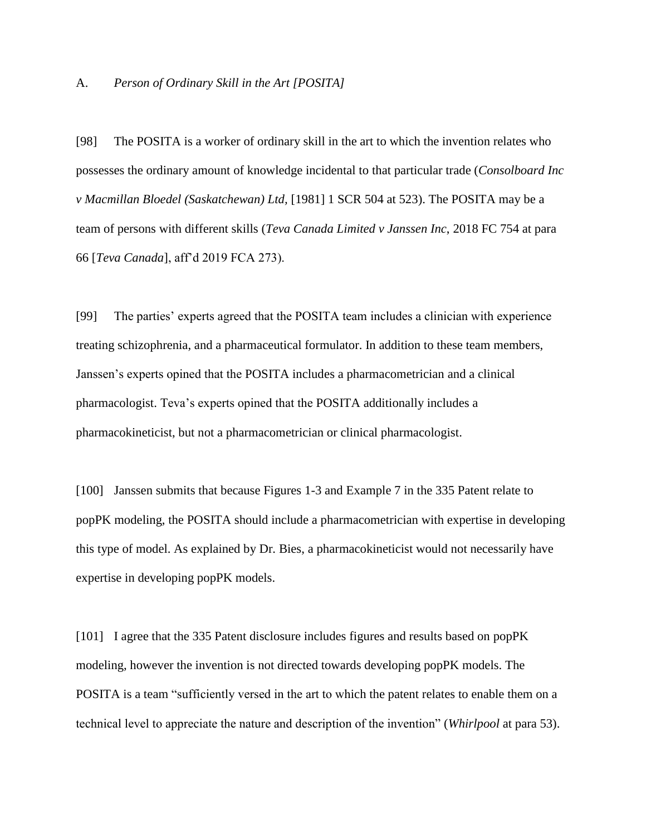#### A. *Person of Ordinary Skill in the Art [POSITA]*

[98] The POSITA is a worker of ordinary skill in the art to which the invention relates who possesses the ordinary amount of knowledge incidental to that particular trade (*Consolboard Inc v Macmillan Bloedel (Saskatchewan) Ltd,* [1981] 1 SCR 504 at 523). The POSITA may be a team of persons with different skills (*Teva Canada Limited v Janssen Inc*, 2018 FC 754 at para 66 [*Teva Canada*], aff'd 2019 FCA 273).

[99] The parties' experts agreed that the POSITA team includes a clinician with experience treating schizophrenia, and a pharmaceutical formulator. In addition to these team members, Janssen's experts opined that the POSITA includes a pharmacometrician and a clinical pharmacologist. Teva's experts opined that the POSITA additionally includes a pharmacokineticist, but not a pharmacometrician or clinical pharmacologist.

[100] Janssen submits that because Figures 1-3 and Example 7 in the 335 Patent relate to popPK modeling, the POSITA should include a pharmacometrician with expertise in developing this type of model. As explained by Dr. Bies, a pharmacokineticist would not necessarily have expertise in developing popPK models.

[101] I agree that the 335 Patent disclosure includes figures and results based on popPK modeling, however the invention is not directed towards developing popPK models. The POSITA is a team "sufficiently versed in the art to which the patent relates to enable them on a technical level to appreciate the nature and description of the invention" (*Whirlpool* at para 53).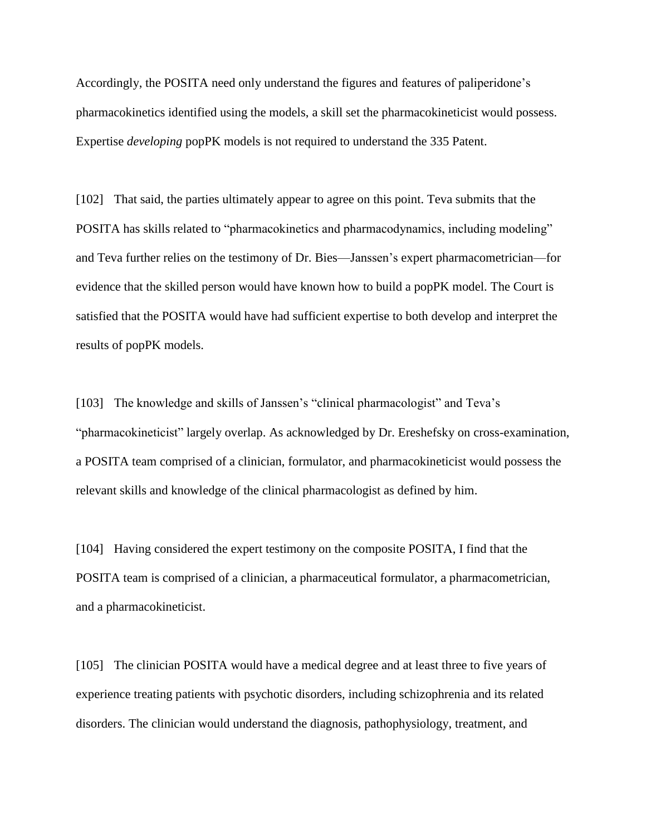Accordingly, the POSITA need only understand the figures and features of paliperidone's pharmacokinetics identified using the models, a skill set the pharmacokineticist would possess. Expertise *developing* popPK models is not required to understand the 335 Patent.

[102] That said, the parties ultimately appear to agree on this point. Teva submits that the POSITA has skills related to "pharmacokinetics and pharmacodynamics, including modeling" and Teva further relies on the testimony of Dr. Bies—Janssen's expert pharmacometrician—for evidence that the skilled person would have known how to build a popPK model. The Court is satisfied that the POSITA would have had sufficient expertise to both develop and interpret the results of popPK models.

[103] The knowledge and skills of Janssen's "clinical pharmacologist" and Teva's "pharmacokineticist" largely overlap. As acknowledged by Dr. Ereshefsky on cross-examination, a POSITA team comprised of a clinician, formulator, and pharmacokineticist would possess the relevant skills and knowledge of the clinical pharmacologist as defined by him.

[104] Having considered the expert testimony on the composite POSITA, I find that the POSITA team is comprised of a clinician, a pharmaceutical formulator, a pharmacometrician, and a pharmacokineticist.

[105] The clinician POSITA would have a medical degree and at least three to five years of experience treating patients with psychotic disorders, including schizophrenia and its related disorders. The clinician would understand the diagnosis, pathophysiology, treatment, and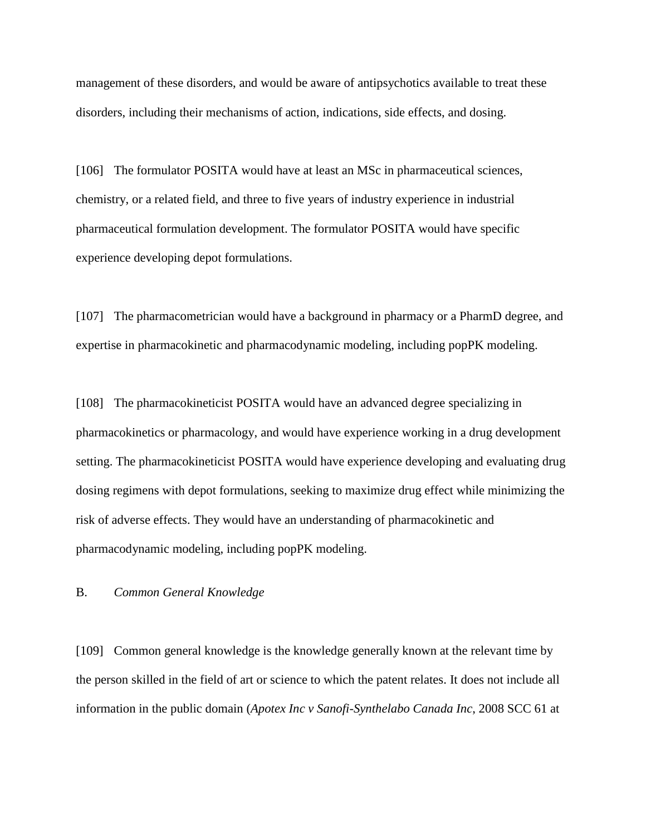management of these disorders, and would be aware of antipsychotics available to treat these disorders, including their mechanisms of action, indications, side effects, and dosing.

[106] The formulator POSITA would have at least an MSc in pharmaceutical sciences, chemistry, or a related field, and three to five years of industry experience in industrial pharmaceutical formulation development. The formulator POSITA would have specific experience developing depot formulations.

[107] The pharmacometrician would have a background in pharmacy or a PharmD degree, and expertise in pharmacokinetic and pharmacodynamic modeling, including popPK modeling.

[108] The pharmacokineticist POSITA would have an advanced degree specializing in pharmacokinetics or pharmacology, and would have experience working in a drug development setting. The pharmacokineticist POSITA would have experience developing and evaluating drug dosing regimens with depot formulations, seeking to maximize drug effect while minimizing the risk of adverse effects. They would have an understanding of pharmacokinetic and pharmacodynamic modeling, including popPK modeling.

#### B. *Common General Knowledge*

[109] Common general knowledge is the knowledge generally known at the relevant time by the person skilled in the field of art or science to which the patent relates. It does not include all information in the public domain (*Apotex Inc v Sanofi-Synthelabo Canada Inc*, 2008 SCC 61 at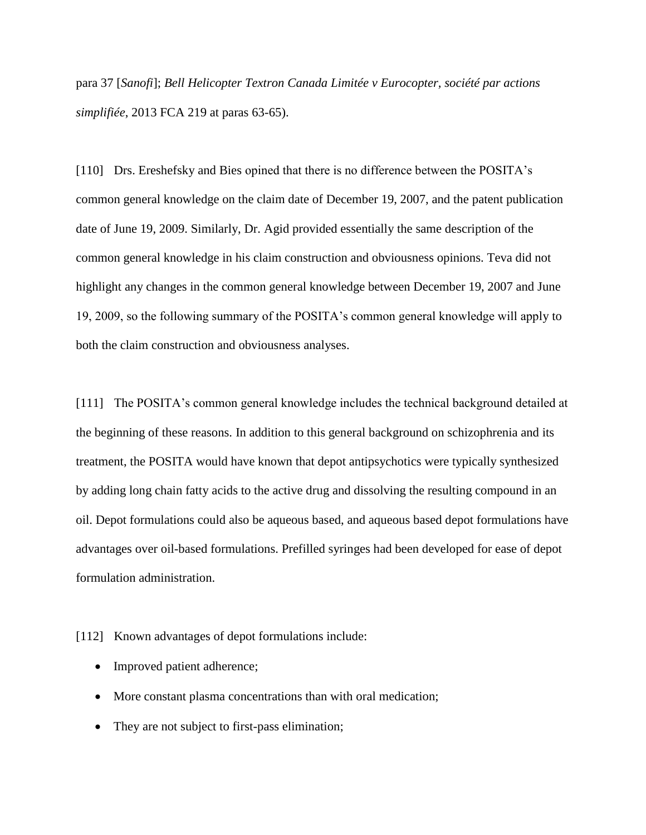para 37 [*Sanofi*]; *Bell Helicopter Textron Canada Limitée v Eurocopter, société par actions simplifiée*, 2013 FCA 219 at paras 63-65).

[110] Drs. Ereshefsky and Bies opined that there is no difference between the POSITA's common general knowledge on the claim date of December 19, 2007, and the patent publication date of June 19, 2009. Similarly, Dr. Agid provided essentially the same description of the common general knowledge in his claim construction and obviousness opinions. Teva did not highlight any changes in the common general knowledge between December 19, 2007 and June 19, 2009, so the following summary of the POSITA's common general knowledge will apply to both the claim construction and obviousness analyses.

[111] The POSITA's common general knowledge includes the technical background detailed at the beginning of these reasons. In addition to this general background on schizophrenia and its treatment, the POSITA would have known that depot antipsychotics were typically synthesized by adding long chain fatty acids to the active drug and dissolving the resulting compound in an oil. Depot formulations could also be aqueous based, and aqueous based depot formulations have advantages over oil-based formulations. Prefilled syringes had been developed for ease of depot formulation administration.

[112] Known advantages of depot formulations include:

- Improved patient adherence;
- More constant plasma concentrations than with oral medication;
- They are not subject to first-pass elimination;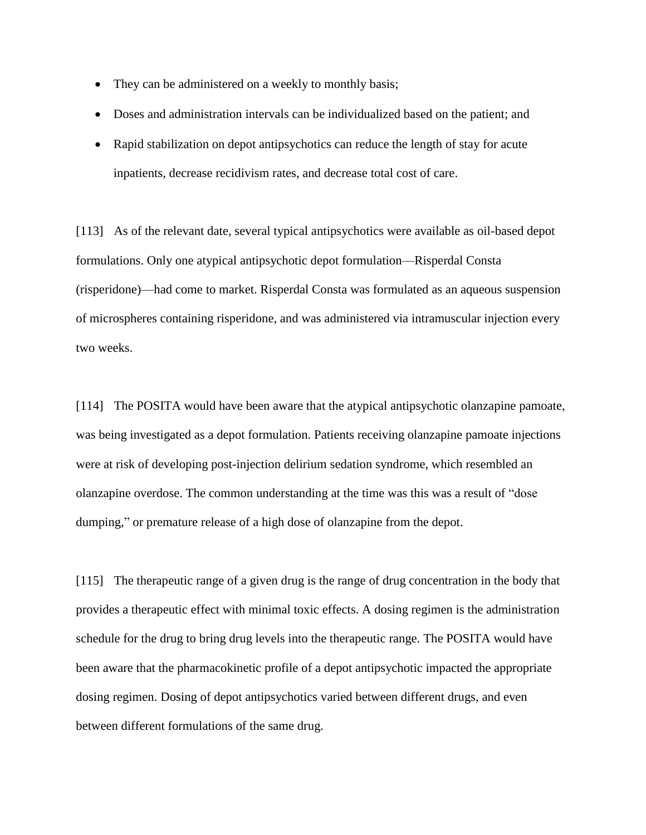- They can be administered on a weekly to monthly basis;
- Doses and administration intervals can be individualized based on the patient; and
- Rapid stabilization on depot antipsychotics can reduce the length of stay for acute inpatients, decrease recidivism rates, and decrease total cost of care.

[113] As of the relevant date, several typical antipsychotics were available as oil-based depot formulations. Only one atypical antipsychotic depot formulation—Risperdal Consta (risperidone)—had come to market. Risperdal Consta was formulated as an aqueous suspension of microspheres containing risperidone, and was administered via intramuscular injection every two weeks.

[114] The POSITA would have been aware that the atypical antipsychotic olanzapine pamoate, was being investigated as a depot formulation. Patients receiving olanzapine pamoate injections were at risk of developing post-injection delirium sedation syndrome, which resembled an olanzapine overdose. The common understanding at the time was this was a result of "dose dumping," or premature release of a high dose of olanzapine from the depot.

[115] The therapeutic range of a given drug is the range of drug concentration in the body that provides a therapeutic effect with minimal toxic effects. A dosing regimen is the administration schedule for the drug to bring drug levels into the therapeutic range. The POSITA would have been aware that the pharmacokinetic profile of a depot antipsychotic impacted the appropriate dosing regimen. Dosing of depot antipsychotics varied between different drugs, and even between different formulations of the same drug.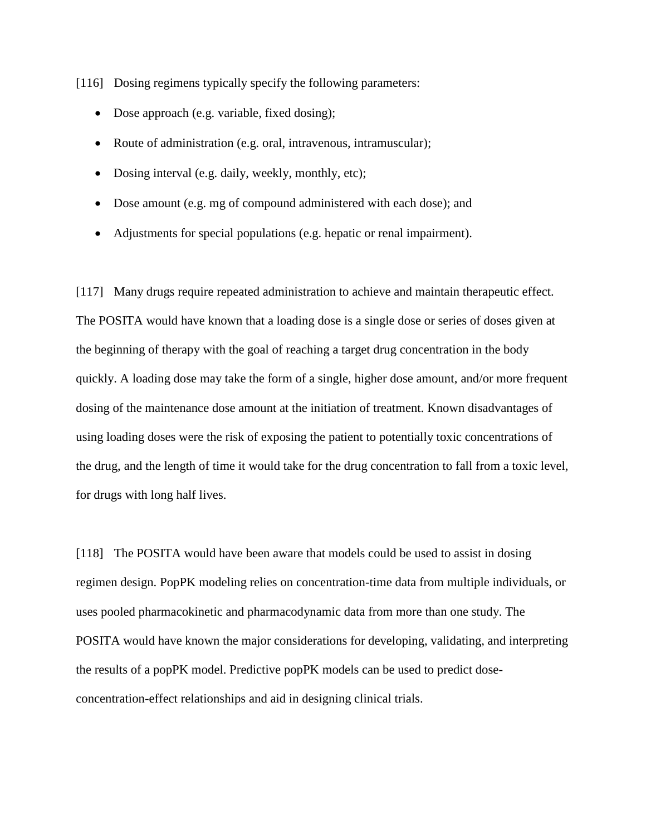[116] Dosing regimens typically specify the following parameters:

- Dose approach (e.g. variable, fixed dosing);
- Route of administration (e.g. oral, intravenous, intramuscular);
- Dosing interval (e.g. daily, weekly, monthly, etc);
- Dose amount (e.g. mg of compound administered with each dose); and
- Adjustments for special populations (e.g. hepatic or renal impairment).

[117] Many drugs require repeated administration to achieve and maintain therapeutic effect. The POSITA would have known that a loading dose is a single dose or series of doses given at the beginning of therapy with the goal of reaching a target drug concentration in the body quickly. A loading dose may take the form of a single, higher dose amount, and/or more frequent dosing of the maintenance dose amount at the initiation of treatment. Known disadvantages of using loading doses were the risk of exposing the patient to potentially toxic concentrations of the drug, and the length of time it would take for the drug concentration to fall from a toxic level, for drugs with long half lives.

[118] The POSITA would have been aware that models could be used to assist in dosing regimen design. PopPK modeling relies on concentration-time data from multiple individuals, or uses pooled pharmacokinetic and pharmacodynamic data from more than one study. The POSITA would have known the major considerations for developing, validating, and interpreting the results of a popPK model. Predictive popPK models can be used to predict doseconcentration-effect relationships and aid in designing clinical trials.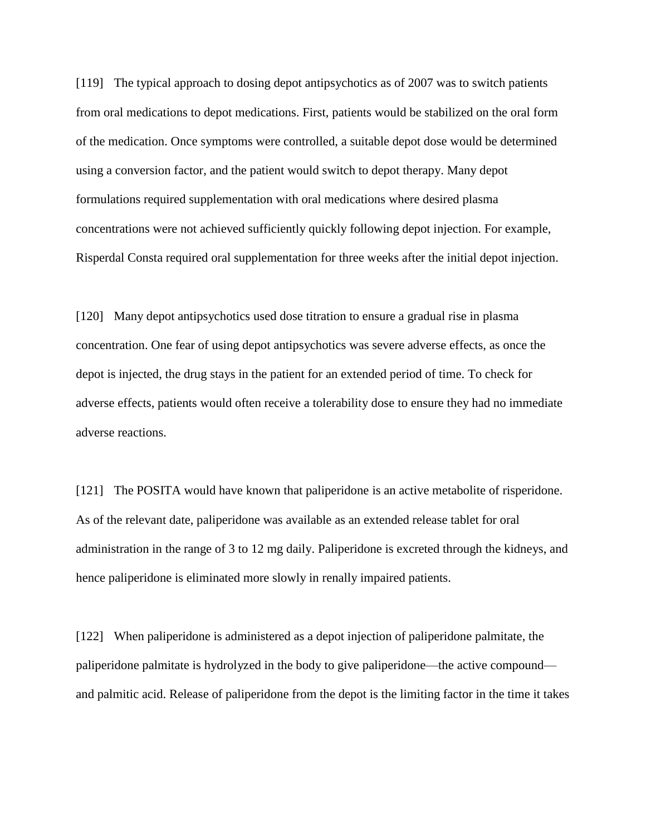[119] The typical approach to dosing depot antipsychotics as of 2007 was to switch patients from oral medications to depot medications. First, patients would be stabilized on the oral form of the medication. Once symptoms were controlled, a suitable depot dose would be determined using a conversion factor, and the patient would switch to depot therapy. Many depot formulations required supplementation with oral medications where desired plasma concentrations were not achieved sufficiently quickly following depot injection. For example, Risperdal Consta required oral supplementation for three weeks after the initial depot injection.

[120] Many depot antipsychotics used dose titration to ensure a gradual rise in plasma concentration. One fear of using depot antipsychotics was severe adverse effects, as once the depot is injected, the drug stays in the patient for an extended period of time. To check for adverse effects, patients would often receive a tolerability dose to ensure they had no immediate adverse reactions.

[121] The POSITA would have known that paliperidone is an active metabolite of risperidone. As of the relevant date, paliperidone was available as an extended release tablet for oral administration in the range of 3 to 12 mg daily. Paliperidone is excreted through the kidneys, and hence paliperidone is eliminated more slowly in renally impaired patients.

[122] When paliperidone is administered as a depot injection of paliperidone palmitate, the paliperidone palmitate is hydrolyzed in the body to give paliperidone—the active compound and palmitic acid. Release of paliperidone from the depot is the limiting factor in the time it takes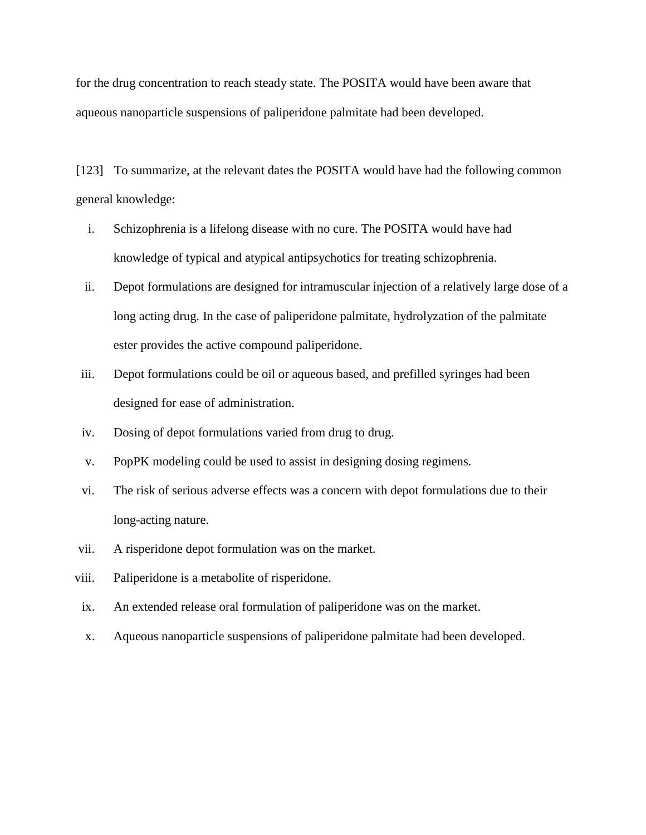for the drug concentration to reach steady state. The POSITA would have been aware that aqueous nanoparticle suspensions of paliperidone palmitate had been developed.

[123] To summarize, at the relevant dates the POSITA would have had the following common general knowledge:

- i. Schizophrenia is a lifelong disease with no cure. The POSITA would have had knowledge of typical and atypical antipsychotics for treating schizophrenia.
- ii. Depot formulations are designed for intramuscular injection of a relatively large dose of a long acting drug. In the case of paliperidone palmitate, hydrolyzation of the palmitate ester provides the active compound paliperidone.
- iii. Depot formulations could be oil or aqueous based, and prefilled syringes had been designed for ease of administration.
- iv. Dosing of depot formulations varied from drug to drug.
- v. PopPK modeling could be used to assist in designing dosing regimens.
- vi. The risk of serious adverse effects was a concern with depot formulations due to their long-acting nature.
- vii. A risperidone depot formulation was on the market.
- viii. Paliperidone is a metabolite of risperidone.
- ix. An extended release oral formulation of paliperidone was on the market.
- x. Aqueous nanoparticle suspensions of paliperidone palmitate had been developed.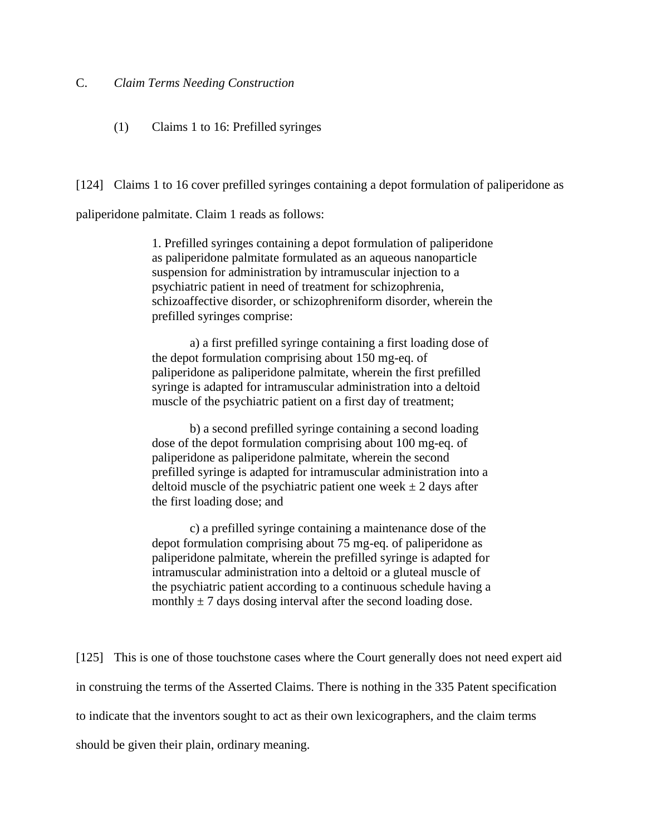## C. *Claim Terms Needing Construction*

(1) Claims 1 to 16: Prefilled syringes

[124] Claims 1 to 16 cover prefilled syringes containing a depot formulation of paliperidone as

paliperidone palmitate. Claim 1 reads as follows:

1. Prefilled syringes containing a depot formulation of paliperidone as paliperidone palmitate formulated as an aqueous nanoparticle suspension for administration by intramuscular injection to a psychiatric patient in need of treatment for schizophrenia, schizoaffective disorder, or schizophreniform disorder, wherein the prefilled syringes comprise:

a) a first prefilled syringe containing a first loading dose of the depot formulation comprising about 150 mg-eq. of paliperidone as paliperidone palmitate, wherein the first prefilled syringe is adapted for intramuscular administration into a deltoid muscle of the psychiatric patient on a first day of treatment;

b) a second prefilled syringe containing a second loading dose of the depot formulation comprising about 100 mg-eq. of paliperidone as paliperidone palmitate, wherein the second prefilled syringe is adapted for intramuscular administration into a deltoid muscle of the psychiatric patient one week  $\pm$  2 days after the first loading dose; and

c) a prefilled syringe containing a maintenance dose of the depot formulation comprising about 75 mg-eq. of paliperidone as paliperidone palmitate, wherein the prefilled syringe is adapted for intramuscular administration into a deltoid or a gluteal muscle of the psychiatric patient according to a continuous schedule having a monthly  $\pm$  7 days dosing interval after the second loading dose.

[125] This is one of those touchstone cases where the Court generally does not need expert aid in construing the terms of the Asserted Claims. There is nothing in the 335 Patent specification to indicate that the inventors sought to act as their own lexicographers, and the claim terms should be given their plain, ordinary meaning.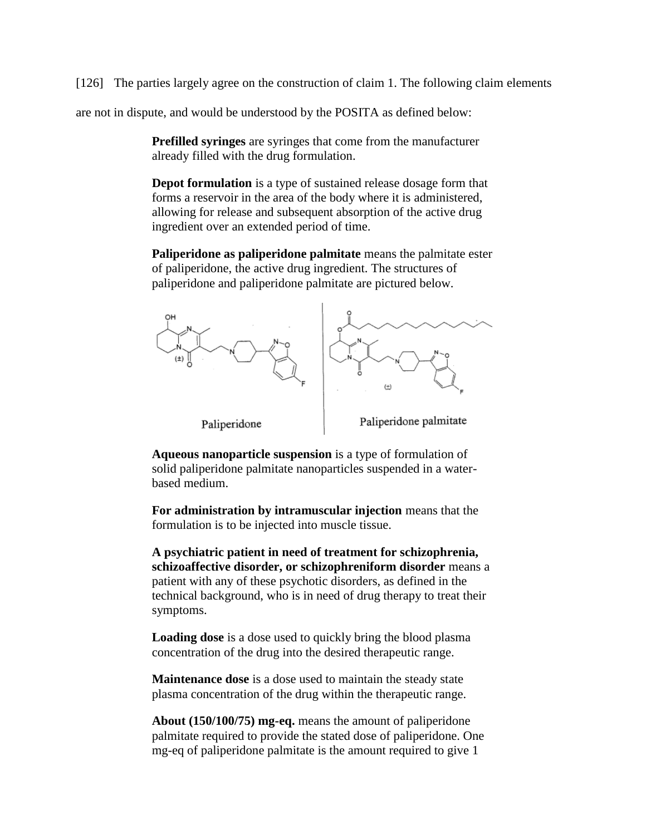[126] The parties largely agree on the construction of claim 1. The following claim elements

are not in dispute, and would be understood by the POSITA as defined below:

**Prefilled syringes** are syringes that come from the manufacturer already filled with the drug formulation.

**Depot formulation** is a type of sustained release dosage form that forms a reservoir in the area of the body where it is administered, allowing for release and subsequent absorption of the active drug ingredient over an extended period of time.

**Paliperidone as paliperidone palmitate** means the palmitate ester of paliperidone, the active drug ingredient. The structures of paliperidone and paliperidone palmitate are pictured below.



**Aqueous nanoparticle suspension** is a type of formulation of solid paliperidone palmitate nanoparticles suspended in a waterbased medium.

**For administration by intramuscular injection** means that the formulation is to be injected into muscle tissue.

**A psychiatric patient in need of treatment for schizophrenia, schizoaffective disorder, or schizophreniform disorder** means a patient with any of these psychotic disorders, as defined in the technical background, who is in need of drug therapy to treat their symptoms.

**Loading dose** is a dose used to quickly bring the blood plasma concentration of the drug into the desired therapeutic range.

**Maintenance dose** is a dose used to maintain the steady state plasma concentration of the drug within the therapeutic range.

**About (150/100/75) mg-eq.** means the amount of paliperidone palmitate required to provide the stated dose of paliperidone. One mg-eq of paliperidone palmitate is the amount required to give 1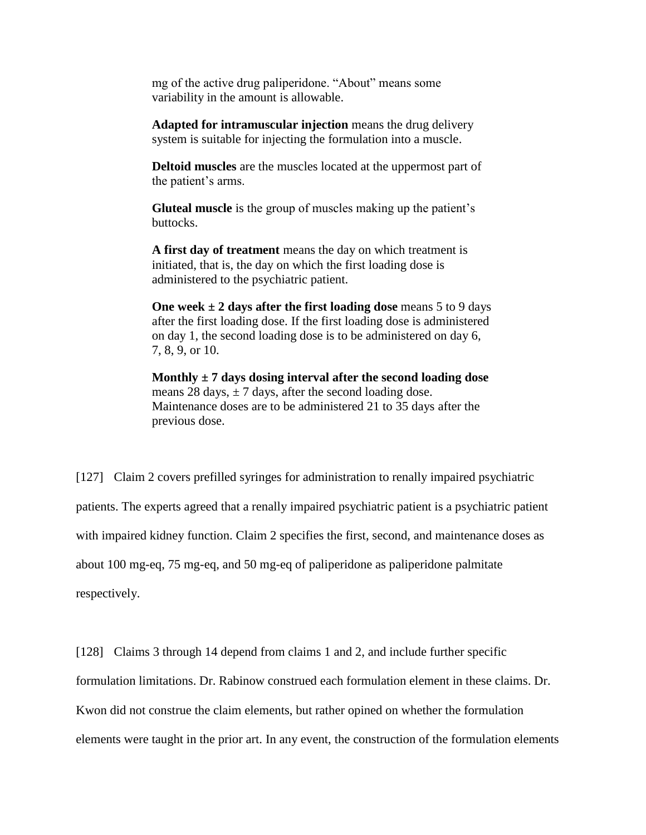mg of the active drug paliperidone. "About" means some variability in the amount is allowable.

**Adapted for intramuscular injection** means the drug delivery system is suitable for injecting the formulation into a muscle.

**Deltoid muscles** are the muscles located at the uppermost part of the patient's arms.

**Gluteal muscle** is the group of muscles making up the patient's buttocks.

**A first day of treatment** means the day on which treatment is initiated, that is, the day on which the first loading dose is administered to the psychiatric patient.

**One week ± 2 days after the first loading dose** means 5 to 9 days after the first loading dose. If the first loading dose is administered on day 1, the second loading dose is to be administered on day 6, 7, 8, 9, or 10.

**Monthly ± 7 days dosing interval after the second loading dose** means 28 days,  $\pm$  7 days, after the second loading dose. Maintenance doses are to be administered 21 to 35 days after the previous dose.

[127] Claim 2 covers prefilled syringes for administration to renally impaired psychiatric patients. The experts agreed that a renally impaired psychiatric patient is a psychiatric patient with impaired kidney function. Claim 2 specifies the first, second, and maintenance doses as about 100 mg-eq, 75 mg-eq, and 50 mg-eq of paliperidone as paliperidone palmitate respectively.

[128] Claims 3 through 14 depend from claims 1 and 2, and include further specific formulation limitations. Dr. Rabinow construed each formulation element in these claims. Dr. Kwon did not construe the claim elements, but rather opined on whether the formulation elements were taught in the prior art. In any event, the construction of the formulation elements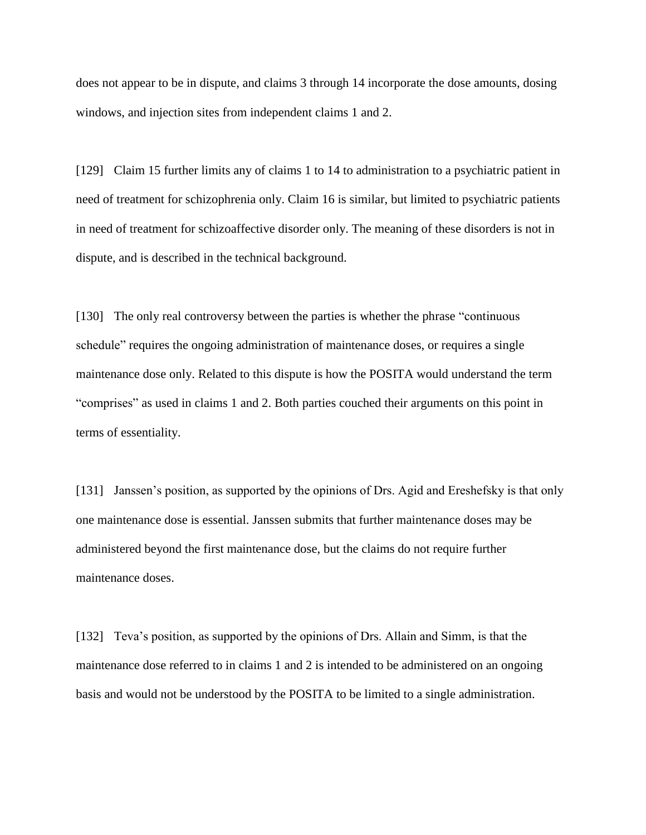does not appear to be in dispute, and claims 3 through 14 incorporate the dose amounts, dosing windows, and injection sites from independent claims 1 and 2.

[129] Claim 15 further limits any of claims 1 to 14 to administration to a psychiatric patient in need of treatment for schizophrenia only. Claim 16 is similar, but limited to psychiatric patients in need of treatment for schizoaffective disorder only. The meaning of these disorders is not in dispute, and is described in the technical background.

[130] The only real controversy between the parties is whether the phrase "continuous" schedule" requires the ongoing administration of maintenance doses, or requires a single maintenance dose only. Related to this dispute is how the POSITA would understand the term "comprises" as used in claims 1 and 2. Both parties couched their arguments on this point in terms of essentiality.

[131] Janssen's position, as supported by the opinions of Drs. Agid and Ereshefsky is that only one maintenance dose is essential. Janssen submits that further maintenance doses may be administered beyond the first maintenance dose, but the claims do not require further maintenance doses.

[132] Teva's position, as supported by the opinions of Drs. Allain and Simm, is that the maintenance dose referred to in claims 1 and 2 is intended to be administered on an ongoing basis and would not be understood by the POSITA to be limited to a single administration.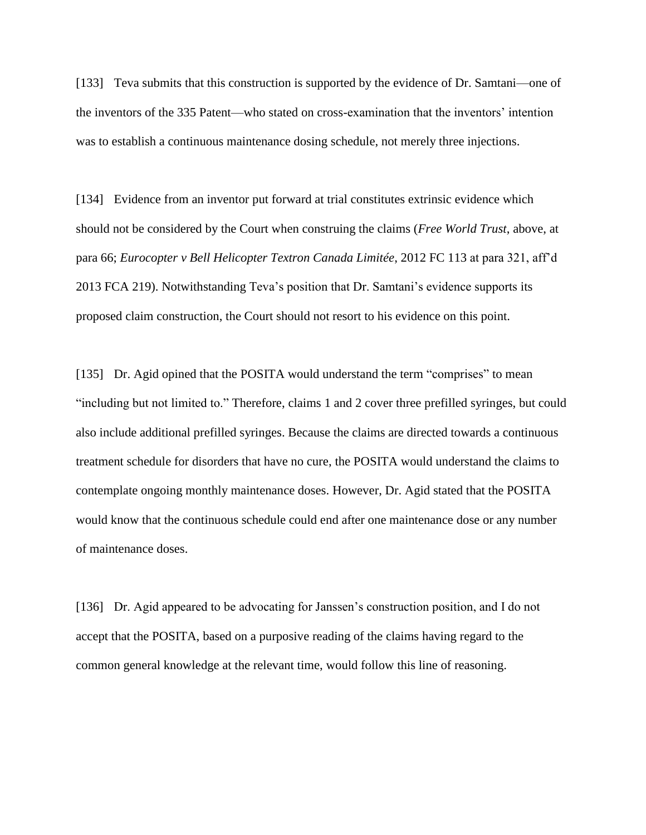[133] Teva submits that this construction is supported by the evidence of Dr. Samtani—one of the inventors of the 335 Patent—who stated on cross-examination that the inventors' intention was to establish a continuous maintenance dosing schedule, not merely three injections.

[134] Evidence from an inventor put forward at trial constitutes extrinsic evidence which should not be considered by the Court when construing the claims (*Free World Trust*, above, at para 66; *Eurocopter v Bell Helicopter Textron Canada Limitée*, 2012 FC 113 at para 321, aff'd 2013 FCA 219). Notwithstanding Teva's position that Dr. Samtani's evidence supports its proposed claim construction, the Court should not resort to his evidence on this point.

[135] Dr. Agid opined that the POSITA would understand the term "comprises" to mean "including but not limited to." Therefore, claims 1 and 2 cover three prefilled syringes, but could also include additional prefilled syringes. Because the claims are directed towards a continuous treatment schedule for disorders that have no cure, the POSITA would understand the claims to contemplate ongoing monthly maintenance doses. However, Dr. Agid stated that the POSITA would know that the continuous schedule could end after one maintenance dose or any number of maintenance doses.

[136] Dr. Agid appeared to be advocating for Janssen's construction position, and I do not accept that the POSITA, based on a purposive reading of the claims having regard to the common general knowledge at the relevant time, would follow this line of reasoning.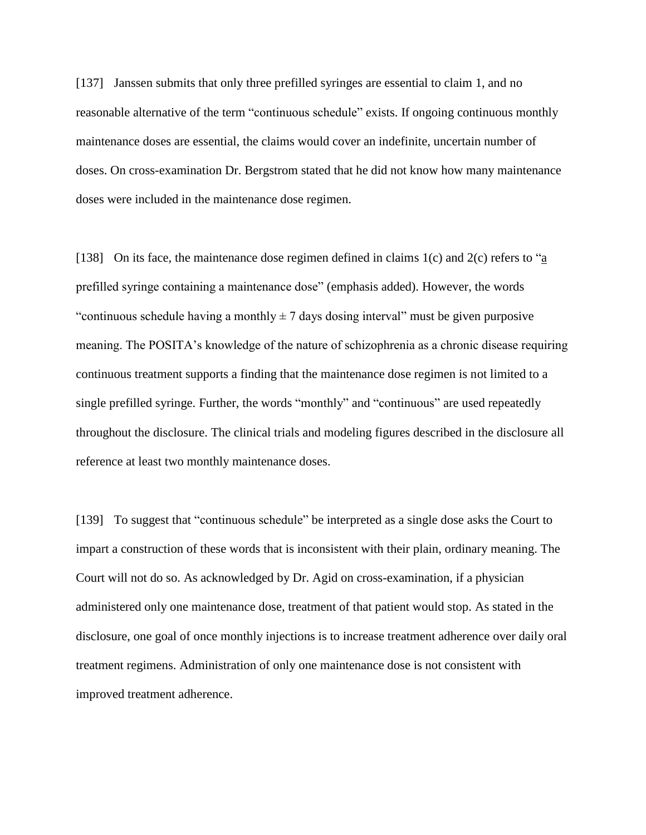[137] Janssen submits that only three prefilled syringes are essential to claim 1, and no reasonable alternative of the term "continuous schedule" exists. If ongoing continuous monthly maintenance doses are essential, the claims would cover an indefinite, uncertain number of doses. On cross-examination Dr. Bergstrom stated that he did not know how many maintenance doses were included in the maintenance dose regimen.

[138] On its face, the maintenance dose regimen defined in claims 1(c) and 2(c) refers to "a prefilled syringe containing a maintenance dose" (emphasis added). However, the words "continuous schedule having a monthly  $\pm$  7 days dosing interval" must be given purposive meaning. The POSITA's knowledge of the nature of schizophrenia as a chronic disease requiring continuous treatment supports a finding that the maintenance dose regimen is not limited to a single prefilled syringe. Further, the words "monthly" and "continuous" are used repeatedly throughout the disclosure. The clinical trials and modeling figures described in the disclosure all reference at least two monthly maintenance doses.

[139] To suggest that "continuous schedule" be interpreted as a single dose asks the Court to impart a construction of these words that is inconsistent with their plain, ordinary meaning. The Court will not do so. As acknowledged by Dr. Agid on cross-examination, if a physician administered only one maintenance dose, treatment of that patient would stop. As stated in the disclosure, one goal of once monthly injections is to increase treatment adherence over daily oral treatment regimens. Administration of only one maintenance dose is not consistent with improved treatment adherence.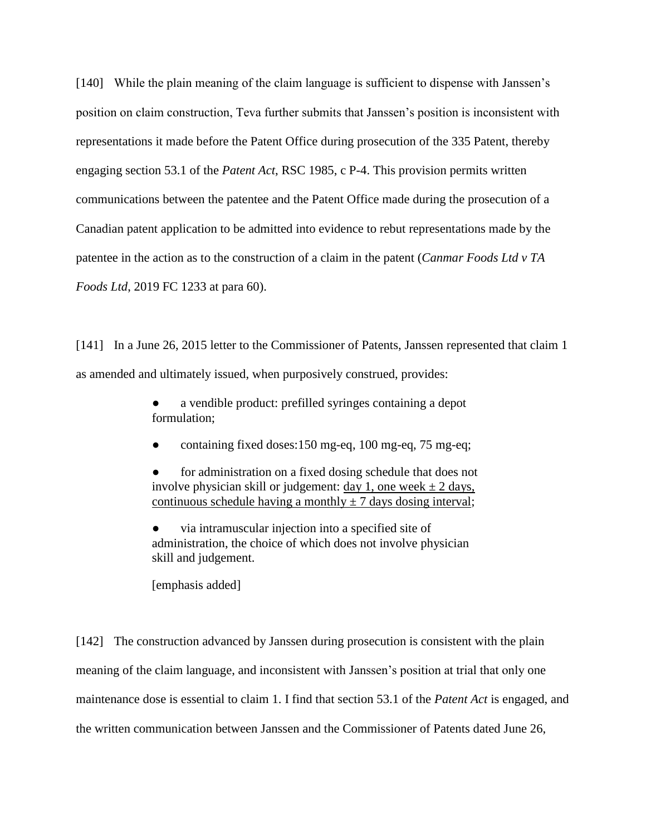[140] While the plain meaning of the claim language is sufficient to dispense with Janssen's position on claim construction, Teva further submits that Janssen's position is inconsistent with representations it made before the Patent Office during prosecution of the 335 Patent, thereby engaging section 53.1 of the *Patent Act*, RSC 1985, c P-4. This provision permits written communications between the patentee and the Patent Office made during the prosecution of a Canadian patent application to be admitted into evidence to rebut representations made by the patentee in the action as to the construction of a claim in the patent (*Canmar Foods Ltd v TA Foods Ltd*, 2019 FC 1233 at para 60).

[141] In a June 26, 2015 letter to the Commissioner of Patents, Janssen represented that claim 1 as amended and ultimately issued, when purposively construed, provides:

> a vendible product: prefilled syringes containing a depot formulation;

● containing fixed doses:150 mg-eq, 100 mg-eq, 75 mg-eq;

for administration on a fixed dosing schedule that does not involve physician skill or judgement: day 1, one week  $\pm$  2 days, continuous schedule having a monthly  $\pm$  7 days dosing interval;

via intramuscular injection into a specified site of administration, the choice of which does not involve physician skill and judgement.

[emphasis added]

[142] The construction advanced by Janssen during prosecution is consistent with the plain meaning of the claim language, and inconsistent with Janssen's position at trial that only one maintenance dose is essential to claim 1. I find that section 53.1 of the *Patent Act* is engaged, and the written communication between Janssen and the Commissioner of Patents dated June 26,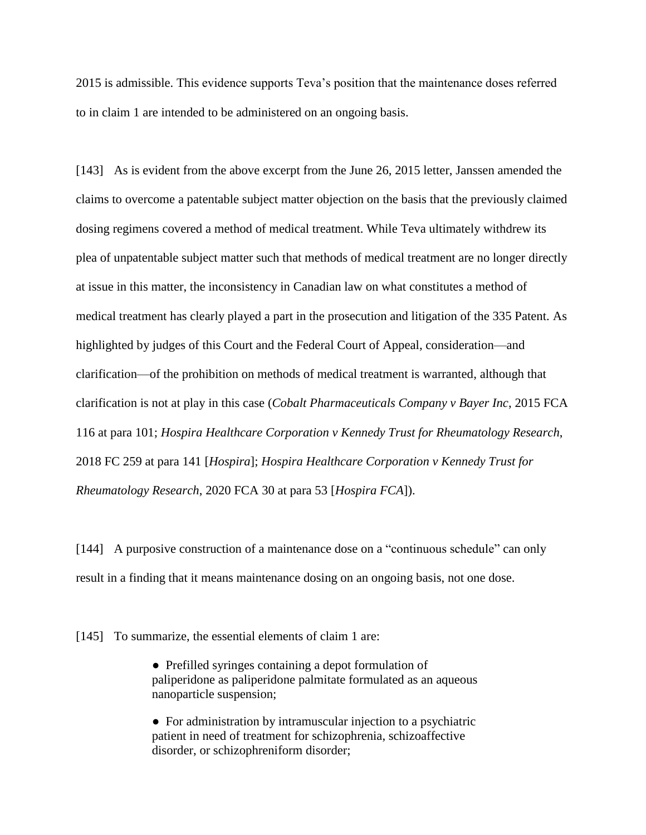2015 is admissible. This evidence supports Teva's position that the maintenance doses referred to in claim 1 are intended to be administered on an ongoing basis.

[143] As is evident from the above excerpt from the June 26, 2015 letter, Janssen amended the claims to overcome a patentable subject matter objection on the basis that the previously claimed dosing regimens covered a method of medical treatment. While Teva ultimately withdrew its plea of unpatentable subject matter such that methods of medical treatment are no longer directly at issue in this matter, the inconsistency in Canadian law on what constitutes a method of medical treatment has clearly played a part in the prosecution and litigation of the 335 Patent. As highlighted by judges of this Court and the Federal Court of Appeal, consideration—and clarification—of the prohibition on methods of medical treatment is warranted, although that clarification is not at play in this case (*Cobalt Pharmaceuticals Company v Bayer Inc*, 2015 FCA 116 at para 101; *Hospira Healthcare Corporation v Kennedy Trust for Rheumatology Research*, 2018 FC 259 at para 141 [*Hospira*]; *Hospira Healthcare Corporation v Kennedy Trust for Rheumatology Research*, 2020 FCA 30 at para 53 [*Hospira FCA*]).

[144] A purposive construction of a maintenance dose on a "continuous schedule" can only result in a finding that it means maintenance dosing on an ongoing basis, not one dose.

[145] To summarize, the essential elements of claim 1 are:

● Prefilled syringes containing a depot formulation of paliperidone as paliperidone palmitate formulated as an aqueous nanoparticle suspension;

● For administration by intramuscular injection to a psychiatric patient in need of treatment for schizophrenia, schizoaffective disorder, or schizophreniform disorder;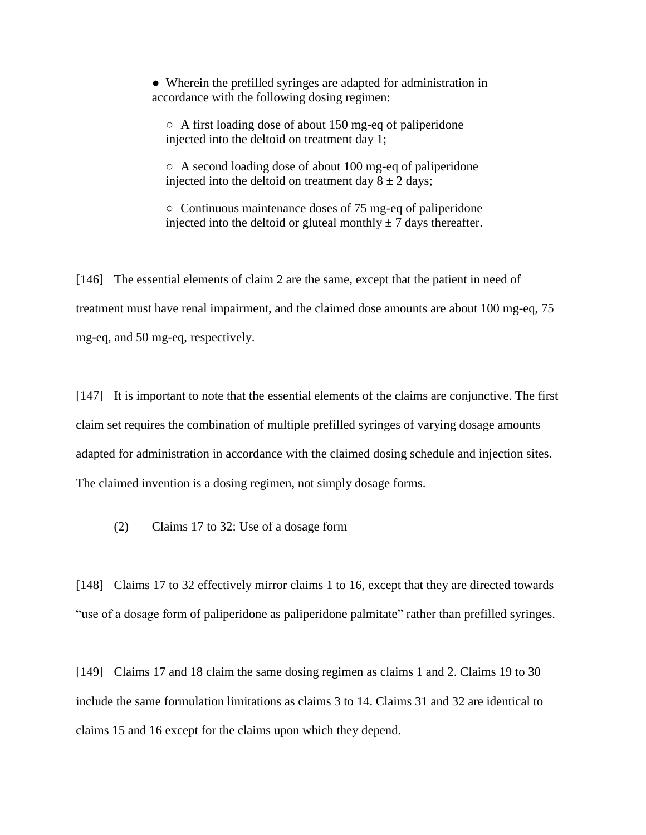● Wherein the prefilled syringes are adapted for administration in accordance with the following dosing regimen:

○ A first loading dose of about 150 mg-eq of paliperidone injected into the deltoid on treatment day 1;

○ A second loading dose of about 100 mg-eq of paliperidone injected into the deltoid on treatment day  $8 \pm 2$  days;

○ Continuous maintenance doses of 75 mg-eq of paliperidone injected into the deltoid or gluteal monthly  $\pm$  7 days thereafter.

[146] The essential elements of claim 2 are the same, except that the patient in need of treatment must have renal impairment, and the claimed dose amounts are about 100 mg-eq, 75 mg-eq, and 50 mg-eq, respectively.

[147] It is important to note that the essential elements of the claims are conjunctive. The first claim set requires the combination of multiple prefilled syringes of varying dosage amounts adapted for administration in accordance with the claimed dosing schedule and injection sites. The claimed invention is a dosing regimen, not simply dosage forms.

(2) Claims 17 to 32: Use of a dosage form

[148] Claims 17 to 32 effectively mirror claims 1 to 16, except that they are directed towards "use of a dosage form of paliperidone as paliperidone palmitate" rather than prefilled syringes.

[149] Claims 17 and 18 claim the same dosing regimen as claims 1 and 2. Claims 19 to 30 include the same formulation limitations as claims 3 to 14. Claims 31 and 32 are identical to claims 15 and 16 except for the claims upon which they depend.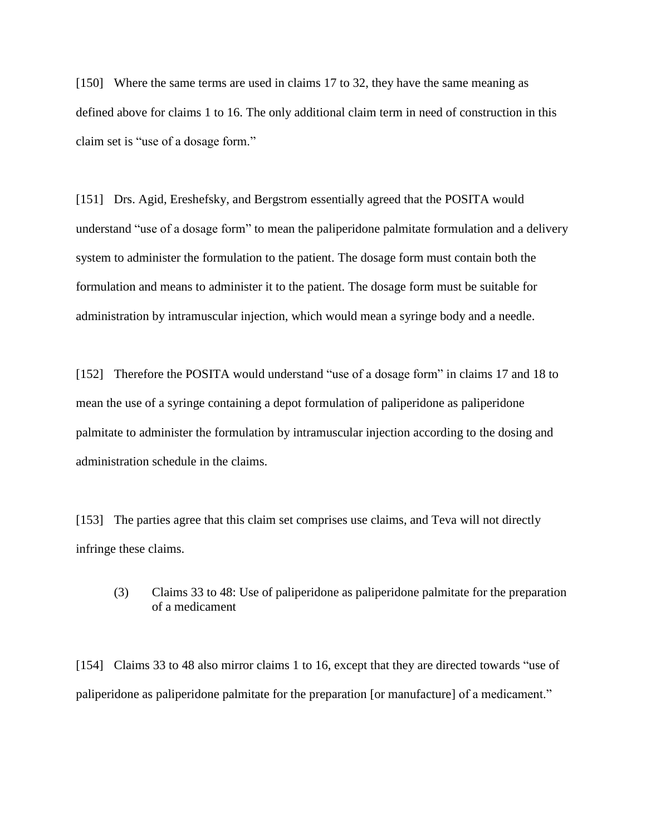[150] Where the same terms are used in claims 17 to 32, they have the same meaning as defined above for claims 1 to 16. The only additional claim term in need of construction in this claim set is "use of a dosage form."

[151] Drs. Agid, Ereshefsky, and Bergstrom essentially agreed that the POSITA would understand "use of a dosage form" to mean the paliperidone palmitate formulation and a delivery system to administer the formulation to the patient. The dosage form must contain both the formulation and means to administer it to the patient. The dosage form must be suitable for administration by intramuscular injection, which would mean a syringe body and a needle.

[152] Therefore the POSITA would understand "use of a dosage form" in claims 17 and 18 to mean the use of a syringe containing a depot formulation of paliperidone as paliperidone palmitate to administer the formulation by intramuscular injection according to the dosing and administration schedule in the claims.

[153] The parties agree that this claim set comprises use claims, and Teva will not directly infringe these claims.

(3) Claims 33 to 48: Use of paliperidone as paliperidone palmitate for the preparation of a medicament

[154] Claims 33 to 48 also mirror claims 1 to 16, except that they are directed towards "use of paliperidone as paliperidone palmitate for the preparation [or manufacture] of a medicament."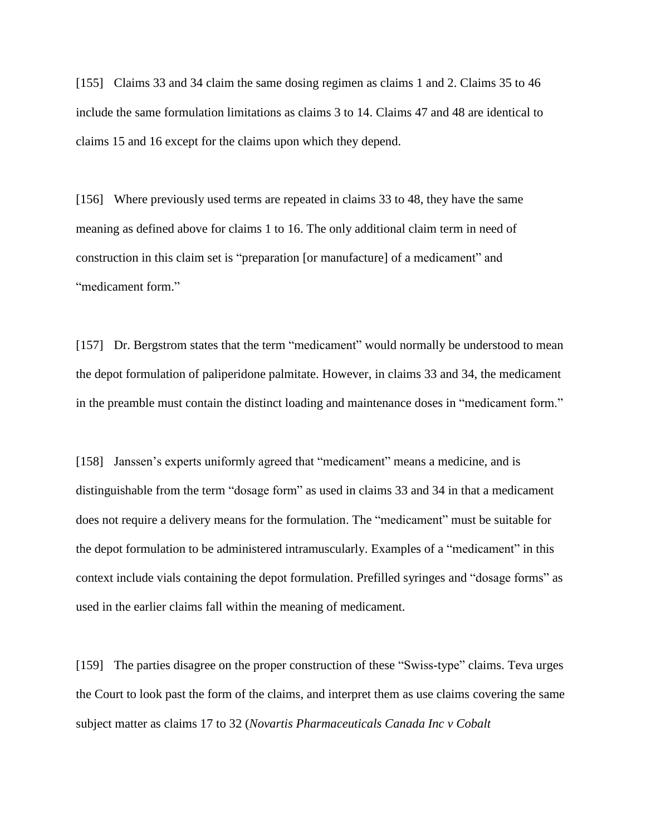[155] Claims 33 and 34 claim the same dosing regimen as claims 1 and 2. Claims 35 to 46 include the same formulation limitations as claims 3 to 14. Claims 47 and 48 are identical to claims 15 and 16 except for the claims upon which they depend.

[156] Where previously used terms are repeated in claims 33 to 48, they have the same meaning as defined above for claims 1 to 16. The only additional claim term in need of construction in this claim set is "preparation [or manufacture] of a medicament" and "medicament form."

[157] Dr. Bergstrom states that the term "medicament" would normally be understood to mean the depot formulation of paliperidone palmitate. However, in claims 33 and 34, the medicament in the preamble must contain the distinct loading and maintenance doses in "medicament form."

[158] Janssen's experts uniformly agreed that "medicament" means a medicine, and is distinguishable from the term "dosage form" as used in claims 33 and 34 in that a medicament does not require a delivery means for the formulation. The "medicament" must be suitable for the depot formulation to be administered intramuscularly. Examples of a "medicament" in this context include vials containing the depot formulation. Prefilled syringes and "dosage forms" as used in the earlier claims fall within the meaning of medicament.

[159] The parties disagree on the proper construction of these "Swiss-type" claims. Teva urges the Court to look past the form of the claims, and interpret them as use claims covering the same subject matter as claims 17 to 32 (*Novartis Pharmaceuticals Canada Inc v Cobalt*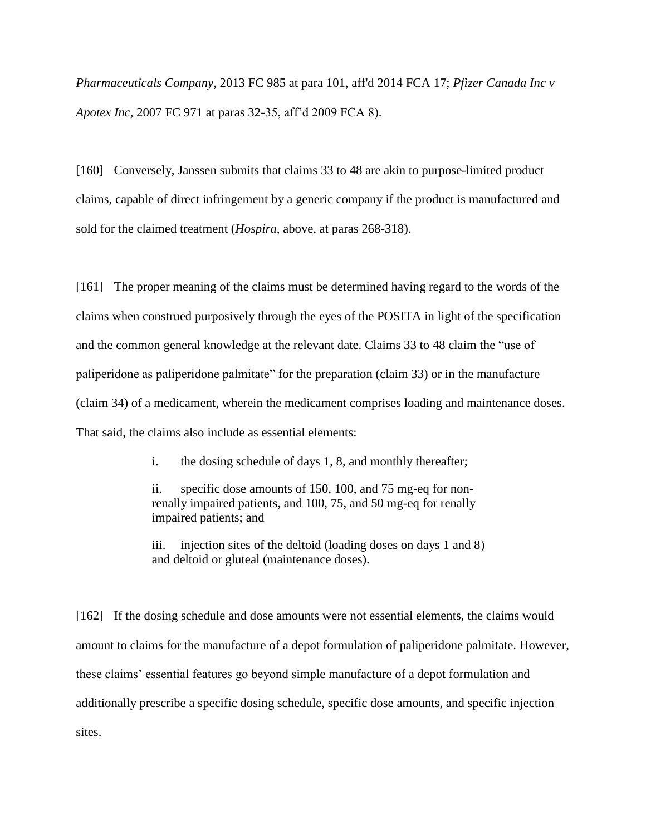*Pharmaceuticals Company*, 2013 FC 985 at para 101, aff'd 2014 FCA 17; *Pfizer Canada Inc v Apotex Inc*, 2007 FC 971 at paras 32-35, aff'd 2009 FCA 8).

[160] Conversely, Janssen submits that claims 33 to 48 are akin to purpose-limited product claims, capable of direct infringement by a generic company if the product is manufactured and sold for the claimed treatment (*Hospira*, above, at paras 268-318).

[161] The proper meaning of the claims must be determined having regard to the words of the claims when construed purposively through the eyes of the POSITA in light of the specification and the common general knowledge at the relevant date. Claims 33 to 48 claim the "use of paliperidone as paliperidone palmitate" for the preparation (claim 33) or in the manufacture (claim 34) of a medicament, wherein the medicament comprises loading and maintenance doses. That said, the claims also include as essential elements:

i. the dosing schedule of days 1, 8, and monthly thereafter;

ii. specific dose amounts of 150, 100, and 75 mg-eq for nonrenally impaired patients, and 100, 75, and 50 mg-eq for renally impaired patients; and

iii. injection sites of the deltoid (loading doses on days 1 and 8) and deltoid or gluteal (maintenance doses).

[162] If the dosing schedule and dose amounts were not essential elements, the claims would amount to claims for the manufacture of a depot formulation of paliperidone palmitate. However, these claims' essential features go beyond simple manufacture of a depot formulation and additionally prescribe a specific dosing schedule, specific dose amounts, and specific injection sites.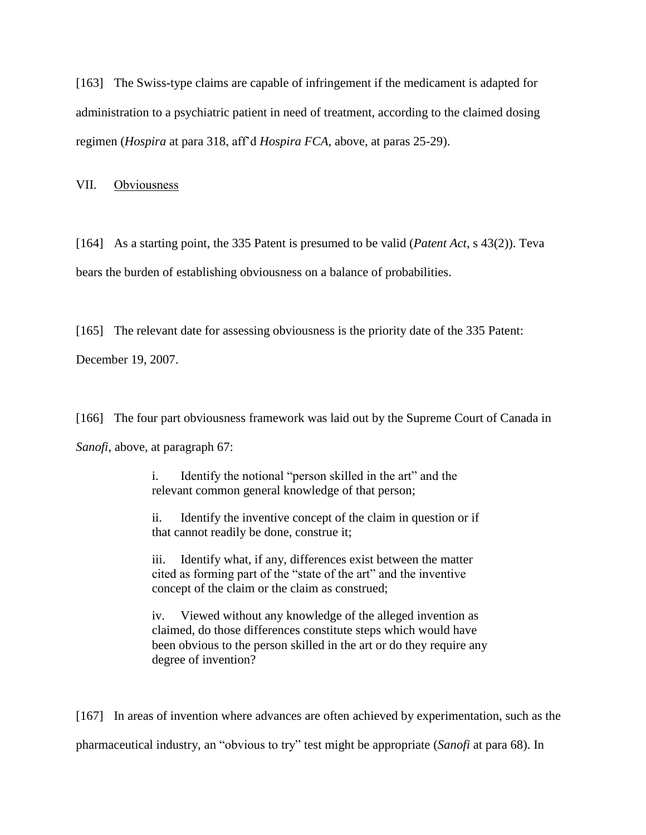[163] The Swiss-type claims are capable of infringement if the medicament is adapted for administration to a psychiatric patient in need of treatment, according to the claimed dosing regimen (*Hospira* at para 318, aff'd *Hospira FCA*, above, at paras 25-29).

VII. Obviousness

[164] As a starting point, the 335 Patent is presumed to be valid (*Patent Act*, s 43(2)). Teva bears the burden of establishing obviousness on a balance of probabilities.

[165] The relevant date for assessing obviousness is the priority date of the 335 Patent:

December 19, 2007.

[166] The four part obviousness framework was laid out by the Supreme Court of Canada in *Sanofi*, above, at paragraph 67:

> i. Identify the notional "person skilled in the art" and the relevant common general knowledge of that person;

ii. Identify the inventive concept of the claim in question or if that cannot readily be done, construe it;

iii. Identify what, if any, differences exist between the matter cited as forming part of the "state of the art" and the inventive concept of the claim or the claim as construed;

iv. Viewed without any knowledge of the alleged invention as claimed, do those differences constitute steps which would have been obvious to the person skilled in the art or do they require any degree of invention?

[167] In areas of invention where advances are often achieved by experimentation, such as the pharmaceutical industry, an "obvious to try" test might be appropriate (*Sanofi* at para 68). In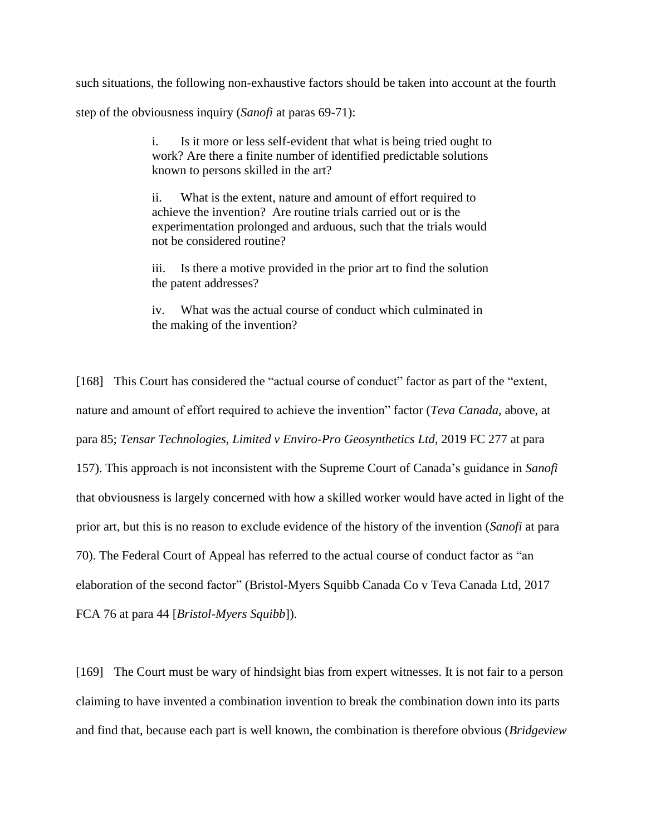such situations, the following non-exhaustive factors should be taken into account at the fourth

step of the obviousness inquiry (*Sanofi* at paras 69-71):

i. Is it more or less self-evident that what is being tried ought to work? Are there a finite number of identified predictable solutions known to persons skilled in the art?

ii. What is the extent, nature and amount of effort required to achieve the invention? Are routine trials carried out or is the experimentation prolonged and arduous, such that the trials would not be considered routine?

iii. Is there a motive provided in the prior art to find the solution the patent addresses?

iv. What was the actual course of conduct which culminated in the making of the invention?

[168] This Court has considered the "actual course of conduct" factor as part of the "extent, nature and amount of effort required to achieve the invention" factor (*Teva Canada,* above, at para 85; *Tensar Technologies, Limited v Enviro-Pro Geosynthetics Ltd*, 2019 FC 277 at para 157). This approach is not inconsistent with the Supreme Court of Canada's guidance in *Sanofi*  that obviousness is largely concerned with how a skilled worker would have acted in light of the prior art, but this is no reason to exclude evidence of the history of the invention (*Sanofi* at para 70). The Federal Court of Appeal has referred to the actual course of conduct factor as "an elaboration of the second factor" (Bristol-Myers Squibb Canada Co v Teva Canada Ltd, 2017 FCA 76 at para 44 [*Bristol-Myers Squibb*]).

[169] The Court must be wary of hindsight bias from expert witnesses. It is not fair to a person claiming to have invented a combination invention to break the combination down into its parts and find that, because each part is well known, the combination is therefore obvious (*Bridgeview*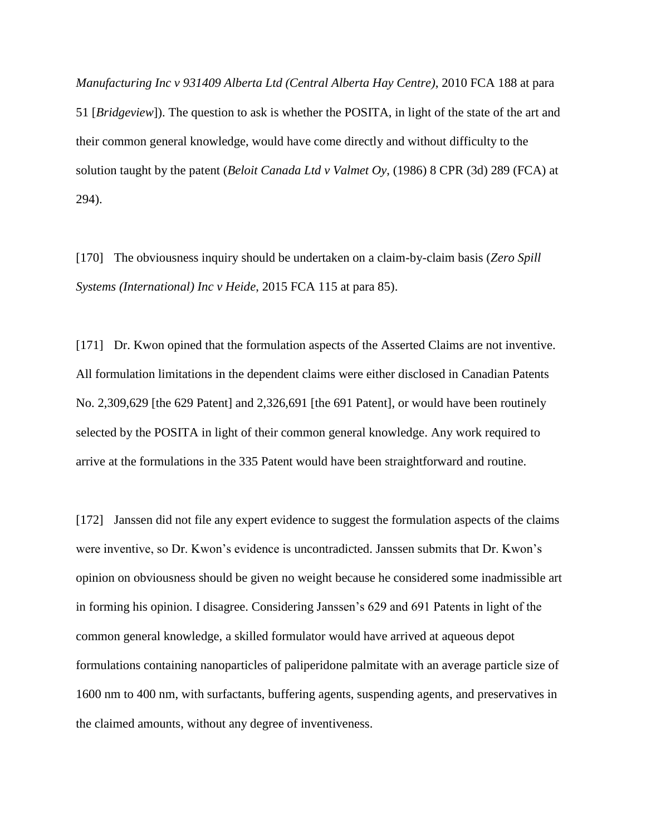*Manufacturing Inc v 931409 Alberta Ltd (Central Alberta Hay Centre)*, 2010 FCA 188 at para 51 [*Bridgeview*]). The question to ask is whether the POSITA, in light of the state of the art and their common general knowledge, would have come directly and without difficulty to the solution taught by the patent (*Beloit Canada Ltd v Valmet Oy*, (1986) 8 CPR (3d) 289 (FCA) at 294).

[170] The obviousness inquiry should be undertaken on a claim-by-claim basis (*Zero Spill Systems (International) Inc v Heide*, 2015 FCA 115 at para 85).

[171] Dr. Kwon opined that the formulation aspects of the Asserted Claims are not inventive. All formulation limitations in the dependent claims were either disclosed in Canadian Patents No. 2,309,629 [the 629 Patent] and 2,326,691 [the 691 Patent], or would have been routinely selected by the POSITA in light of their common general knowledge. Any work required to arrive at the formulations in the 335 Patent would have been straightforward and routine.

[172] Janssen did not file any expert evidence to suggest the formulation aspects of the claims were inventive, so Dr. Kwon's evidence is uncontradicted. Janssen submits that Dr. Kwon's opinion on obviousness should be given no weight because he considered some inadmissible art in forming his opinion. I disagree. Considering Janssen's 629 and 691 Patents in light of the common general knowledge, a skilled formulator would have arrived at aqueous depot formulations containing nanoparticles of paliperidone palmitate with an average particle size of 1600 nm to 400 nm, with surfactants, buffering agents, suspending agents, and preservatives in the claimed amounts, without any degree of inventiveness.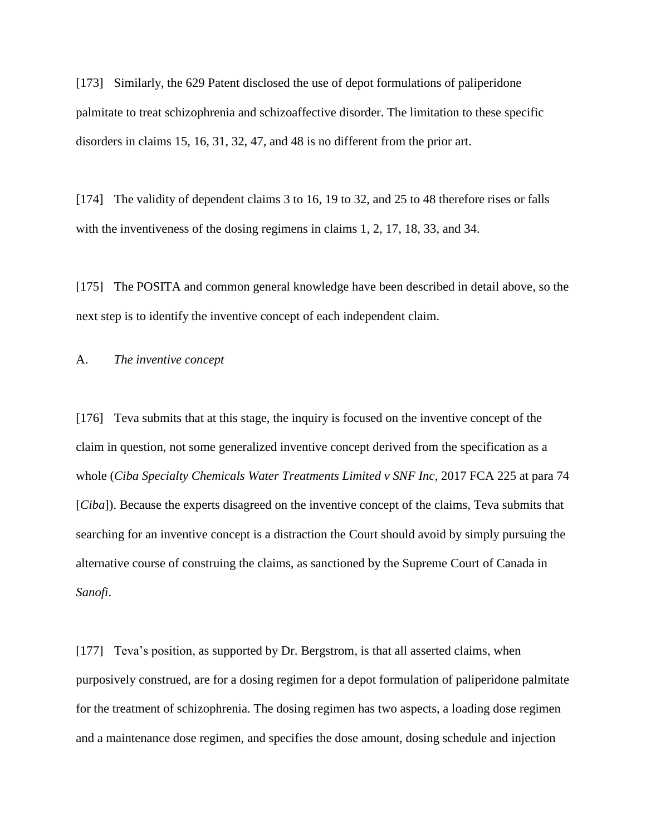[173] Similarly, the 629 Patent disclosed the use of depot formulations of paliperidone palmitate to treat schizophrenia and schizoaffective disorder. The limitation to these specific disorders in claims 15, 16, 31, 32, 47, and 48 is no different from the prior art.

[174] The validity of dependent claims 3 to 16, 19 to 32, and 25 to 48 therefore rises or falls with the inventiveness of the dosing regimens in claims 1, 2, 17, 18, 33, and 34.

[175] The POSITA and common general knowledge have been described in detail above, so the next step is to identify the inventive concept of each independent claim.

## A. *The inventive concept*

[176] Teva submits that at this stage, the inquiry is focused on the inventive concept of the claim in question, not some generalized inventive concept derived from the specification as a whole (*Ciba Specialty Chemicals Water Treatments Limited v SNF Inc*, 2017 FCA 225 at para 74 [*Ciba*]). Because the experts disagreed on the inventive concept of the claims, Teva submits that searching for an inventive concept is a distraction the Court should avoid by simply pursuing the alternative course of construing the claims, as sanctioned by the Supreme Court of Canada in *Sanofi*.

[177] Teva's position, as supported by Dr. Bergstrom, is that all asserted claims, when purposively construed, are for a dosing regimen for a depot formulation of paliperidone palmitate for the treatment of schizophrenia. The dosing regimen has two aspects, a loading dose regimen and a maintenance dose regimen, and specifies the dose amount, dosing schedule and injection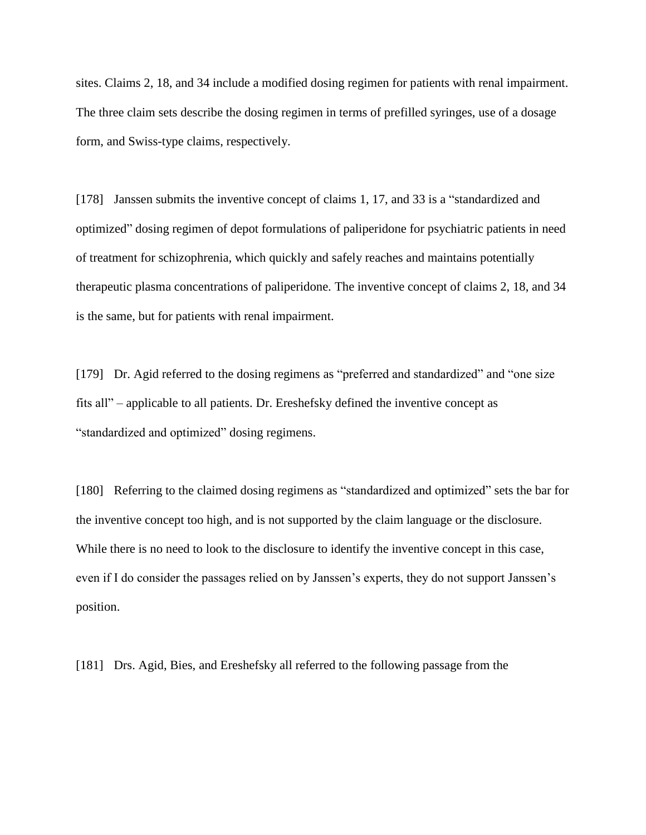sites. Claims 2, 18, and 34 include a modified dosing regimen for patients with renal impairment. The three claim sets describe the dosing regimen in terms of prefilled syringes, use of a dosage form, and Swiss-type claims, respectively.

[178] Janssen submits the inventive concept of claims 1, 17, and 33 is a "standardized and optimized" dosing regimen of depot formulations of paliperidone for psychiatric patients in need of treatment for schizophrenia, which quickly and safely reaches and maintains potentially therapeutic plasma concentrations of paliperidone. The inventive concept of claims 2, 18, and 34 is the same, but for patients with renal impairment.

[179] Dr. Agid referred to the dosing regimens as "preferred and standardized" and "one size fits all" – applicable to all patients. Dr. Ereshefsky defined the inventive concept as "standardized and optimized" dosing regimens.

[180] Referring to the claimed dosing regimens as "standardized and optimized" sets the bar for the inventive concept too high, and is not supported by the claim language or the disclosure. While there is no need to look to the disclosure to identify the inventive concept in this case, even if I do consider the passages relied on by Janssen's experts, they do not support Janssen's position.

[181] Drs. Agid, Bies, and Ereshefsky all referred to the following passage from the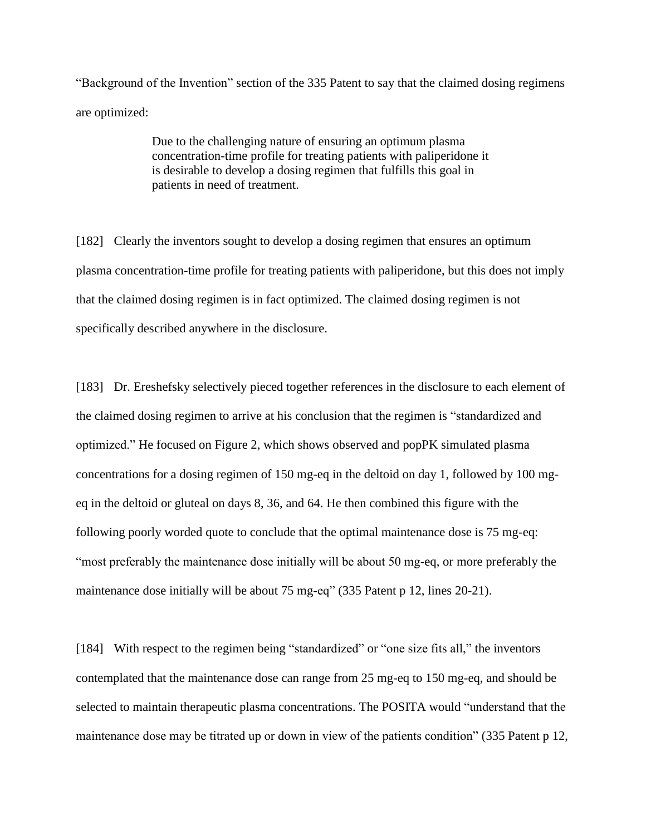"Background of the Invention" section of the 335 Patent to say that the claimed dosing regimens are optimized:

> Due to the challenging nature of ensuring an optimum plasma concentration-time profile for treating patients with paliperidone it is desirable to develop a dosing regimen that fulfills this goal in patients in need of treatment.

[182] Clearly the inventors sought to develop a dosing regimen that ensures an optimum plasma concentration-time profile for treating patients with paliperidone, but this does not imply that the claimed dosing regimen is in fact optimized. The claimed dosing regimen is not specifically described anywhere in the disclosure.

[183] Dr. Ereshefsky selectively pieced together references in the disclosure to each element of the claimed dosing regimen to arrive at his conclusion that the regimen is "standardized and optimized." He focused on Figure 2, which shows observed and popPK simulated plasma concentrations for a dosing regimen of 150 mg-eq in the deltoid on day 1, followed by 100 mgeq in the deltoid or gluteal on days 8, 36, and 64. He then combined this figure with the following poorly worded quote to conclude that the optimal maintenance dose is 75 mg-eq: "most preferably the maintenance dose initially will be about 50 mg-eq, or more preferably the maintenance dose initially will be about 75 mg-eq" (335 Patent p 12, lines 20-21).

[184] With respect to the regimen being "standardized" or "one size fits all," the inventors contemplated that the maintenance dose can range from 25 mg-eq to 150 mg-eq, and should be selected to maintain therapeutic plasma concentrations. The POSITA would "understand that the maintenance dose may be titrated up or down in view of the patients condition" (335 Patent p 12,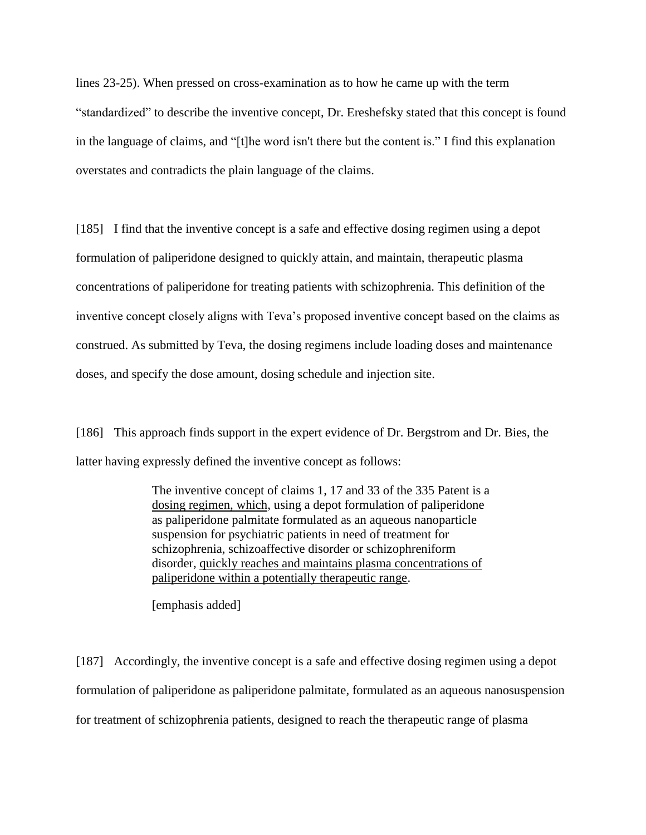lines 23-25). When pressed on cross-examination as to how he came up with the term "standardized" to describe the inventive concept, Dr. Ereshefsky stated that this concept is found in the language of claims, and "[t]he word isn't there but the content is." I find this explanation overstates and contradicts the plain language of the claims.

[185] I find that the inventive concept is a safe and effective dosing regimen using a depot formulation of paliperidone designed to quickly attain, and maintain, therapeutic plasma concentrations of paliperidone for treating patients with schizophrenia. This definition of the inventive concept closely aligns with Teva's proposed inventive concept based on the claims as construed. As submitted by Teva, the dosing regimens include loading doses and maintenance doses, and specify the dose amount, dosing schedule and injection site.

[186] This approach finds support in the expert evidence of Dr. Bergstrom and Dr. Bies, the latter having expressly defined the inventive concept as follows:

> The inventive concept of claims 1, 17 and 33 of the 335 Patent is a dosing regimen, which, using a depot formulation of paliperidone as paliperidone palmitate formulated as an aqueous nanoparticle suspension for psychiatric patients in need of treatment for schizophrenia, schizoaffective disorder or schizophreniform disorder, quickly reaches and maintains plasma concentrations of paliperidone within a potentially therapeutic range.

[emphasis added]

[187] Accordingly, the inventive concept is a safe and effective dosing regimen using a depot formulation of paliperidone as paliperidone palmitate, formulated as an aqueous nanosuspension for treatment of schizophrenia patients, designed to reach the therapeutic range of plasma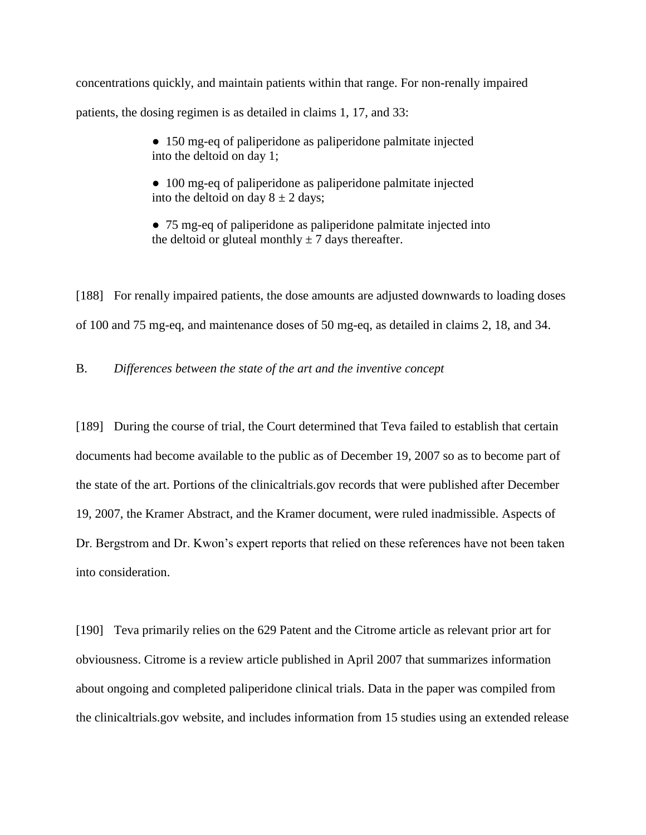concentrations quickly, and maintain patients within that range. For non-renally impaired patients, the dosing regimen is as detailed in claims 1, 17, and 33:

> • 150 mg-eq of paliperidone as paliperidone palmitate injected into the deltoid on day 1;

> • 100 mg-eq of paliperidone as paliperidone palmitate injected into the deltoid on day  $8 \pm 2$  days;

● 75 mg-eq of paliperidone as paliperidone palmitate injected into the deltoid or gluteal monthly  $\pm$  7 days thereafter.

[188] For renally impaired patients, the dose amounts are adjusted downwards to loading doses of 100 and 75 mg-eq, and maintenance doses of 50 mg-eq, as detailed in claims 2, 18, and 34.

B. *Differences between the state of the art and the inventive concept*

[189] During the course of trial, the Court determined that Teva failed to establish that certain documents had become available to the public as of December 19, 2007 so as to become part of the state of the art. Portions of the clinicaltrials.gov records that were published after December 19, 2007, the Kramer Abstract, and the Kramer document, were ruled inadmissible. Aspects of Dr. Bergstrom and Dr. Kwon's expert reports that relied on these references have not been taken into consideration.

[190] Teva primarily relies on the 629 Patent and the Citrome article as relevant prior art for obviousness. Citrome is a review article published in April 2007 that summarizes information about ongoing and completed paliperidone clinical trials. Data in the paper was compiled from the clinicaltrials.gov website, and includes information from 15 studies using an extended release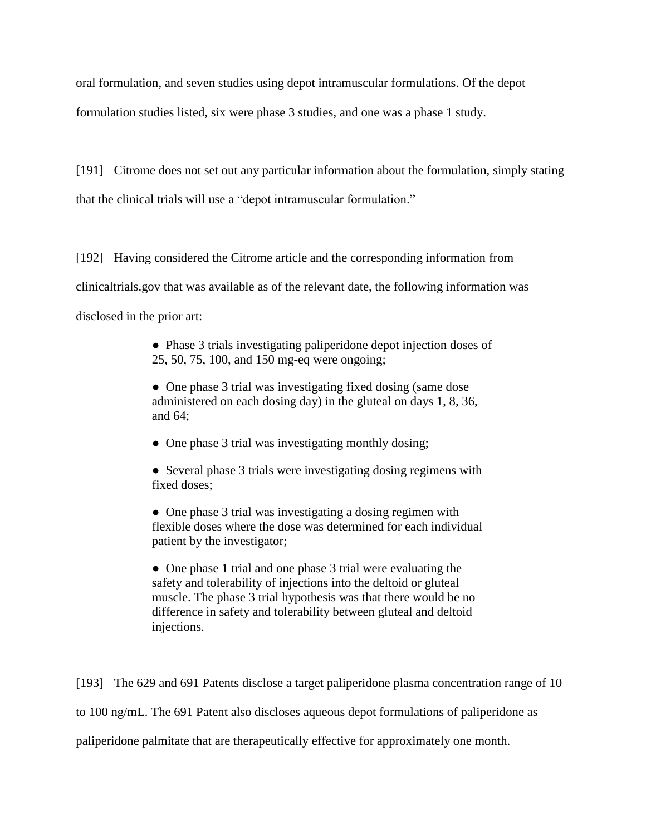oral formulation, and seven studies using depot intramuscular formulations. Of the depot formulation studies listed, six were phase 3 studies, and one was a phase 1 study.

[191] Citrome does not set out any particular information about the formulation, simply stating that the clinical trials will use a "depot intramuscular formulation."

[192] Having considered the Citrome article and the corresponding information from clinicaltrials.gov that was available as of the relevant date, the following information was disclosed in the prior art:

> ● Phase 3 trials investigating paliperidone depot injection doses of 25, 50, 75, 100, and 150 mg-eq were ongoing;

• One phase 3 trial was investigating fixed dosing (same dose) administered on each dosing day) in the gluteal on days 1, 8, 36, and 64;

• One phase 3 trial was investigating monthly dosing;

• Several phase 3 trials were investigating dosing regimens with fixed doses;

• One phase 3 trial was investigating a dosing regimen with flexible doses where the dose was determined for each individual patient by the investigator;

• One phase 1 trial and one phase 3 trial were evaluating the safety and tolerability of injections into the deltoid or gluteal muscle. The phase 3 trial hypothesis was that there would be no difference in safety and tolerability between gluteal and deltoid injections.

[193] The 629 and 691 Patents disclose a target paliperidone plasma concentration range of 10 to 100 ng/mL. The 691 Patent also discloses aqueous depot formulations of paliperidone as paliperidone palmitate that are therapeutically effective for approximately one month.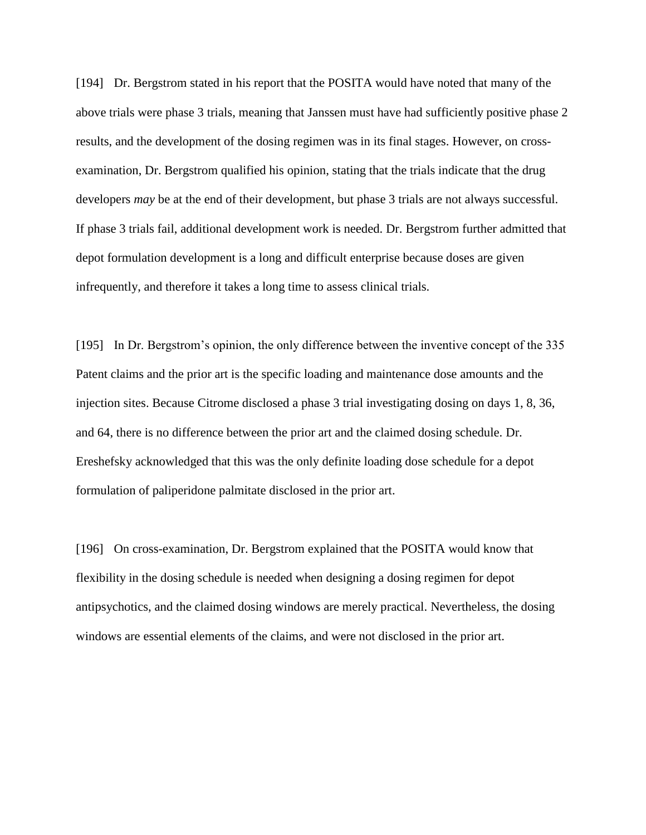[194] Dr. Bergstrom stated in his report that the POSITA would have noted that many of the above trials were phase 3 trials, meaning that Janssen must have had sufficiently positive phase 2 results, and the development of the dosing regimen was in its final stages. However, on crossexamination, Dr. Bergstrom qualified his opinion, stating that the trials indicate that the drug developers *may* be at the end of their development, but phase 3 trials are not always successful. If phase 3 trials fail, additional development work is needed. Dr. Bergstrom further admitted that depot formulation development is a long and difficult enterprise because doses are given infrequently, and therefore it takes a long time to assess clinical trials.

[195] In Dr. Bergstrom's opinion, the only difference between the inventive concept of the 335 Patent claims and the prior art is the specific loading and maintenance dose amounts and the injection sites. Because Citrome disclosed a phase 3 trial investigating dosing on days 1, 8, 36, and 64, there is no difference between the prior art and the claimed dosing schedule. Dr. Ereshefsky acknowledged that this was the only definite loading dose schedule for a depot formulation of paliperidone palmitate disclosed in the prior art.

[196] On cross-examination, Dr. Bergstrom explained that the POSITA would know that flexibility in the dosing schedule is needed when designing a dosing regimen for depot antipsychotics, and the claimed dosing windows are merely practical. Nevertheless, the dosing windows are essential elements of the claims, and were not disclosed in the prior art.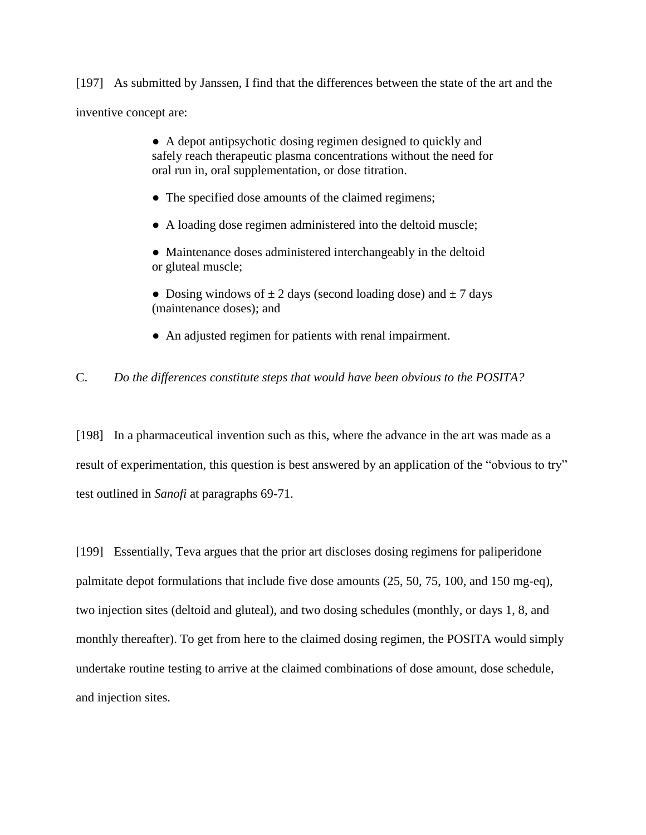[197] As submitted by Janssen, I find that the differences between the state of the art and the inventive concept are:

> ● A depot antipsychotic dosing regimen designed to quickly and safely reach therapeutic plasma concentrations without the need for oral run in, oral supplementation, or dose titration.

- The specified dose amounts of the claimed regimens;
- A loading dose regimen administered into the deltoid muscle;
- Maintenance doses administered interchangeably in the deltoid or gluteal muscle;
- Dosing windows of  $\pm 2$  days (second loading dose) and  $\pm 7$  days (maintenance doses); and
- An adjusted regimen for patients with renal impairment.

## C. *Do the differences constitute steps that would have been obvious to the POSITA?*

[198] In a pharmaceutical invention such as this, where the advance in the art was made as a result of experimentation, this question is best answered by an application of the "obvious to try" test outlined in *Sanofi* at paragraphs 69-71.

[199] Essentially, Teva argues that the prior art discloses dosing regimens for paliperidone palmitate depot formulations that include five dose amounts (25, 50, 75, 100, and 150 mg-eq), two injection sites (deltoid and gluteal), and two dosing schedules (monthly, or days 1, 8, and monthly thereafter). To get from here to the claimed dosing regimen, the POSITA would simply undertake routine testing to arrive at the claimed combinations of dose amount, dose schedule, and injection sites.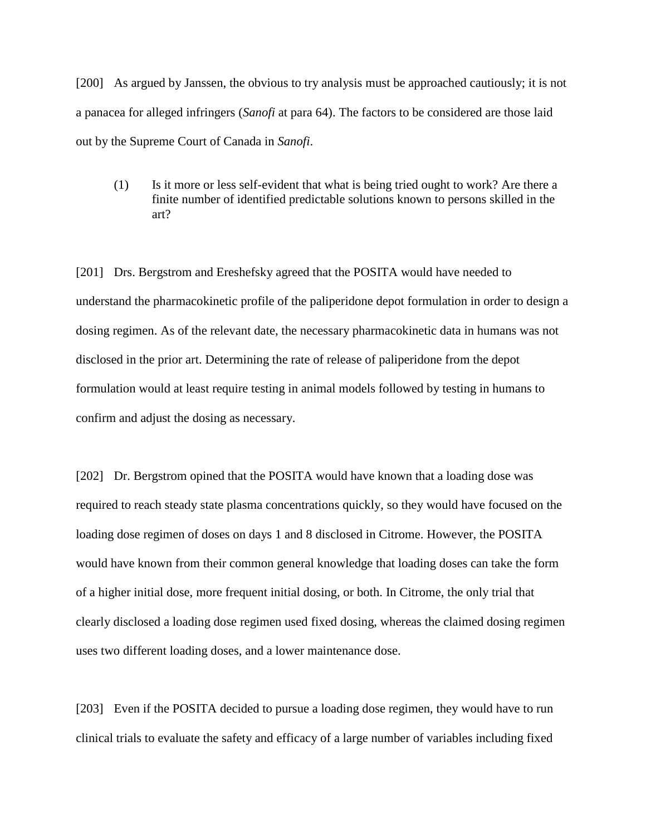[200] As argued by Janssen, the obvious to try analysis must be approached cautiously; it is not a panacea for alleged infringers (*Sanofi* at para 64). The factors to be considered are those laid out by the Supreme Court of Canada in *Sanofi*.

(1) Is it more or less self-evident that what is being tried ought to work? Are there a finite number of identified predictable solutions known to persons skilled in the art?

[201] Drs. Bergstrom and Ereshefsky agreed that the POSITA would have needed to understand the pharmacokinetic profile of the paliperidone depot formulation in order to design a dosing regimen. As of the relevant date, the necessary pharmacokinetic data in humans was not disclosed in the prior art. Determining the rate of release of paliperidone from the depot formulation would at least require testing in animal models followed by testing in humans to confirm and adjust the dosing as necessary.

[202] Dr. Bergstrom opined that the POSITA would have known that a loading dose was required to reach steady state plasma concentrations quickly, so they would have focused on the loading dose regimen of doses on days 1 and 8 disclosed in Citrome. However, the POSITA would have known from their common general knowledge that loading doses can take the form of a higher initial dose, more frequent initial dosing, or both. In Citrome, the only trial that clearly disclosed a loading dose regimen used fixed dosing, whereas the claimed dosing regimen uses two different loading doses, and a lower maintenance dose.

[203] Even if the POSITA decided to pursue a loading dose regimen, they would have to run clinical trials to evaluate the safety and efficacy of a large number of variables including fixed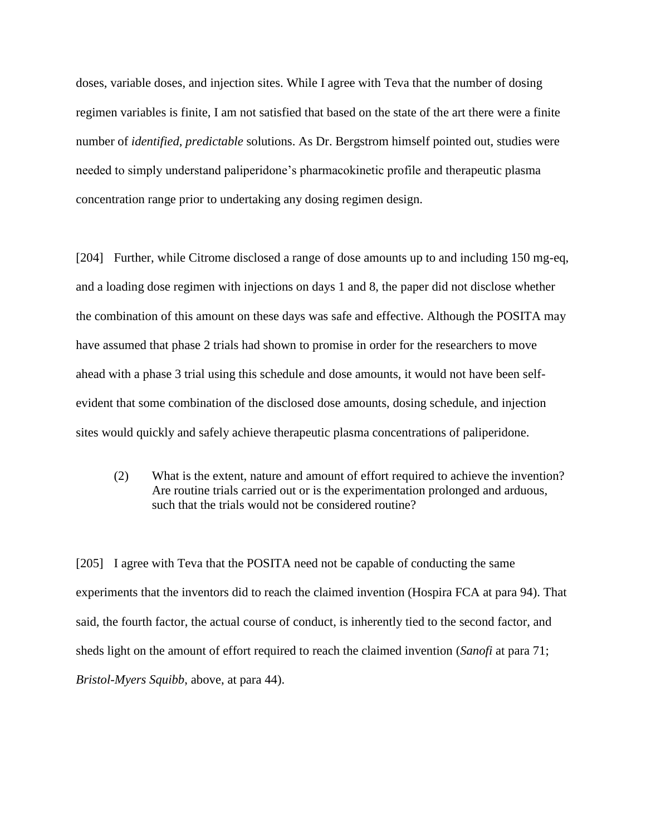doses, variable doses, and injection sites. While I agree with Teva that the number of dosing regimen variables is finite, I am not satisfied that based on the state of the art there were a finite number of *identified, predictable* solutions. As Dr. Bergstrom himself pointed out, studies were needed to simply understand paliperidone's pharmacokinetic profile and therapeutic plasma concentration range prior to undertaking any dosing regimen design.

[204] Further, while Citrome disclosed a range of dose amounts up to and including 150 mg-eq, and a loading dose regimen with injections on days 1 and 8, the paper did not disclose whether the combination of this amount on these days was safe and effective. Although the POSITA may have assumed that phase 2 trials had shown to promise in order for the researchers to move ahead with a phase 3 trial using this schedule and dose amounts, it would not have been selfevident that some combination of the disclosed dose amounts, dosing schedule, and injection sites would quickly and safely achieve therapeutic plasma concentrations of paliperidone.

(2) What is the extent, nature and amount of effort required to achieve the invention? Are routine trials carried out or is the experimentation prolonged and arduous, such that the trials would not be considered routine?

[205] I agree with Teva that the POSITA need not be capable of conducting the same experiments that the inventors did to reach the claimed invention (Hospira FCA at para 94). That said, the fourth factor, the actual course of conduct, is inherently tied to the second factor, and sheds light on the amount of effort required to reach the claimed invention (*Sanofi* at para 71; *Bristol-Myers Squibb*, above, at para 44).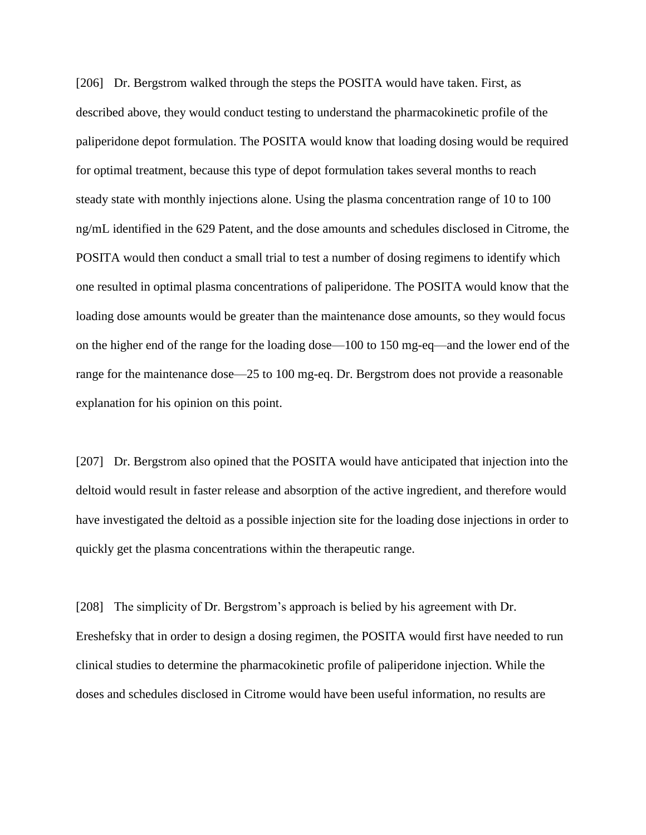[206] Dr. Bergstrom walked through the steps the POSITA would have taken. First, as described above, they would conduct testing to understand the pharmacokinetic profile of the paliperidone depot formulation. The POSITA would know that loading dosing would be required for optimal treatment, because this type of depot formulation takes several months to reach steady state with monthly injections alone. Using the plasma concentration range of 10 to 100 ng/mL identified in the 629 Patent, and the dose amounts and schedules disclosed in Citrome, the POSITA would then conduct a small trial to test a number of dosing regimens to identify which one resulted in optimal plasma concentrations of paliperidone. The POSITA would know that the loading dose amounts would be greater than the maintenance dose amounts, so they would focus on the higher end of the range for the loading dose—100 to 150 mg-eq—and the lower end of the range for the maintenance dose—25 to 100 mg-eq. Dr. Bergstrom does not provide a reasonable explanation for his opinion on this point.

[207] Dr. Bergstrom also opined that the POSITA would have anticipated that injection into the deltoid would result in faster release and absorption of the active ingredient, and therefore would have investigated the deltoid as a possible injection site for the loading dose injections in order to quickly get the plasma concentrations within the therapeutic range.

[208] The simplicity of Dr. Bergstrom's approach is belied by his agreement with Dr. Ereshefsky that in order to design a dosing regimen, the POSITA would first have needed to run clinical studies to determine the pharmacokinetic profile of paliperidone injection. While the doses and schedules disclosed in Citrome would have been useful information, no results are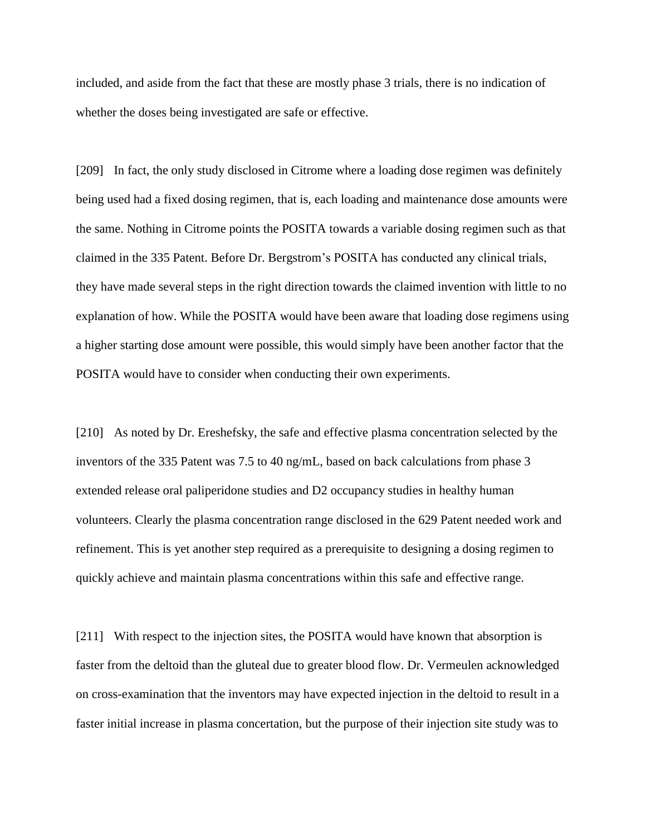included, and aside from the fact that these are mostly phase 3 trials, there is no indication of whether the doses being investigated are safe or effective.

[209] In fact, the only study disclosed in Citrome where a loading dose regimen was definitely being used had a fixed dosing regimen, that is, each loading and maintenance dose amounts were the same. Nothing in Citrome points the POSITA towards a variable dosing regimen such as that claimed in the 335 Patent. Before Dr. Bergstrom's POSITA has conducted any clinical trials, they have made several steps in the right direction towards the claimed invention with little to no explanation of how. While the POSITA would have been aware that loading dose regimens using a higher starting dose amount were possible, this would simply have been another factor that the POSITA would have to consider when conducting their own experiments.

[210] As noted by Dr. Ereshefsky, the safe and effective plasma concentration selected by the inventors of the 335 Patent was 7.5 to 40 ng/mL, based on back calculations from phase 3 extended release oral paliperidone studies and D2 occupancy studies in healthy human volunteers. Clearly the plasma concentration range disclosed in the 629 Patent needed work and refinement. This is yet another step required as a prerequisite to designing a dosing regimen to quickly achieve and maintain plasma concentrations within this safe and effective range.

[211] With respect to the injection sites, the POSITA would have known that absorption is faster from the deltoid than the gluteal due to greater blood flow. Dr. Vermeulen acknowledged on cross-examination that the inventors may have expected injection in the deltoid to result in a faster initial increase in plasma concertation, but the purpose of their injection site study was to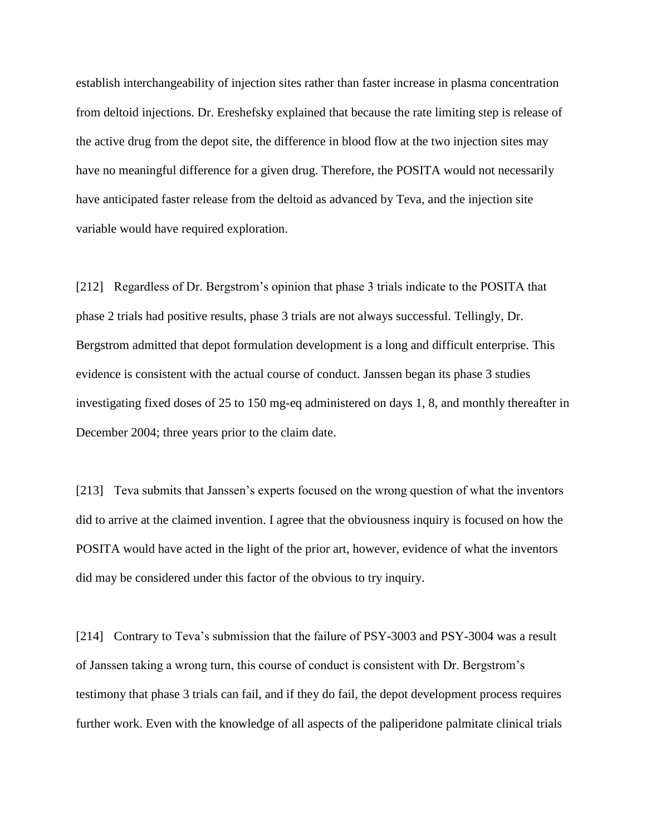establish interchangeability of injection sites rather than faster increase in plasma concentration from deltoid injections. Dr. Ereshefsky explained that because the rate limiting step is release of the active drug from the depot site, the difference in blood flow at the two injection sites may have no meaningful difference for a given drug. Therefore, the POSITA would not necessarily have anticipated faster release from the deltoid as advanced by Teva, and the injection site variable would have required exploration.

[212] Regardless of Dr. Bergstrom's opinion that phase 3 trials indicate to the POSITA that phase 2 trials had positive results, phase 3 trials are not always successful. Tellingly, Dr. Bergstrom admitted that depot formulation development is a long and difficult enterprise. This evidence is consistent with the actual course of conduct. Janssen began its phase 3 studies investigating fixed doses of 25 to 150 mg-eq administered on days 1, 8, and monthly thereafter in December 2004; three years prior to the claim date.

[213] Teva submits that Janssen's experts focused on the wrong question of what the inventors did to arrive at the claimed invention. I agree that the obviousness inquiry is focused on how the POSITA would have acted in the light of the prior art, however, evidence of what the inventors did may be considered under this factor of the obvious to try inquiry.

[214] Contrary to Teva's submission that the failure of PSY-3003 and PSY-3004 was a result of Janssen taking a wrong turn, this course of conduct is consistent with Dr. Bergstrom's testimony that phase 3 trials can fail, and if they do fail, the depot development process requires further work. Even with the knowledge of all aspects of the paliperidone palmitate clinical trials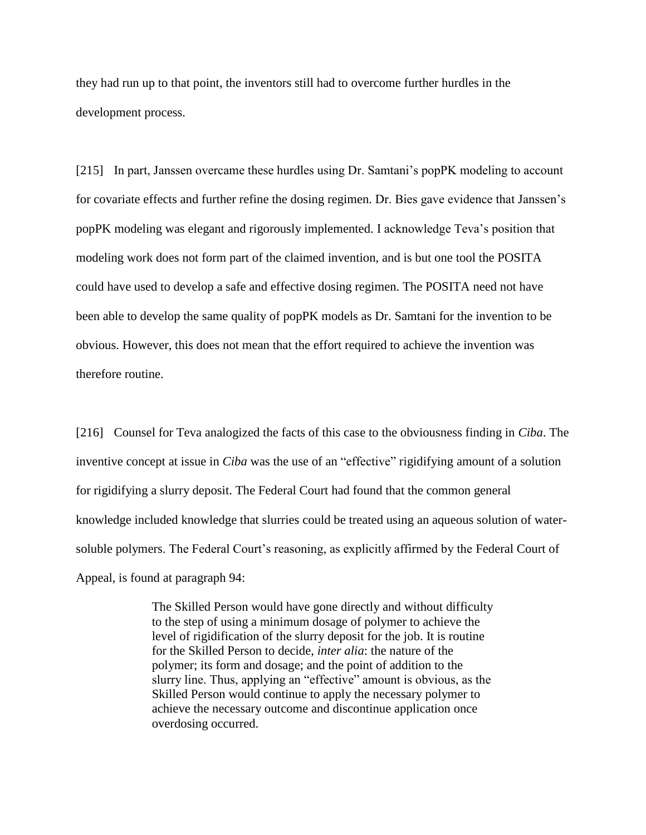they had run up to that point, the inventors still had to overcome further hurdles in the development process.

[215] In part, Janssen overcame these hurdles using Dr. Samtani's popPK modeling to account for covariate effects and further refine the dosing regimen. Dr. Bies gave evidence that Janssen's popPK modeling was elegant and rigorously implemented. I acknowledge Teva's position that modeling work does not form part of the claimed invention, and is but one tool the POSITA could have used to develop a safe and effective dosing regimen. The POSITA need not have been able to develop the same quality of popPK models as Dr. Samtani for the invention to be obvious. However, this does not mean that the effort required to achieve the invention was therefore routine.

[216] Counsel for Teva analogized the facts of this case to the obviousness finding in *Ciba*. The inventive concept at issue in *Ciba* was the use of an "effective" rigidifying amount of a solution for rigidifying a slurry deposit. The Federal Court had found that the common general knowledge included knowledge that slurries could be treated using an aqueous solution of watersoluble polymers. The Federal Court's reasoning, as explicitly affirmed by the Federal Court of Appeal, is found at paragraph 94:

> The Skilled Person would have gone directly and without difficulty to the step of using a minimum dosage of polymer to achieve the level of rigidification of the slurry deposit for the job. It is routine for the Skilled Person to decide, *inter alia*: the nature of the polymer; its form and dosage; and the point of addition to the slurry line. Thus, applying an "effective" amount is obvious, as the Skilled Person would continue to apply the necessary polymer to achieve the necessary outcome and discontinue application once overdosing occurred.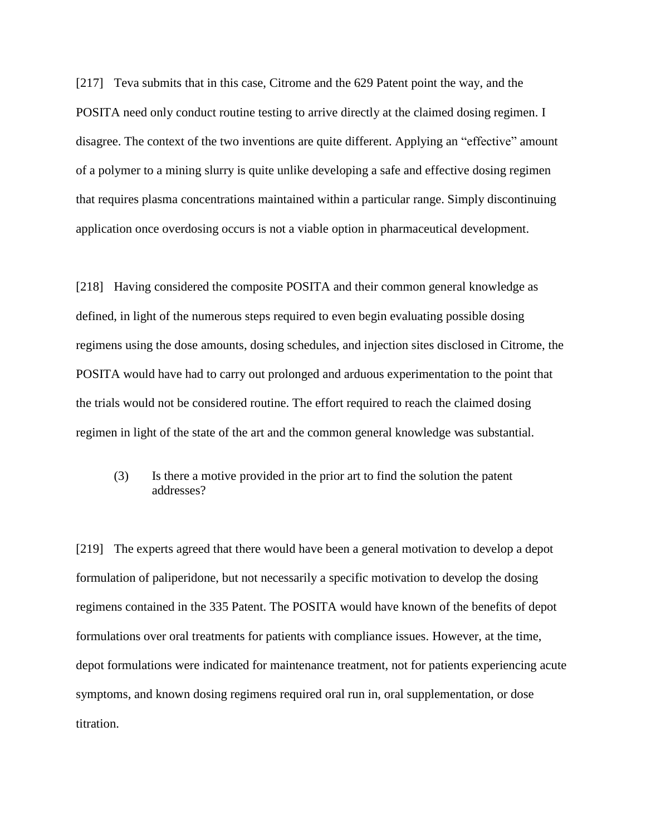[217] Teva submits that in this case, Citrome and the 629 Patent point the way, and the POSITA need only conduct routine testing to arrive directly at the claimed dosing regimen. I disagree. The context of the two inventions are quite different. Applying an "effective" amount of a polymer to a mining slurry is quite unlike developing a safe and effective dosing regimen that requires plasma concentrations maintained within a particular range. Simply discontinuing application once overdosing occurs is not a viable option in pharmaceutical development.

[218] Having considered the composite POSITA and their common general knowledge as defined, in light of the numerous steps required to even begin evaluating possible dosing regimens using the dose amounts, dosing schedules, and injection sites disclosed in Citrome, the POSITA would have had to carry out prolonged and arduous experimentation to the point that the trials would not be considered routine. The effort required to reach the claimed dosing regimen in light of the state of the art and the common general knowledge was substantial.

(3) Is there a motive provided in the prior art to find the solution the patent addresses?

[219] The experts agreed that there would have been a general motivation to develop a depot formulation of paliperidone, but not necessarily a specific motivation to develop the dosing regimens contained in the 335 Patent. The POSITA would have known of the benefits of depot formulations over oral treatments for patients with compliance issues. However, at the time, depot formulations were indicated for maintenance treatment, not for patients experiencing acute symptoms, and known dosing regimens required oral run in, oral supplementation, or dose titration.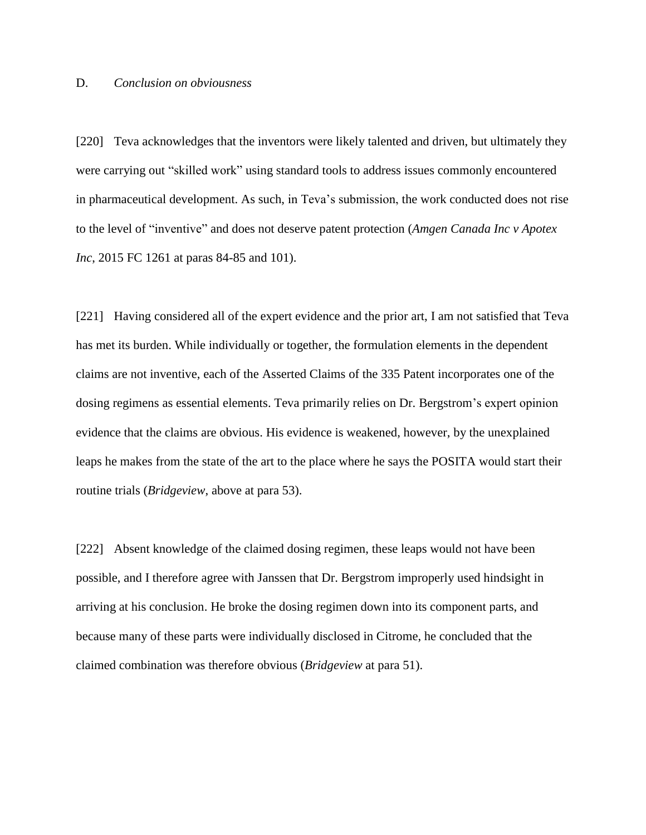## D. *Conclusion on obviousness*

[220] Teva acknowledges that the inventors were likely talented and driven, but ultimately they were carrying out "skilled work" using standard tools to address issues commonly encountered in pharmaceutical development. As such, in Teva's submission, the work conducted does not rise to the level of "inventive" and does not deserve patent protection (*Amgen Canada Inc v Apotex Inc*, 2015 FC 1261 at paras 84-85 and 101).

[221] Having considered all of the expert evidence and the prior art, I am not satisfied that Teva has met its burden. While individually or together, the formulation elements in the dependent claims are not inventive, each of the Asserted Claims of the 335 Patent incorporates one of the dosing regimens as essential elements. Teva primarily relies on Dr. Bergstrom's expert opinion evidence that the claims are obvious. His evidence is weakened, however, by the unexplained leaps he makes from the state of the art to the place where he says the POSITA would start their routine trials (*Bridgeview*, above at para 53).

[222] Absent knowledge of the claimed dosing regimen, these leaps would not have been possible, and I therefore agree with Janssen that Dr. Bergstrom improperly used hindsight in arriving at his conclusion. He broke the dosing regimen down into its component parts, and because many of these parts were individually disclosed in Citrome, he concluded that the claimed combination was therefore obvious (*Bridgeview* at para 51).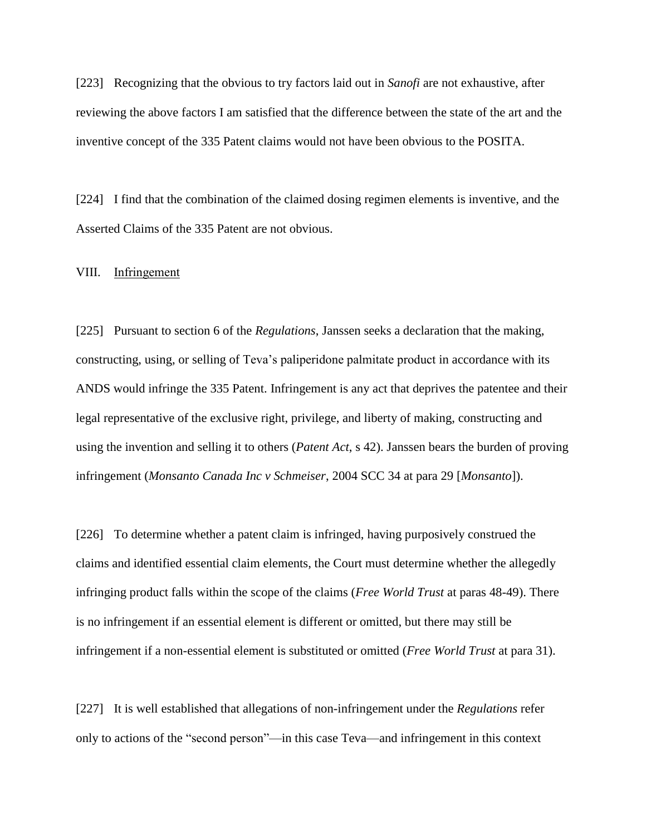[223] Recognizing that the obvious to try factors laid out in *Sanofi* are not exhaustive, after reviewing the above factors I am satisfied that the difference between the state of the art and the inventive concept of the 335 Patent claims would not have been obvious to the POSITA.

[224] I find that the combination of the claimed dosing regimen elements is inventive, and the Asserted Claims of the 335 Patent are not obvious.

VIII. Infringement

[225] Pursuant to section 6 of the *Regulations*, Janssen seeks a declaration that the making, constructing, using, or selling of Teva's paliperidone palmitate product in accordance with its ANDS would infringe the 335 Patent. Infringement is any act that deprives the patentee and their legal representative of the exclusive right, privilege, and liberty of making, constructing and using the invention and selling it to others (*Patent Act*, s 42). Janssen bears the burden of proving infringement (*Monsanto Canada Inc v Schmeiser*, 2004 SCC 34 at para 29 [*Monsanto*]).

[226] To determine whether a patent claim is infringed, having purposively construed the claims and identified essential claim elements, the Court must determine whether the allegedly infringing product falls within the scope of the claims (*Free World Trust* at paras 48-49). There is no infringement if an essential element is different or omitted, but there may still be infringement if a non-essential element is substituted or omitted (*Free World Trust* at para 31).

[227] It is well established that allegations of non-infringement under the *Regulations* refer only to actions of the "second person"—in this case Teva—and infringement in this context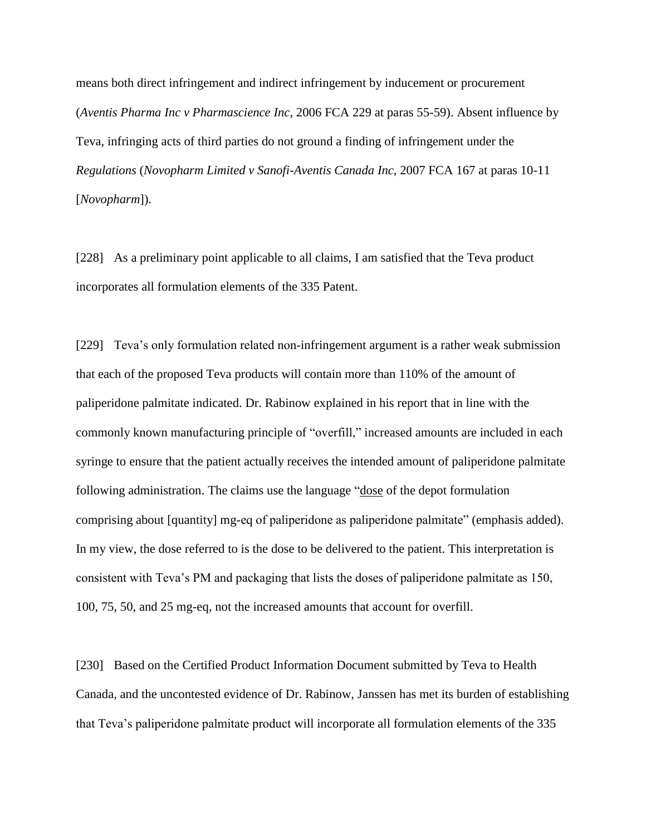means both direct infringement and indirect infringement by inducement or procurement (*Aventis Pharma Inc v Pharmascience Inc*, 2006 FCA 229 at paras 55-59). Absent influence by Teva, infringing acts of third parties do not ground a finding of infringement under the *Regulations* (*Novopharm Limited v Sanofi-Aventis Canada Inc*, 2007 FCA 167 at paras 10-11 [*Novopharm*]).

[228] As a preliminary point applicable to all claims, I am satisfied that the Teva product incorporates all formulation elements of the 335 Patent.

[229] Teva's only formulation related non-infringement argument is a rather weak submission that each of the proposed Teva products will contain more than 110% of the amount of paliperidone palmitate indicated. Dr. Rabinow explained in his report that in line with the commonly known manufacturing principle of "overfill," increased amounts are included in each syringe to ensure that the patient actually receives the intended amount of paliperidone palmitate following administration. The claims use the language "dose of the depot formulation comprising about [quantity] mg-eq of paliperidone as paliperidone palmitate" (emphasis added). In my view, the dose referred to is the dose to be delivered to the patient. This interpretation is consistent with Teva's PM and packaging that lists the doses of paliperidone palmitate as 150, 100, 75, 50, and 25 mg-eq, not the increased amounts that account for overfill.

[230] Based on the Certified Product Information Document submitted by Teva to Health Canada, and the uncontested evidence of Dr. Rabinow, Janssen has met its burden of establishing that Teva's paliperidone palmitate product will incorporate all formulation elements of the 335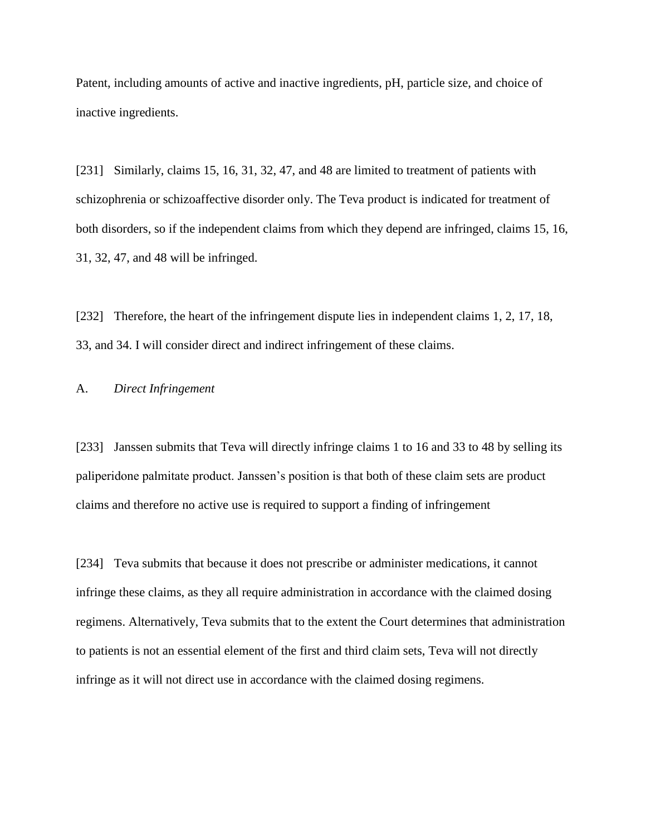Patent, including amounts of active and inactive ingredients, pH, particle size, and choice of inactive ingredients.

[231] Similarly, claims 15, 16, 31, 32, 47, and 48 are limited to treatment of patients with schizophrenia or schizoaffective disorder only. The Teva product is indicated for treatment of both disorders, so if the independent claims from which they depend are infringed, claims 15, 16, 31, 32, 47, and 48 will be infringed.

[232] Therefore, the heart of the infringement dispute lies in independent claims 1, 2, 17, 18, 33, and 34. I will consider direct and indirect infringement of these claims.

## A. *Direct Infringement*

[233] Janssen submits that Teva will directly infringe claims 1 to 16 and 33 to 48 by selling its paliperidone palmitate product. Janssen's position is that both of these claim sets are product claims and therefore no active use is required to support a finding of infringement

[234] Teva submits that because it does not prescribe or administer medications, it cannot infringe these claims, as they all require administration in accordance with the claimed dosing regimens. Alternatively, Teva submits that to the extent the Court determines that administration to patients is not an essential element of the first and third claim sets, Teva will not directly infringe as it will not direct use in accordance with the claimed dosing regimens.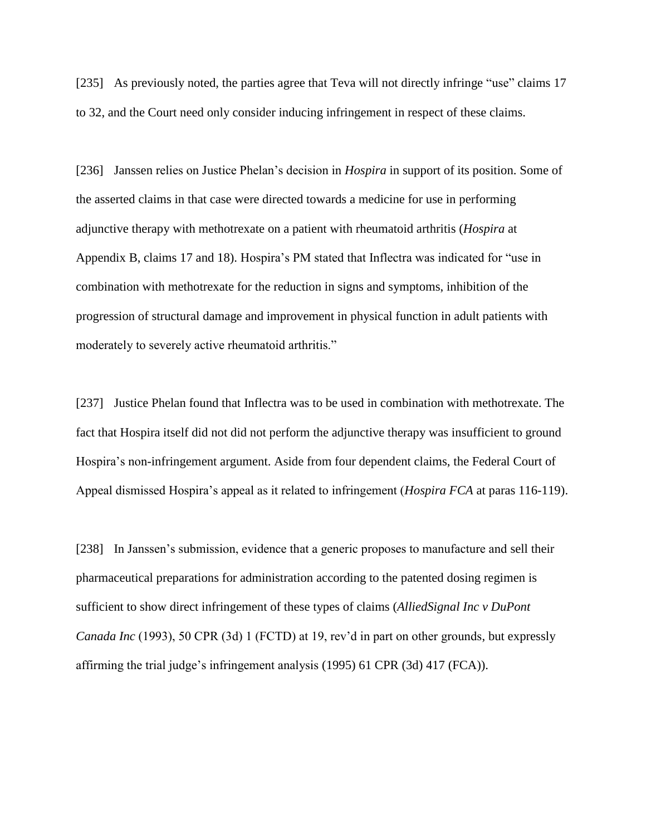[235] As previously noted, the parties agree that Teva will not directly infringe "use" claims 17 to 32, and the Court need only consider inducing infringement in respect of these claims.

[236] Janssen relies on Justice Phelan's decision in *Hospira* in support of its position. Some of the asserted claims in that case were directed towards a medicine for use in performing adjunctive therapy with methotrexate on a patient with rheumatoid arthritis (*Hospira* at Appendix B, claims 17 and 18). Hospira's PM stated that Inflectra was indicated for "use in combination with methotrexate for the reduction in signs and symptoms, inhibition of the progression of structural damage and improvement in physical function in adult patients with moderately to severely active rheumatoid arthritis."

[237] Justice Phelan found that Inflectra was to be used in combination with methotrexate. The fact that Hospira itself did not did not perform the adjunctive therapy was insufficient to ground Hospira's non-infringement argument. Aside from four dependent claims, the Federal Court of Appeal dismissed Hospira's appeal as it related to infringement (*Hospira FCA* at paras 116-119).

[238] In Janssen's submission, evidence that a generic proposes to manufacture and sell their pharmaceutical preparations for administration according to the patented dosing regimen is sufficient to show direct infringement of these types of claims (*AlliedSignal Inc v DuPont Canada Inc* (1993), 50 CPR (3d) 1 (FCTD) at 19, rev'd in part on other grounds, but expressly affirming the trial judge's infringement analysis (1995) 61 CPR (3d) 417 (FCA)).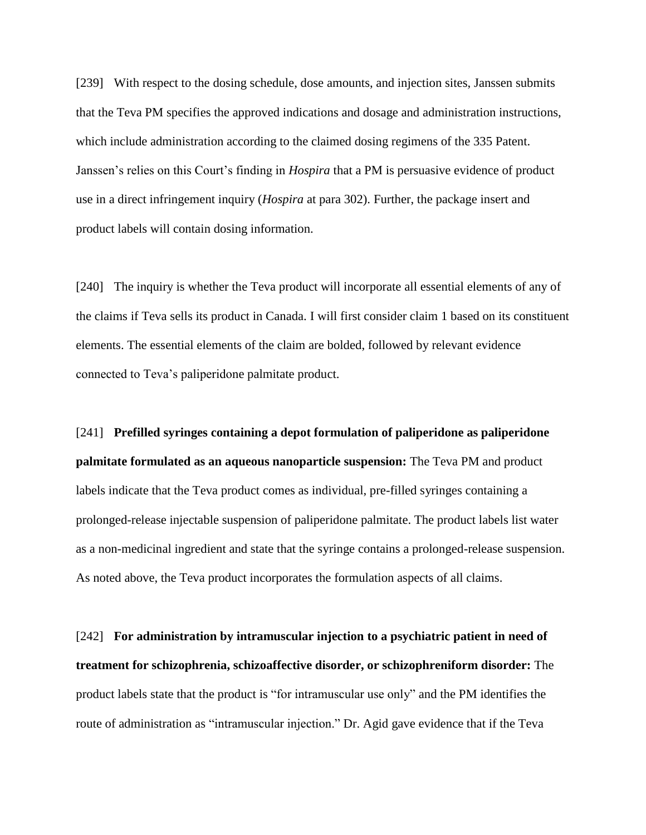[239] With respect to the dosing schedule, dose amounts, and injection sites, Janssen submits that the Teva PM specifies the approved indications and dosage and administration instructions, which include administration according to the claimed dosing regimens of the 335 Patent. Janssen's relies on this Court's finding in *Hospira* that a PM is persuasive evidence of product use in a direct infringement inquiry (*Hospira* at para 302). Further, the package insert and product labels will contain dosing information.

[240] The inquiry is whether the Teva product will incorporate all essential elements of any of the claims if Teva sells its product in Canada. I will first consider claim 1 based on its constituent elements. The essential elements of the claim are bolded, followed by relevant evidence connected to Teva's paliperidone palmitate product.

[241] **Prefilled syringes containing a depot formulation of paliperidone as paliperidone palmitate formulated as an aqueous nanoparticle suspension:** The Teva PM and product labels indicate that the Teva product comes as individual, pre-filled syringes containing a prolonged-release injectable suspension of paliperidone palmitate. The product labels list water as a non-medicinal ingredient and state that the syringe contains a prolonged-release suspension. As noted above, the Teva product incorporates the formulation aspects of all claims.

[242] **For administration by intramuscular injection to a psychiatric patient in need of treatment for schizophrenia, schizoaffective disorder, or schizophreniform disorder:** The product labels state that the product is "for intramuscular use only" and the PM identifies the route of administration as "intramuscular injection." Dr. Agid gave evidence that if the Teva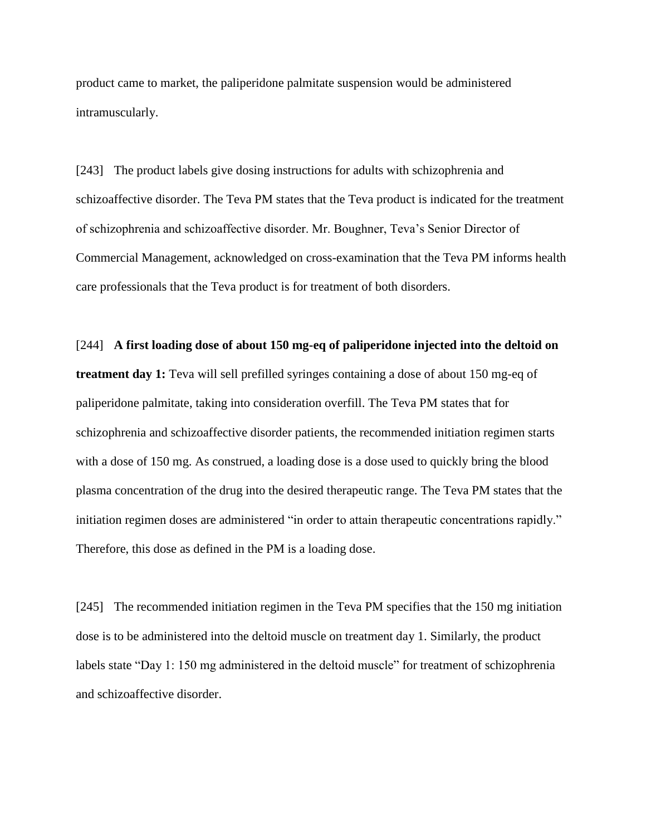product came to market, the paliperidone palmitate suspension would be administered intramuscularly.

[243] The product labels give dosing instructions for adults with schizophrenia and schizoaffective disorder. The Teva PM states that the Teva product is indicated for the treatment of schizophrenia and schizoaffective disorder. Mr. Boughner, Teva's Senior Director of Commercial Management, acknowledged on cross-examination that the Teva PM informs health care professionals that the Teva product is for treatment of both disorders.

[244] **A first loading dose of about 150 mg-eq of paliperidone injected into the deltoid on treatment day 1:** Teva will sell prefilled syringes containing a dose of about 150 mg-eq of paliperidone palmitate, taking into consideration overfill. The Teva PM states that for schizophrenia and schizoaffective disorder patients, the recommended initiation regimen starts with a dose of 150 mg. As construed, a loading dose is a dose used to quickly bring the blood plasma concentration of the drug into the desired therapeutic range. The Teva PM states that the initiation regimen doses are administered "in order to attain therapeutic concentrations rapidly." Therefore, this dose as defined in the PM is a loading dose.

[245] The recommended initiation regimen in the Teva PM specifies that the 150 mg initiation dose is to be administered into the deltoid muscle on treatment day 1. Similarly, the product labels state "Day 1: 150 mg administered in the deltoid muscle" for treatment of schizophrenia and schizoaffective disorder.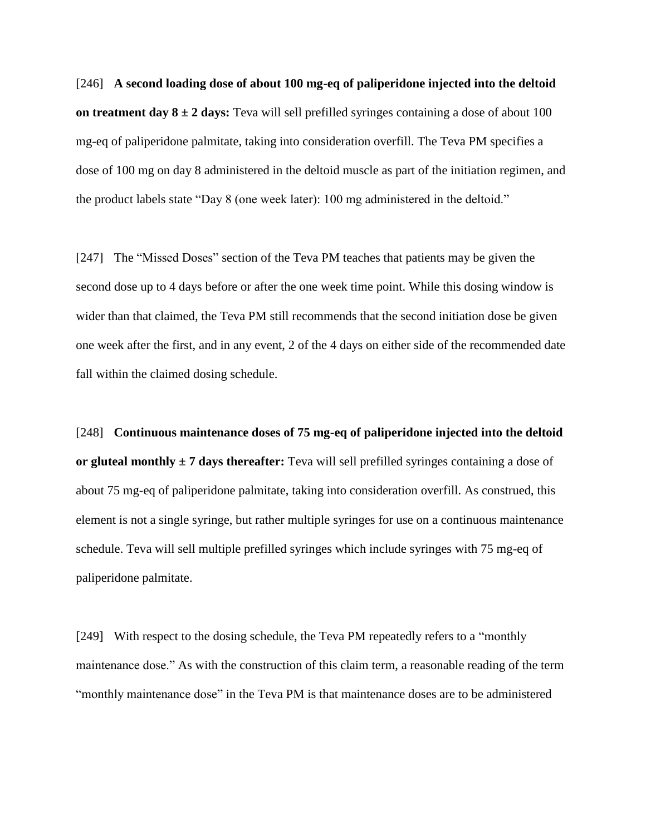[246] **A second loading dose of about 100 mg-eq of paliperidone injected into the deltoid on treatment day 8 ± 2 days:** Teva will sell prefilled syringes containing a dose of about 100 mg-eq of paliperidone palmitate, taking into consideration overfill. The Teva PM specifies a dose of 100 mg on day 8 administered in the deltoid muscle as part of the initiation regimen, and the product labels state "Day 8 (one week later): 100 mg administered in the deltoid."

[247] The "Missed Doses" section of the Teva PM teaches that patients may be given the second dose up to 4 days before or after the one week time point. While this dosing window is wider than that claimed, the Teva PM still recommends that the second initiation dose be given one week after the first, and in any event, 2 of the 4 days on either side of the recommended date fall within the claimed dosing schedule.

[248] **Continuous maintenance doses of 75 mg-eq of paliperidone injected into the deltoid or gluteal monthly ± 7 days thereafter:** Teva will sell prefilled syringes containing a dose of about 75 mg-eq of paliperidone palmitate, taking into consideration overfill. As construed, this element is not a single syringe, but rather multiple syringes for use on a continuous maintenance schedule. Teva will sell multiple prefilled syringes which include syringes with 75 mg-eq of paliperidone palmitate.

[249] With respect to the dosing schedule, the Teva PM repeatedly refers to a "monthly maintenance dose." As with the construction of this claim term, a reasonable reading of the term "monthly maintenance dose" in the Teva PM is that maintenance doses are to be administered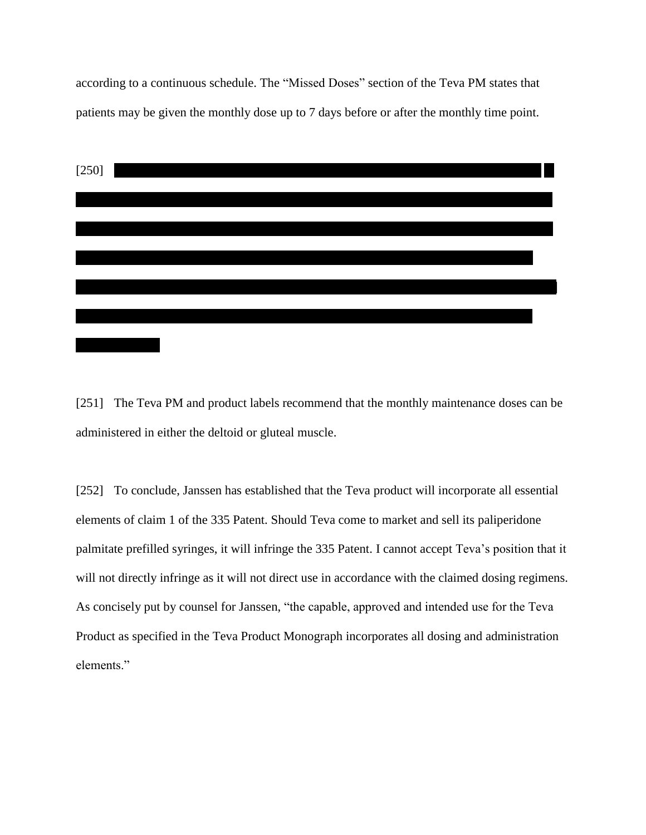according to a continuous schedule. The "Missed Doses" section of the Teva PM states that patients may be given the monthly dose up to 7 days before or after the monthly time point.



[251] The Teva PM and product labels recommend that the monthly maintenance doses can be administered in either the deltoid or gluteal muscle.

[252] To conclude, Janssen has established that the Teva product will incorporate all essential elements of claim 1 of the 335 Patent. Should Teva come to market and sell its paliperidone palmitate prefilled syringes, it will infringe the 335 Patent. I cannot accept Teva's position that it will not directly infringe as it will not direct use in accordance with the claimed dosing regimens. As concisely put by counsel for Janssen, "the capable, approved and intended use for the Teva Product as specified in the Teva Product Monograph incorporates all dosing and administration elements."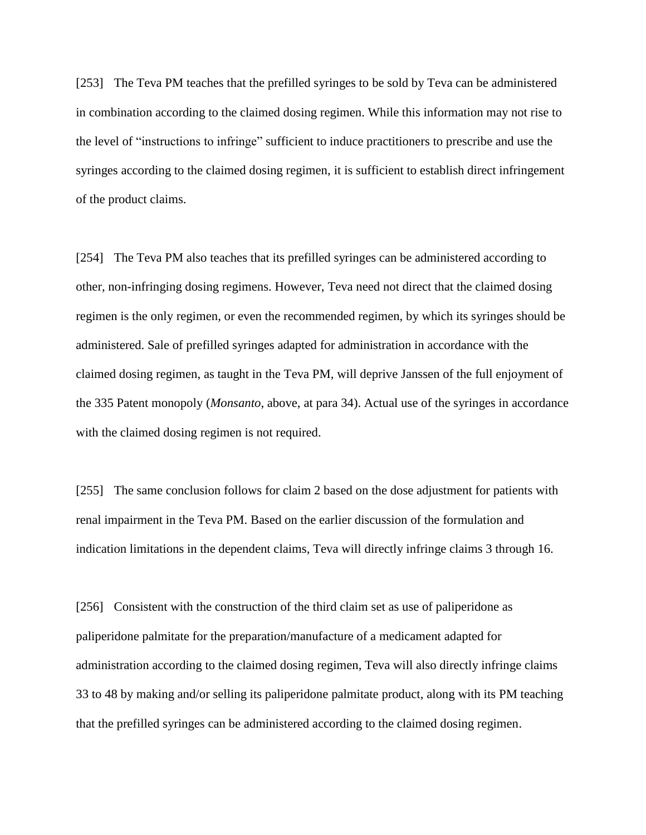[253] The Teva PM teaches that the prefilled syringes to be sold by Teva can be administered in combination according to the claimed dosing regimen. While this information may not rise to the level of "instructions to infringe" sufficient to induce practitioners to prescribe and use the syringes according to the claimed dosing regimen, it is sufficient to establish direct infringement of the product claims.

[254] The Teva PM also teaches that its prefilled syringes can be administered according to other, non-infringing dosing regimens. However, Teva need not direct that the claimed dosing regimen is the only regimen, or even the recommended regimen, by which its syringes should be administered. Sale of prefilled syringes adapted for administration in accordance with the claimed dosing regimen, as taught in the Teva PM, will deprive Janssen of the full enjoyment of the 335 Patent monopoly (*Monsanto*, above, at para 34). Actual use of the syringes in accordance with the claimed dosing regimen is not required.

[255] The same conclusion follows for claim 2 based on the dose adjustment for patients with renal impairment in the Teva PM. Based on the earlier discussion of the formulation and indication limitations in the dependent claims, Teva will directly infringe claims 3 through 16.

[256] Consistent with the construction of the third claim set as use of paliperidone as paliperidone palmitate for the preparation/manufacture of a medicament adapted for administration according to the claimed dosing regimen, Teva will also directly infringe claims 33 to 48 by making and/or selling its paliperidone palmitate product, along with its PM teaching that the prefilled syringes can be administered according to the claimed dosing regimen.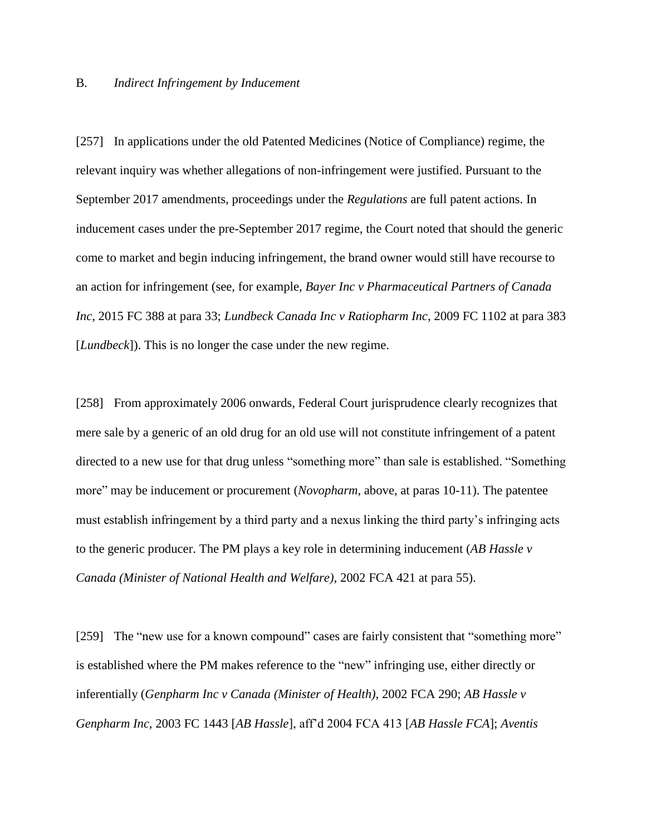#### B. *Indirect Infringement by Inducement*

[257] In applications under the old Patented Medicines (Notice of Compliance) regime, the relevant inquiry was whether allegations of non-infringement were justified. Pursuant to the September 2017 amendments, proceedings under the *Regulations* are full patent actions. In inducement cases under the pre-September 2017 regime, the Court noted that should the generic come to market and begin inducing infringement, the brand owner would still have recourse to an action for infringement (see, for example, *Bayer Inc v Pharmaceutical Partners of Canada Inc*, 2015 FC 388 at para 33; *Lundbeck Canada Inc v Ratiopharm Inc*, 2009 FC 1102 at para 383 [*Lundbeck*]). This is no longer the case under the new regime.

[258] From approximately 2006 onwards, Federal Court jurisprudence clearly recognizes that mere sale by a generic of an old drug for an old use will not constitute infringement of a patent directed to a new use for that drug unless "something more" than sale is established. "Something more" may be inducement or procurement (*Novopharm*, above, at paras 10-11). The patentee must establish infringement by a third party and a nexus linking the third party's infringing acts to the generic producer. The PM plays a key role in determining inducement (*AB Hassle v Canada (Minister of National Health and Welfare)*, 2002 FCA 421 at para 55).

[259] The "new use for a known compound" cases are fairly consistent that "something more" is established where the PM makes reference to the "new" infringing use, either directly or inferentially (*Genpharm Inc v Canada (Minister of Health)*, 2002 FCA 290; *AB Hassle v Genpharm Inc*, 2003 FC 1443 [*AB Hassle*], aff'd 2004 FCA 413 [*AB Hassle FCA*]; *Aventis*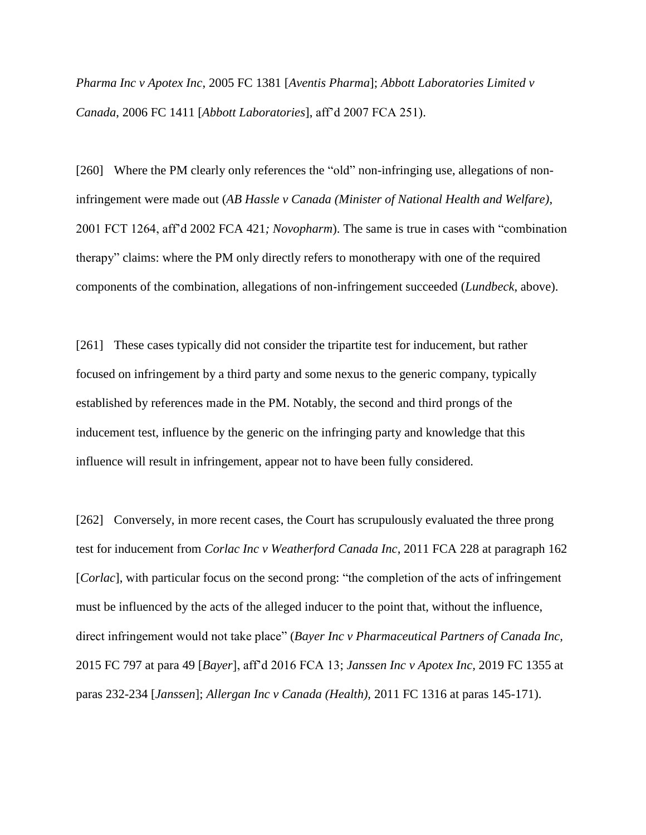*Pharma Inc v Apotex Inc*, 2005 FC 1381 [*Aventis Pharma*]; *Abbott Laboratories Limited v Canada*, 2006 FC 1411 [*Abbott Laboratories*], aff'd 2007 FCA 251).

[260] Where the PM clearly only references the "old" non-infringing use, allegations of noninfringement were made out (*AB Hassle v Canada (Minister of National Health and Welfare)*, 2001 FCT 1264, aff'd 2002 FCA 421*; Novopharm*). The same is true in cases with "combination therapy" claims: where the PM only directly refers to monotherapy with one of the required components of the combination, allegations of non-infringement succeeded (*Lundbeck*, above).

[261] These cases typically did not consider the tripartite test for inducement, but rather focused on infringement by a third party and some nexus to the generic company, typically established by references made in the PM. Notably, the second and third prongs of the inducement test, influence by the generic on the infringing party and knowledge that this influence will result in infringement, appear not to have been fully considered.

[262] Conversely, in more recent cases, the Court has scrupulously evaluated the three prong test for inducement from *Corlac Inc v Weatherford Canada Inc*, 2011 FCA 228 at paragraph 162 [*Corlac*], with particular focus on the second prong: "the completion of the acts of infringement must be influenced by the acts of the alleged inducer to the point that, without the influence, direct infringement would not take place" (*Bayer Inc v Pharmaceutical Partners of Canada Inc,*  2015 FC 797 at para 49 [*Bayer*], aff'd 2016 FCA 13; *Janssen Inc v Apotex Inc,* 2019 FC 1355 at paras 232-234 [*Janssen*]; *Allergan Inc v Canada (Health),* 2011 FC 1316 at paras 145-171).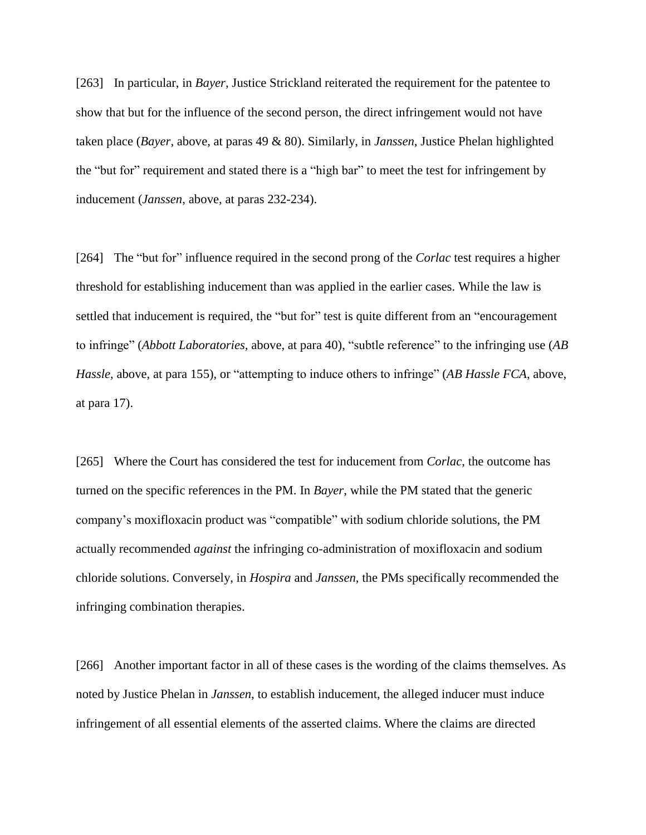[263] In particular, in *Bayer*, Justice Strickland reiterated the requirement for the patentee to show that but for the influence of the second person, the direct infringement would not have taken place (*Bayer*, above, at paras 49 & 80). Similarly, in *Janssen*, Justice Phelan highlighted the "but for" requirement and stated there is a "high bar" to meet the test for infringement by inducement (*Janssen*, above, at paras 232-234).

[264] The "but for" influence required in the second prong of the *Corlac* test requires a higher threshold for establishing inducement than was applied in the earlier cases. While the law is settled that inducement is required, the "but for" test is quite different from an "encouragement to infringe" (*Abbott Laboratories,* above, at para 40), "subtle reference" to the infringing use (*AB Hassle*, above, at para 155), or "attempting to induce others to infringe" (*AB Hassle FCA*, above, at para 17).

[265] Where the Court has considered the test for inducement from *Corlac*, the outcome has turned on the specific references in the PM. In *Bayer*, while the PM stated that the generic company's moxifloxacin product was "compatible" with sodium chloride solutions, the PM actually recommended *against* the infringing co-administration of moxifloxacin and sodium chloride solutions. Conversely, in *Hospira* and *Janssen*, the PMs specifically recommended the infringing combination therapies.

[266] Another important factor in all of these cases is the wording of the claims themselves. As noted by Justice Phelan in *Janssen*, to establish inducement, the alleged inducer must induce infringement of all essential elements of the asserted claims. Where the claims are directed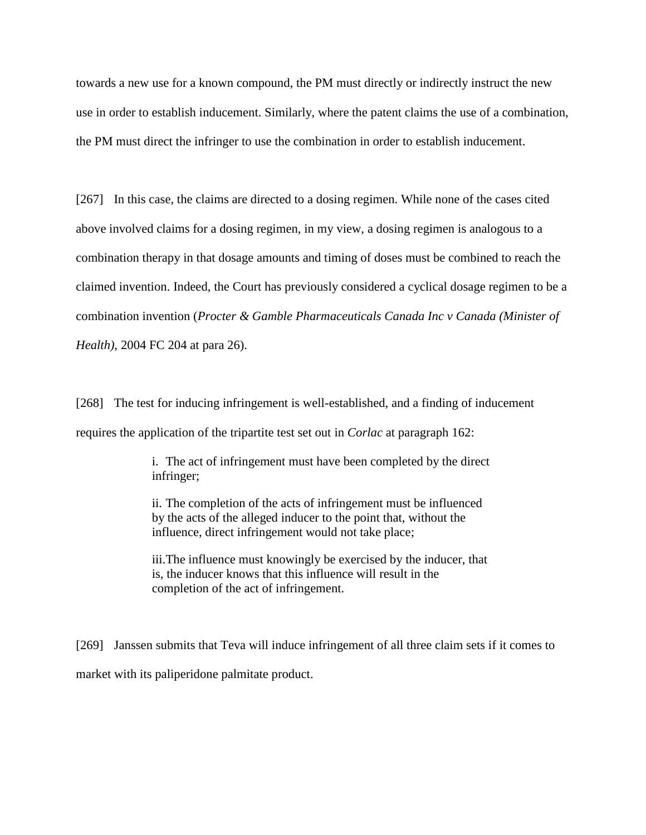towards a new use for a known compound, the PM must directly or indirectly instruct the new use in order to establish inducement. Similarly, where the patent claims the use of a combination, the PM must direct the infringer to use the combination in order to establish inducement.

[267] In this case, the claims are directed to a dosing regimen. While none of the cases cited above involved claims for a dosing regimen, in my view, a dosing regimen is analogous to a combination therapy in that dosage amounts and timing of doses must be combined to reach the claimed invention. Indeed, the Court has previously considered a cyclical dosage regimen to be a combination invention (*Procter & Gamble Pharmaceuticals Canada Inc v Canada (Minister of Health)*, 2004 FC 204 at para 26).

[268] The test for inducing infringement is well-established, and a finding of inducement requires the application of the tripartite test set out in *Corlac* at paragraph 162:

> i. The act of infringement must have been completed by the direct infringer;

ii. The completion of the acts of infringement must be influenced by the acts of the alleged inducer to the point that, without the influence, direct infringement would not take place;

iii.The influence must knowingly be exercised by the inducer, that is, the inducer knows that this influence will result in the completion of the act of infringement.

[269] Janssen submits that Teva will induce infringement of all three claim sets if it comes to market with its paliperidone palmitate product.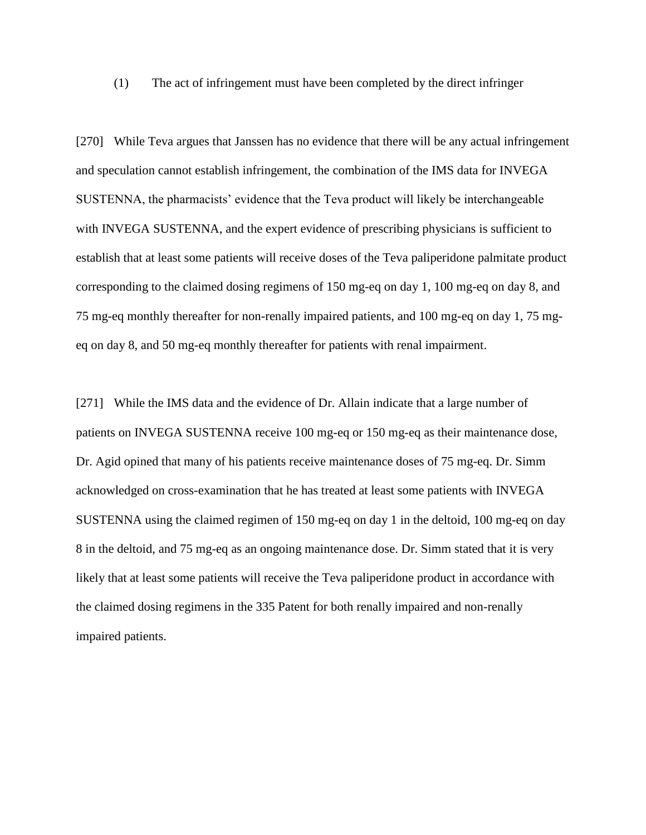(1) The act of infringement must have been completed by the direct infringer

[270] While Teva argues that Janssen has no evidence that there will be any actual infringement and speculation cannot establish infringement, the combination of the IMS data for INVEGA SUSTENNA, the pharmacists' evidence that the Teva product will likely be interchangeable with INVEGA SUSTENNA, and the expert evidence of prescribing physicians is sufficient to establish that at least some patients will receive doses of the Teva paliperidone palmitate product corresponding to the claimed dosing regimens of 150 mg-eq on day 1, 100 mg-eq on day 8, and 75 mg-eq monthly thereafter for non-renally impaired patients, and 100 mg-eq on day 1, 75 mgeq on day 8, and 50 mg-eq monthly thereafter for patients with renal impairment.

[271] While the IMS data and the evidence of Dr. Allain indicate that a large number of patients on INVEGA SUSTENNA receive 100 mg-eq or 150 mg-eq as their maintenance dose, Dr. Agid opined that many of his patients receive maintenance doses of 75 mg-eq. Dr. Simm acknowledged on cross-examination that he has treated at least some patients with INVEGA SUSTENNA using the claimed regimen of 150 mg-eq on day 1 in the deltoid, 100 mg-eq on day 8 in the deltoid, and 75 mg-eq as an ongoing maintenance dose. Dr. Simm stated that it is very likely that at least some patients will receive the Teva paliperidone product in accordance with the claimed dosing regimens in the 335 Patent for both renally impaired and non-renally impaired patients.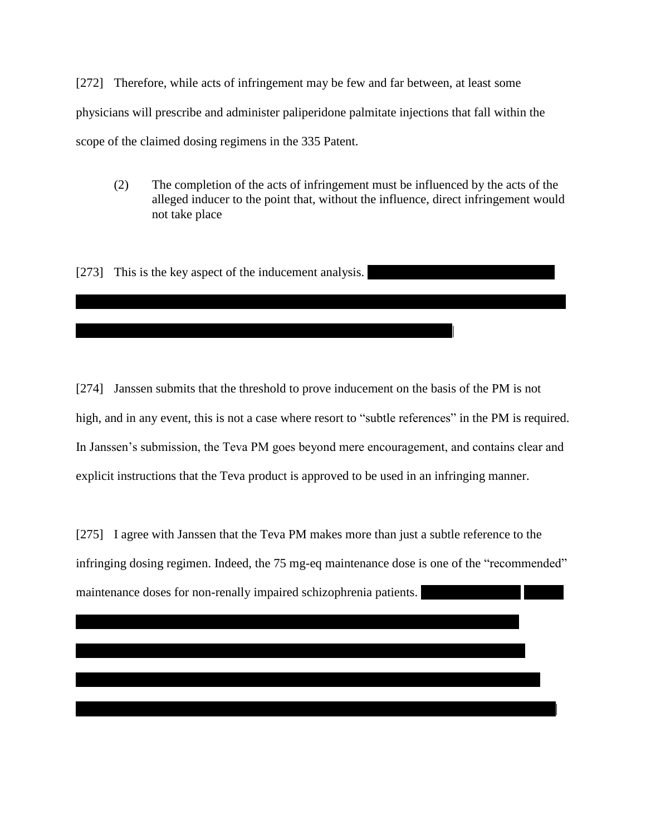[272] Therefore, while acts of infringement may be few and far between, at least some physicians will prescribe and administer paliperidone palmitate injections that fall within the scope of the claimed dosing regimens in the 335 Patent.

(2) The completion of the acts of infringement must be influenced by the acts of the alleged inducer to the point that, without the influence, direct infringement would not take place

[273] This is the key aspect of the inducement analysis.

||||||||||||||||||||||||||||||||||||||||||||||||||||||||||||||||||||||||||||||||||||||||||||||||||||||||||||||||||| |

[274] Janssen submits that the threshold to prove inducement on the basis of the PM is not high, and in any event, this is not a case where resort to "subtle references" in the PM is required. In Janssen's submission, the Teva PM goes beyond mere encouragement, and contains clear and explicit instructions that the Teva product is approved to be used in an infringing manner.

[275] I agree with Janssen that the Teva PM makes more than just a subtle reference to the infringing dosing regimen. Indeed, the 75 mg-eq maintenance dose is one of the "recommended" maintenance doses for non-renally impaired schizophrenia patients.

||||||||||||||||||||||||||||||||||||||||||||||||||||||||||||||||||||||||||||||||||||||||||||||||||||||||||||||||||||||||||||| |||||||||||||||||||||||||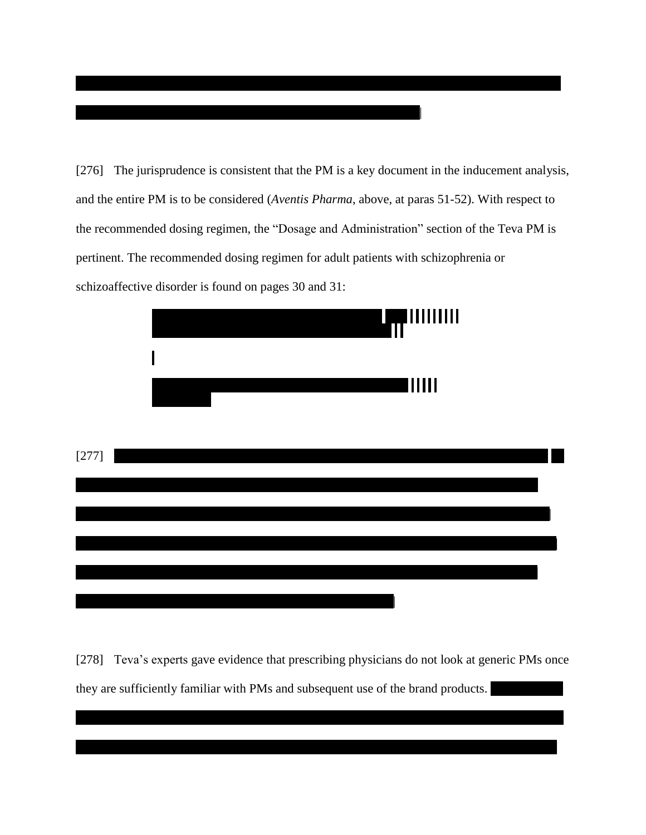[276] The jurisprudence is consistent that the PM is a key document in the inducement analysis, and the entire PM is to be considered (Aventis Pharma, above, at paras 51-52). With respect to the recommended dosing regimen, the "Dosage and Administration" section of the Teva PM is pertinent. The recommended dosing regimen for adult patients with schizophrenia or schizoaffective disorder is found on pages 30 and 31:



[278] Teva's experts gave evidence that prescribing physicians do not look at generic PMs once they are sufficiently familiar with PMs and subsequent use of the brand products.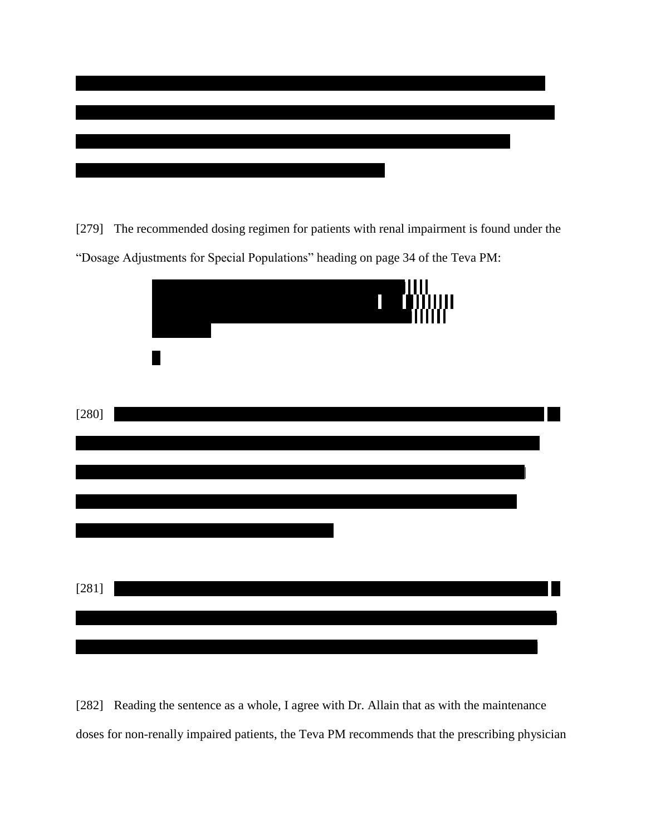

[279] The recommended dosing regimen for patients with renal impairment is found under the "Dosage Adjustments for Special Populations" heading on page 34 of the Teva PM:



[282] Reading the sentence as a whole, I agree with Dr. Allain that as with the maintenance doses for non-renally impaired patients, the Teva PM recommends that the prescribing physician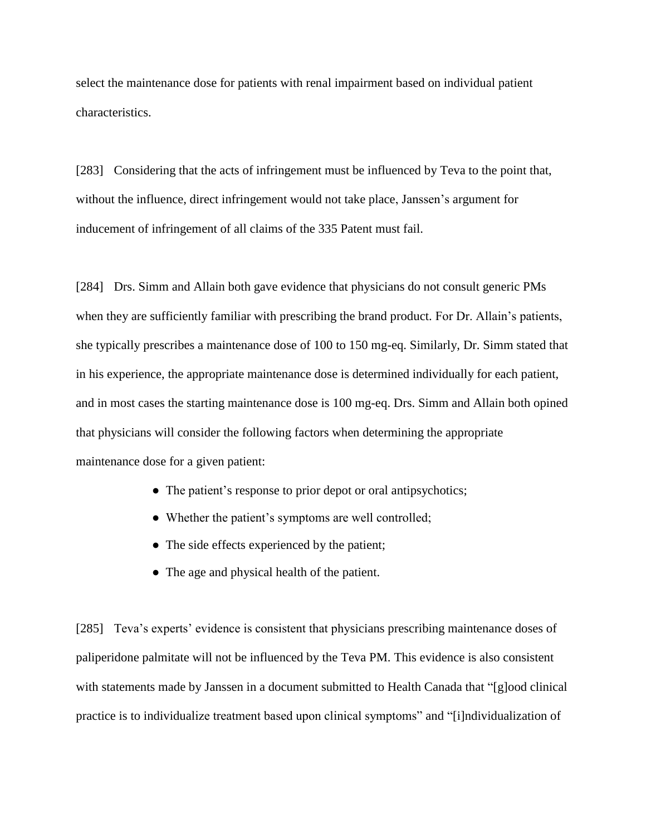select the maintenance dose for patients with renal impairment based on individual patient characteristics.

[283] Considering that the acts of infringement must be influenced by Teva to the point that, without the influence, direct infringement would not take place, Janssen's argument for inducement of infringement of all claims of the 335 Patent must fail.

[284] Drs. Simm and Allain both gave evidence that physicians do not consult generic PMs when they are sufficiently familiar with prescribing the brand product. For Dr. Allain's patients, she typically prescribes a maintenance dose of 100 to 150 mg-eq. Similarly, Dr. Simm stated that in his experience, the appropriate maintenance dose is determined individually for each patient, and in most cases the starting maintenance dose is 100 mg-eq. Drs. Simm and Allain both opined that physicians will consider the following factors when determining the appropriate maintenance dose for a given patient:

- The patient's response to prior depot or oral antipsychotics;
- Whether the patient's symptoms are well controlled;
- The side effects experienced by the patient;
- The age and physical health of the patient.

[285] Teva's experts' evidence is consistent that physicians prescribing maintenance doses of paliperidone palmitate will not be influenced by the Teva PM. This evidence is also consistent with statements made by Janssen in a document submitted to Health Canada that "[g]ood clinical practice is to individualize treatment based upon clinical symptoms" and "[i]ndividualization of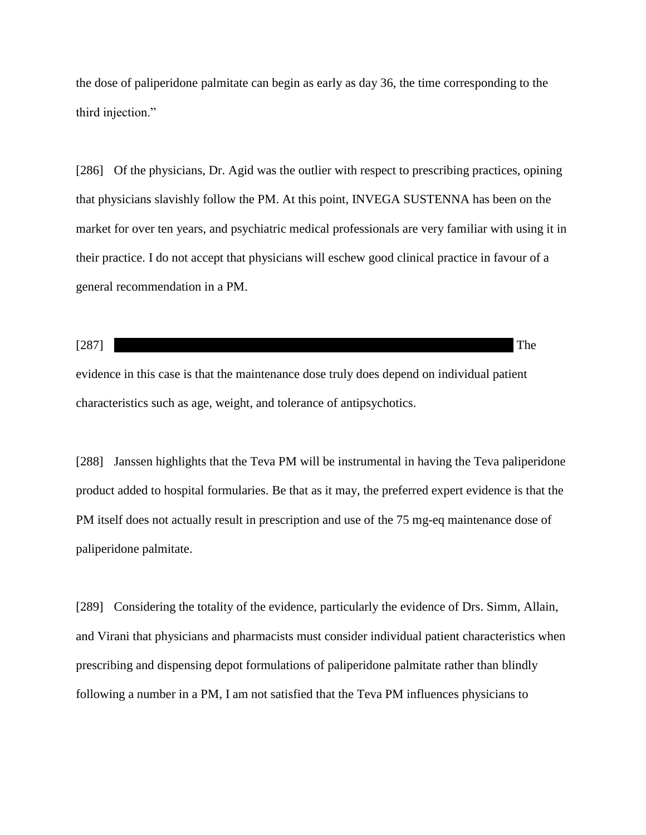the dose of paliperidone palmitate can begin as early as day 36, the time corresponding to the third injection."

[286] Of the physicians, Dr. Agid was the outlier with respect to prescribing practices, opining that physicians slavishly follow the PM. At this point, INVEGA SUSTENNA has been on the market for over ten years, and psychiatric medical professionals are very familiar with using it in their practice. I do not accept that physicians will eschew good clinical practice in favour of a general recommendation in a PM.

 $[287]$  The evidence in this case is that the maintenance dose truly does depend on individual patient

characteristics such as age, weight, and tolerance of antipsychotics.

[288] Janssen highlights that the Teva PM will be instrumental in having the Teva paliperidone product added to hospital formularies. Be that as it may, the preferred expert evidence is that the PM itself does not actually result in prescription and use of the 75 mg-eq maintenance dose of paliperidone palmitate.

[289] Considering the totality of the evidence, particularly the evidence of Drs. Simm, Allain, and Virani that physicians and pharmacists must consider individual patient characteristics when prescribing and dispensing depot formulations of paliperidone palmitate rather than blindly following a number in a PM, I am not satisfied that the Teva PM influences physicians to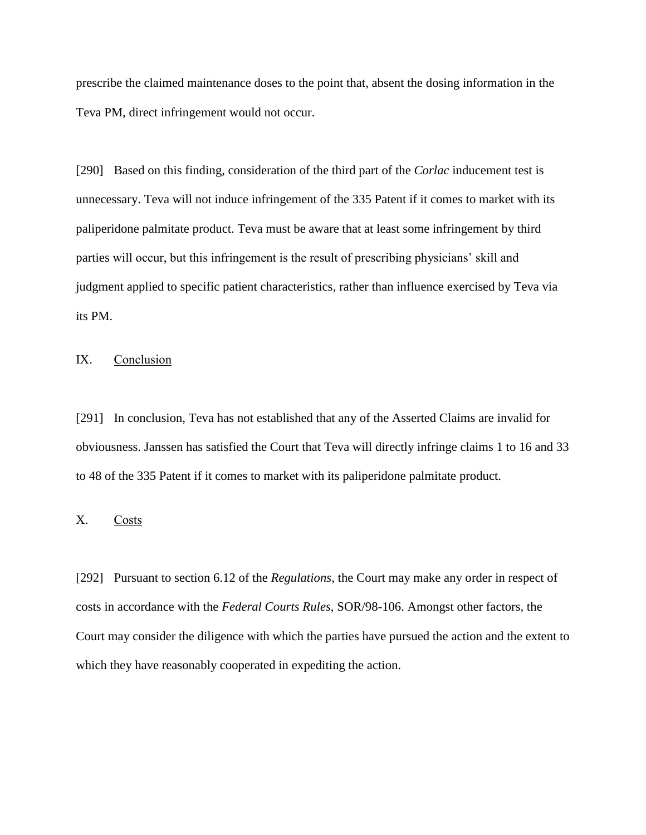prescribe the claimed maintenance doses to the point that, absent the dosing information in the Teva PM, direct infringement would not occur.

[290] Based on this finding, consideration of the third part of the *Corlac* inducement test is unnecessary. Teva will not induce infringement of the 335 Patent if it comes to market with its paliperidone palmitate product. Teva must be aware that at least some infringement by third parties will occur, but this infringement is the result of prescribing physicians' skill and judgment applied to specific patient characteristics, rather than influence exercised by Teva via its PM.

## IX. Conclusion

[291] In conclusion, Teva has not established that any of the Asserted Claims are invalid for obviousness. Janssen has satisfied the Court that Teva will directly infringe claims 1 to 16 and 33 to 48 of the 335 Patent if it comes to market with its paliperidone palmitate product.

## X. Costs

[292] Pursuant to section 6.12 of the *Regulations*, the Court may make any order in respect of costs in accordance with the *Federal Courts Rules*, SOR/98-106. Amongst other factors, the Court may consider the diligence with which the parties have pursued the action and the extent to which they have reasonably cooperated in expediting the action.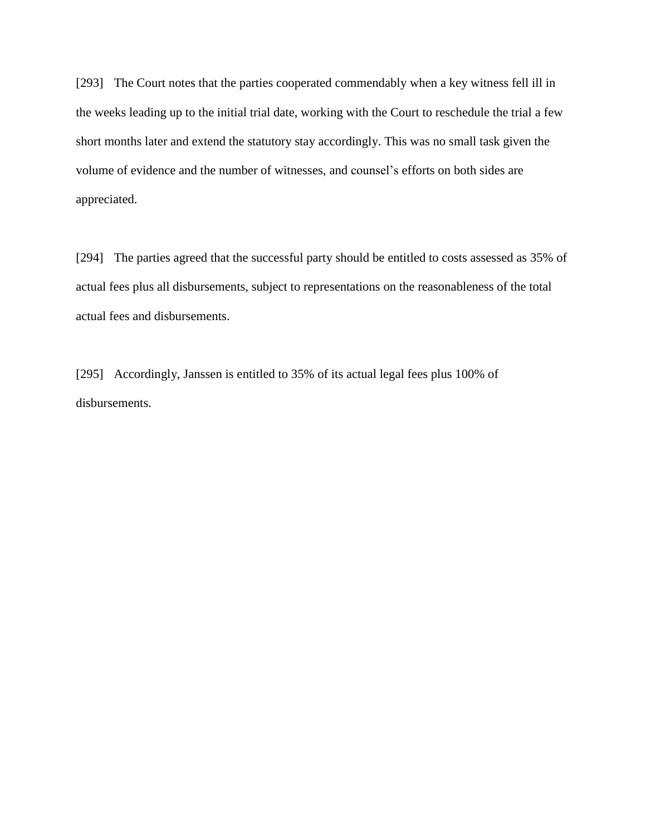[293] The Court notes that the parties cooperated commendably when a key witness fell ill in the weeks leading up to the initial trial date, working with the Court to reschedule the trial a few short months later and extend the statutory stay accordingly. This was no small task given the volume of evidence and the number of witnesses, and counsel's efforts on both sides are appreciated.

[294] The parties agreed that the successful party should be entitled to costs assessed as 35% of actual fees plus all disbursements, subject to representations on the reasonableness of the total actual fees and disbursements.

[295] Accordingly, Janssen is entitled to 35% of its actual legal fees plus 100% of disbursements.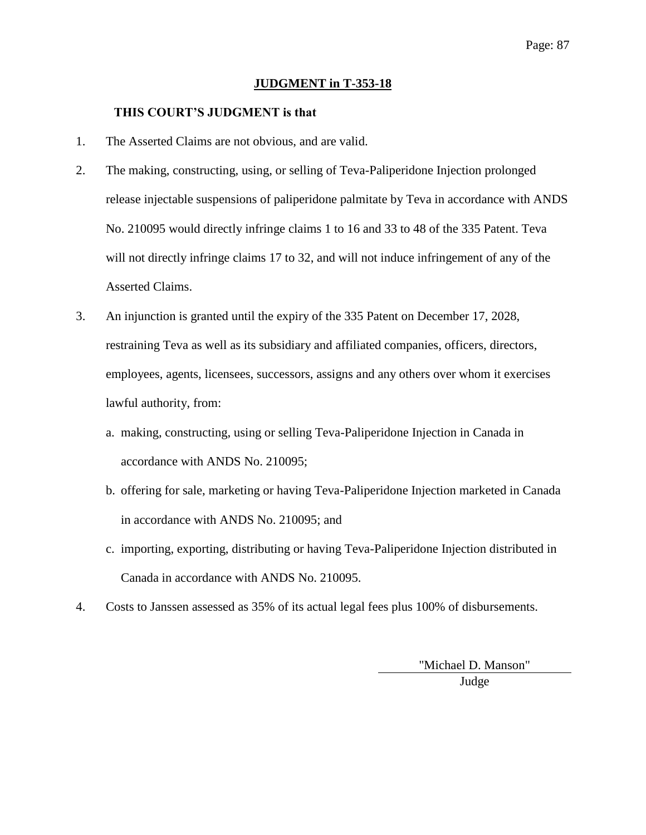### Page: 87

#### **JUDGMENT in T-353-18**

#### **THIS COURT'S JUDGMENT is that**

- 1. The Asserted Claims are not obvious, and are valid.
- 2. The making, constructing, using, or selling of Teva-Paliperidone Injection prolonged release injectable suspensions of paliperidone palmitate by Teva in accordance with ANDS No. 210095 would directly infringe claims 1 to 16 and 33 to 48 of the 335 Patent. Teva will not directly infringe claims 17 to 32, and will not induce infringement of any of the Asserted Claims.
- 3. An injunction is granted until the expiry of the 335 Patent on December 17, 2028, restraining Teva as well as its subsidiary and affiliated companies, officers, directors, employees, agents, licensees, successors, assigns and any others over whom it exercises lawful authority, from:
	- a. making, constructing, using or selling Teva-Paliperidone Injection in Canada in accordance with ANDS No. 210095;
	- b. offering for sale, marketing or having Teva-Paliperidone Injection marketed in Canada in accordance with ANDS No. 210095; and
	- c. importing, exporting, distributing or having Teva-Paliperidone Injection distributed in Canada in accordance with ANDS No. 210095.
- 4. Costs to Janssen assessed as 35% of its actual legal fees plus 100% of disbursements.

"Michael D. Manson" Judge